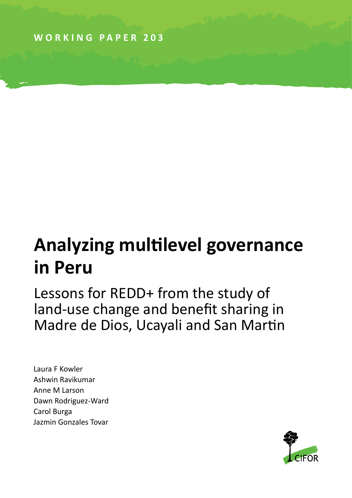**WORKING PAPER 203**

# **Analyzing multilevel governance in Peru**

Lessons for REDD+ from the study of land-use change and benefit sharing in Madre de Dios, Ucayali and San Martin

Laura F Kowler Ashwin Ravikumar Anne M Larson Dawn Rodriguez-Ward Carol Burga Jazmin Gonzales Tovar

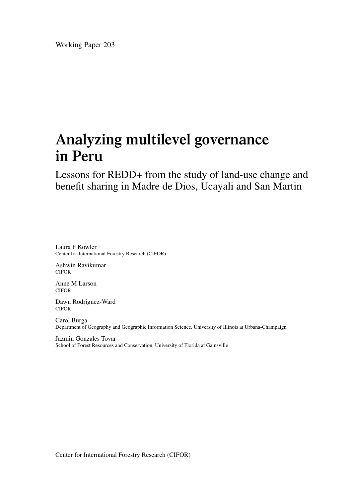Working Paper 203

# **Analyzing multilevel governance in Peru**

Lessons for REDD+ from the study of land-use change and benefit sharing in Madre de Dios, Ucayali and San Martin

Laura F Kowler Center for International Forestry Research (CIFOR)

Ashwin Ravikumar CIFOR

Anne M Larson CIFOR

Dawn Rodriguez-Ward CIFOR

Carol Burga Department of Geography and Geographic Information Science, University of Illinois at Urbana-Champaign

Jazmin Gonzales Tovar School of Forest Resources and Conservation, University of Florida at Gainsville

Center for International Forestry Research (CIFOR)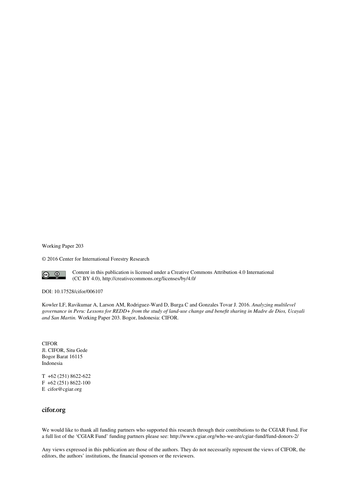Working Paper 203

© 2016 Center for International Forestry Research



Content in this publication is licensed under a Creative Commons Attribution 4.0 International (CC BY 4.0), http://creativecommons.org/licenses/by/4.0/

DOI: 10.17528/cifor/006107

Kowler LF, Ravikumar A, Larson AM, Rodriguez-Ward D, Burga C and Gonzales Tovar J. 2016. *Analyzing multilevel governance in Peru: Lessons for REDD+ from the study of land-use change and benefit sharing in Madre de Dios, Ucayali and San Martin.* Working Paper 203. Bogor, Indonesia: CIFOR.

CIFOR Jl. CIFOR, Situ Gede Bogor Barat 16115 Indonesia

T +62 (251) 8622-622 F +62 (251) 8622-100 E cifor@cgiar.org

#### **cifor.org**

We would like to thank all funding partners who supported this research through their contributions to the CGIAR Fund. For a full list of the 'CGIAR Fund' funding partners please see: http://www.cgiar.org/who-we-are/cgiar-fund/fund-donors-2/

Any views expressed in this publication are those of the authors. They do not necessarily represent the views of CIFOR, the editors, the authors' institutions, the financial sponsors or the reviewers.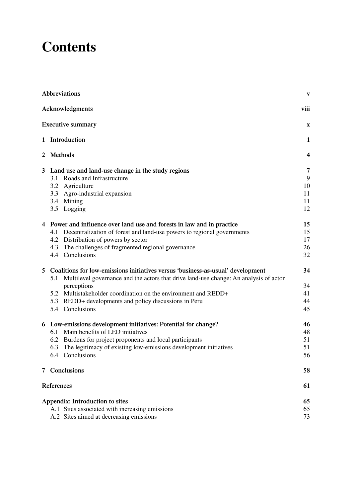# **Contents**

|              | <b>Abbreviations</b>                                                                         | $\mathbf{V}$            |
|--------------|----------------------------------------------------------------------------------------------|-------------------------|
|              | Acknowledgments                                                                              | viii                    |
|              | <b>Executive summary</b>                                                                     | X                       |
|              | 1 Introduction                                                                               | 1                       |
|              | 2 Methods                                                                                    | $\overline{\mathbf{4}}$ |
| $\mathbf{3}$ | Land use and land-use change in the study regions                                            | 7                       |
|              | 3.1 Roads and Infrastructure                                                                 | 9                       |
|              | 3.2 Agriculture                                                                              | 10                      |
|              | 3.3 Agro-industrial expansion                                                                | 11                      |
|              | 3.4 Mining                                                                                   | 11                      |
|              | 3.5 Logging                                                                                  | 12                      |
|              | 4 Power and influence over land use and forests in law and in practice                       | 15                      |
|              | 4.1 Decentralization of forest and land-use powers to regional governments                   | 15                      |
|              | 4.2 Distribution of powers by sector                                                         | 17                      |
|              | The challenges of fragmented regional governance<br>4.3                                      | 26                      |
|              | 4.4 Conclusions                                                                              | 32                      |
| 5            | Coalitions for low-emissions initiatives versus 'business-as-usual' development              | 34                      |
|              | Multilevel governance and the actors that drive land-use change: An analysis of actor<br>5.1 |                         |
|              | perceptions                                                                                  | 34                      |
|              | 5.2 Multistakeholder coordination on the environment and REDD+                               | 41                      |
|              | 5.3 REDD+ developments and policy discussions in Peru                                        | 44                      |
|              | 5.4 Conclusions                                                                              | 45                      |
|              | 6 Low-emissions development initiatives: Potential for change?                               | 46                      |
|              | 6.1 Main benefits of LED initiatives                                                         | 48                      |
|              | 6.2 Burdens for project proponents and local participants                                    | 51                      |
|              | The legitimacy of existing low-emissions development initiatives<br>6.3                      | 51                      |
|              | 6.4 Conclusions                                                                              | 56                      |
| 7            | Conclusions                                                                                  | 58                      |
|              | References                                                                                   | 61                      |
|              | Appendix: Introduction to sites                                                              | 65                      |
|              | A.1 Sites associated with increasing emissions                                               | 65                      |
|              | A.2 Sites aimed at decreasing emissions                                                      | 73                      |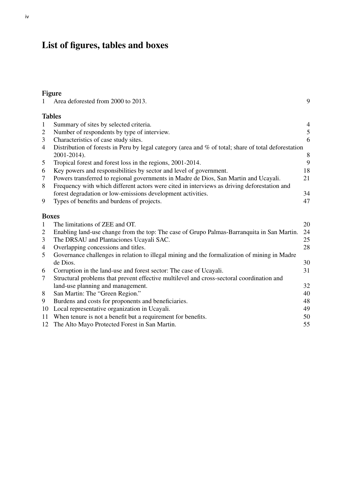### **List of figures, tables and boxes**

10 Local representative organization in Ucayali. 49

#### **Figure**

|              | Area deforested from 2000 to 2013.                                                                   | 9                        |
|--------------|------------------------------------------------------------------------------------------------------|--------------------------|
|              | <b>Tables</b>                                                                                        |                          |
| $\mathbf{1}$ | Summary of sites by selected criteria.                                                               | $\overline{\mathcal{A}}$ |
| 2            | Number of respondents by type of interview.                                                          | 5                        |
| 3            | Characteristics of case study sites.                                                                 | 6                        |
| 4            | Distribution of forests in Peru by legal category (area and % of total; share of total deforestation |                          |
|              | 2001-2014).                                                                                          | 8                        |
| 5            | Tropical forest and forest loss in the regions, 2001-2014.                                           | 9                        |
| 6            | Key powers and responsibilities by sector and level of government.                                   | 18                       |
| 7            | Powers transferred to regional governments in Madre de Dios, San Martin and Ucayali.                 | 21                       |
| 8            | Frequency with which different actors were cited in interviews as driving deforestation and          |                          |
|              | forest degradation or low-emissions development activities.                                          | 34                       |
| 9            | Types of benefits and burdens of projects.                                                           | 47                       |
|              | <b>Boxes</b>                                                                                         |                          |
| 1            | The limitations of ZEE and OT.                                                                       | 20                       |
| 2            | Enabling land-use change from the top: The case of Grupo Palmas-Barranquita in San Martin.           | 24                       |
| 3            | The DRSAU and Plantaciones Ucayali SAC.                                                              | 25                       |

4 Overlapping concessions and titles. 28 5 Governance challenges in relation to illegal mining and the formalization of mining in Madre

7 Structural problems that prevent effective multilevel and cross-sectoral coordination and

de Dios. 30 6 Corruption in the land-use and forest sector: The case of Ucayali. 31

land-use planning and management. 32 8 San Martin: The "Green Region." 40 9 Burdens and costs for proponents and beneficiaries. 48<br>10 Local representative organization in Ucavali. 49

11 When tenure is not a benefit but a requirement for benefits. 50 12 The Alto Mayo Protected Forest in San Martin. 55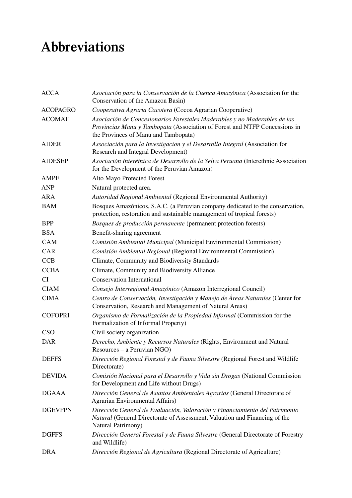# **Abbreviations**

| <b>ACCA</b>     | Asociación para la Conservación de la Cuenca Amazónica (Association for the<br>Conservation of the Amazon Basin)                                                                                |
|-----------------|-------------------------------------------------------------------------------------------------------------------------------------------------------------------------------------------------|
| <b>ACOPAGRO</b> | Cooperativa Agraria Cacotera (Cocoa Agrarian Cooperative)                                                                                                                                       |
| <b>ACOMAT</b>   | Asociación de Concesionarios Forestales Maderables y no Maderables de las<br>Provincias Manu y Tambopata (Association of Forest and NTFP Concessions in<br>the Provinces of Manu and Tambopata) |
| <b>AIDER</b>    | Associación para la Investigacion y el Desarrollo Integral (Association for<br>Research and Integral Development)                                                                               |
| <b>AIDESEP</b>  | Asociación Interétnica de Desarrollo de la Selva Peruana (Interethnic Association<br>for the Development of the Peruvian Amazon)                                                                |
| <b>AMPF</b>     | Alto Mayo Protected Forest                                                                                                                                                                      |
| <b>ANP</b>      | Natural protected area.                                                                                                                                                                         |
| <b>ARA</b>      | Autoridad Regional Ambiental (Regional Environmental Authority)                                                                                                                                 |
| <b>BAM</b>      | Bosques Amazónicos, S.A.C. (a Peruvian company dedicated to the conservation,<br>protection, restoration and sustainable management of tropical forests)                                        |
| <b>BPP</b>      | Bosques de producción permanente (permanent protection forests)                                                                                                                                 |
| <b>BSA</b>      | Benefit-sharing agreement                                                                                                                                                                       |
| <b>CAM</b>      | Comisión Ambiental Municipal (Municipal Environmental Commission)                                                                                                                               |
| CAR             | Comisión Ambiental Regional (Regional Environmental Commission)                                                                                                                                 |
| CCB             | Climate, Community and Biodiversity Standards                                                                                                                                                   |
| <b>CCBA</b>     | Climate, Community and Biodiversity Alliance                                                                                                                                                    |
| CI              | <b>Conservation International</b>                                                                                                                                                               |
| <b>CIAM</b>     | Consejo Interregional Amazónico (Amazon Interregional Council)                                                                                                                                  |
| <b>CIMA</b>     | Centro de Conservación, Investigación y Manejo de Áreas Naturales (Center for<br>Conservation, Research and Management of Natural Areas)                                                        |
| <b>COFOPRI</b>  | Organismo de Formalización de la Propiedad Informal (Commission for the<br>Formalization of Informal Property)                                                                                  |
| <b>CSO</b>      | Civil society organization                                                                                                                                                                      |
| <b>DAR</b>      | Derecho, Ambiente y Recursos Naturales (Rights, Environment and Natural<br>Resources – a Peruvian NGO)                                                                                          |
| <b>DEFFS</b>    | Dirección Regional Forestal y de Fauna Silvestre (Regional Forest and Wildlife<br>Directorate)                                                                                                  |
| <b>DEVIDA</b>   | Comisión Nacional para el Desarrollo y Vida sin Drogas (National Commission<br>for Development and Life without Drugs)                                                                          |
| <b>DGAAA</b>    | Dirección General de Asuntos Ambientales Agrarios (General Directorate of<br>Agrarian Environmental Affairs)                                                                                    |
| <b>DGEVFPN</b>  | Dirección General de Evaluación, Valoración y Financiamiento del Patrimonio<br>Natural (General Directorate of Assessment, Valuation and Financing of the<br>Natural Patrimony)                 |
| <b>DGFFS</b>    | Dirección General Forestal y de Fauna Silvestre (General Directorate of Forestry<br>and Wildlife)                                                                                               |
| <b>DRA</b>      | Dirección Regional de Agricultura (Regional Directorate of Agriculture)                                                                                                                         |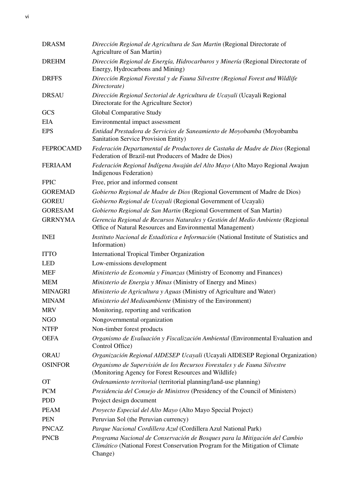| <b>DRASM</b>     | Dirección Regional de Agricultura de San Martin (Regional Directorate of<br>Agriculture of San Martin)                                                                 |
|------------------|------------------------------------------------------------------------------------------------------------------------------------------------------------------------|
| <b>DREHM</b>     | Dirección Regional de Energía, Hidrocarburos y Minería (Regional Directorate of<br>Energy, Hydrocarbons and Mining)                                                    |
| <b>DRFFS</b>     | Dirección Regional Forestal y de Fauna Silvestre (Regional Forest and Wildlife<br>Directorate)                                                                         |
| <b>DRSAU</b>     | Dirección Regional Sectorial de Agricultura de Ucayali (Ucayali Regional<br>Directorate for the Agriculture Sector)                                                    |
| <b>GCS</b>       | <b>Global Comparative Study</b>                                                                                                                                        |
| <b>EIA</b>       | Environmental impact assessment                                                                                                                                        |
| <b>EPS</b>       | Entidad Prestadora de Servicios de Saneamiento de Moyobamba (Moyobamba<br>Sanitation Service Provision Entity)                                                         |
| <b>FEPROCAMD</b> | Federación Departamental de Productores de Castaña de Madre de Dios (Regional<br>Federation of Brazil-nut Producers of Madre de Dios)                                  |
| <b>FERIAAM</b>   | Federación Regional Indígena Awajún del Alto Mayo (Alto Mayo Regional Awajun<br>Indigenous Federation)                                                                 |
| <b>FPIC</b>      | Free, prior and informed consent                                                                                                                                       |
| <b>GOREMAD</b>   | Gobierno Regional de Madre de Dios (Regional Government of Madre de Dios)                                                                                              |
| <b>GOREU</b>     | Gobierno Regional de Ucayali (Regional Government of Ucayali)                                                                                                          |
| <b>GORESAM</b>   | Gobierno Regional de San Martin (Regional Government of San Martin)                                                                                                    |
| <b>GRRNYMA</b>   | Gerencia Regional de Recursos Naturales y Gestión del Medio Ambiente (Regional<br>Office of Natural Resources and Environmental Management)                            |
| <b>INEI</b>      | Instituto Nacional de Estadística e Información (National Institute of Statistics and<br>Information)                                                                  |
| <b>ITTO</b>      | <b>International Tropical Timber Organization</b>                                                                                                                      |
| <b>LED</b>       | Low-emissions development                                                                                                                                              |
| <b>MEF</b>       | Ministerio de Economía y Finanzas (Ministry of Economy and Finances)                                                                                                   |
| <b>MEM</b>       | Ministerio de Energia y Minas (Ministry of Energy and Mines)                                                                                                           |
| <b>MINAGRI</b>   | Ministerio de Agricultura y Aguas (Ministry of Agriculture and Water)                                                                                                  |
| <b>MINAM</b>     | Ministerio del Medioambiente (Ministry of the Environment)                                                                                                             |
| <b>MRV</b>       | Monitoring, reporting and verification                                                                                                                                 |
| <b>NGO</b>       | Nongovernmental organization                                                                                                                                           |
| <b>NTFP</b>      | Non-timber forest products                                                                                                                                             |
| <b>OEFA</b>      | Organismo de Evaluación y Fiscalización Ambiental (Environmental Evaluation and<br>Control Office)                                                                     |
| <b>ORAU</b>      | Organización Regional AIDESEP Ucayali (Ucayali AIDESEP Regional Organization)                                                                                          |
| <b>OSINFOR</b>   | Organismo de Supervisión de los Recursos Forestales y de Fauna Silvestre<br>(Monitoring Agency for Forest Resources and Wildlife)                                      |
| <b>OT</b>        | Ordenamiento territorial (territorial planning/land-use planning)                                                                                                      |
| <b>PCM</b>       | Presidencia del Consejo de Ministros (Presidency of the Council of Ministers)                                                                                          |
| <b>PDD</b>       | Project design document                                                                                                                                                |
| <b>PEAM</b>      | Proyecto Especial del Alto Mayo (Alto Mayo Special Project)                                                                                                            |
| <b>PEN</b>       | Peruvian Sol (the Peruvian currency)                                                                                                                                   |
| <b>PNCAZ</b>     | Parque Nacional Cordillera Azul (Cordillera Azul National Park)                                                                                                        |
| <b>PNCB</b>      | Programa Nacional de Conservación de Bosques para la Mitigación del Cambio<br>Climático (National Forest Conservation Program for the Mitigation of Climate<br>Change) |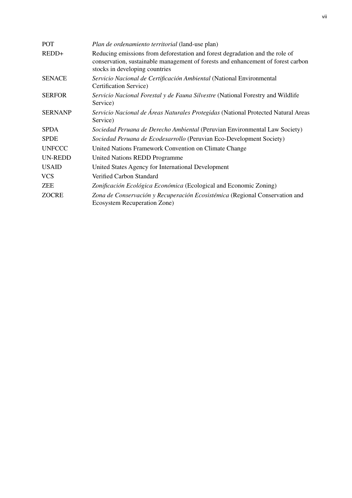| <b>POT</b>     | Plan de ordenamiento territorial (land-use plan)                                                                                                                                                   |
|----------------|----------------------------------------------------------------------------------------------------------------------------------------------------------------------------------------------------|
| REDD+          | Reducing emissions from deforestation and forest degradation and the role of<br>conservation, sustainable management of forests and enhancement of forest carbon<br>stocks in developing countries |
| <b>SENACE</b>  | Servicio Nacional de Certificación Ambiental (National Environmental<br>Certification Service)                                                                                                     |
| <b>SERFOR</b>  | Servicio Nacional Forestal y de Fauna Silvestre (National Forestry and Wildlife<br>Service)                                                                                                        |
| <b>SERNANP</b> | Servicio Nacional de Áreas Naturales Protegidas (National Protected Natural Areas<br>Service)                                                                                                      |
| <b>SPDA</b>    | Sociedad Peruana de Derecho Ambiental (Peruvian Environmental Law Society)                                                                                                                         |
| <b>SPDE</b>    | Sociedad Peruana de Ecodesarrollo (Peruvian Eco-Development Society)                                                                                                                               |
| <b>UNFCCC</b>  | United Nations Framework Convention on Climate Change                                                                                                                                              |
| <b>UN-REDD</b> | <b>United Nations REDD Programme</b>                                                                                                                                                               |
| <b>USAID</b>   | United States Agency for International Development                                                                                                                                                 |
| <b>VCS</b>     | Verified Carbon Standard                                                                                                                                                                           |
| ZEE            | Zonificación Ecológica Económica (Ecological and Economic Zoning)                                                                                                                                  |
| <b>ZOCRE</b>   | Zona de Conservación y Recuperación Ecosistémica (Regional Conservation and<br>Ecosystem Recuperation Zone)                                                                                        |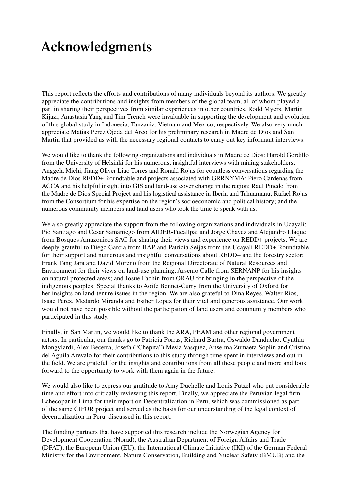### **Acknowledgments**

This report reflects the efforts and contributions of many individuals beyond its authors. We greatly appreciate the contributions and insights from members of the global team, all of whom played a part in sharing their perspectives from similar experiences in other countries. Rodd Myers, Martin Kijazi, Anastasia Yang and Tim Trench were invaluable in supporting the development and evolution of this global study in Indonesia, Tanzania, Vietnam and Mexico, respectively. We also very much appreciate Matias Perez Ojeda del Arco for his preliminary research in Madre de Dios and San Martin that provided us with the necessary regional contacts to carry out key informant interviews.

We would like to thank the following organizations and individuals in Madre de Dios: Harold Gordillo from the University of Helsinki for his numerous, insightful interviews with mining stakeholders; Anggela Michi, Jiang Oliver Liao Torres and Ronald Rojas for countless conversations regarding the Madre de Dios REDD+ Roundtable and projects associated with GRRNYMA; Piero Cardenas from ACCA and his helpful insight into GIS and land-use cover change in the region; Raul Pinedo from the Madre de Dios Special Project and his logistical assistance in Iberia and Tahuamanu; Rafael Rojas from the Consortium for his expertise on the region's socioeconomic and political history; and the numerous community members and land users who took the time to speak with us.

We also greatly appreciate the support from the following organizations and individuals in Ucayali: Pio Santiago and Cesar Samaniego from AIDER-Pucallpa; and Jorge Chavez and Alejandro Llaque from Bosques Amazonicos SAC for sharing their views and experience on REDD+ projects. We are deeply grateful to Diego Garcia from IIAP and Patricia Seijas from the Ucayali REDD+ Roundtable for their support and numerous and insightful conversations about REDD+ and the forestry sector; Frank Tang Jara and David Moreno from the Regional Directorate of Natural Resources and Environment for their views on land-use planning; Arsenio Calle from SERNANP for his insights on natural protected areas; and Josue Fachin from ORAU for bringing in the perspective of the indigenous peoples. Special thanks to Aoife Bennet-Curry from the University of Oxford for her insights on land-tenure issues in the region. We are also grateful to Dina Reyes, Walter Rios, Isaac Perez, Medardo Miranda and Esther Lopez for their vital and generous assistance. Our work would not have been possible without the participation of land users and community members who participated in this study.

Finally, in San Martin, we would like to thank the ARA, PEAM and other regional government actors. In particular, our thanks go to Patricia Porras, Richard Bartra, Oswaldo Danducho, Cynthia Mongylardi, Alex Becerra, Josefa ("Chepita") Mesia Vasquez, Anselma Zumaeta Soplin and Cristina del Aguila Arevalo for their contributions to this study through time spent in interviews and out in the field. We are grateful for the insights and contributions from all these people and more and look forward to the opportunity to work with them again in the future.

We would also like to express our gratitude to Amy Duchelle and Louis Putzel who put considerable time and effort into critically reviewing this report. Finally, we appreciate the Peruvian legal firm Echecopar in Lima for their report on Decentralization in Peru, which was commissioned as part of the same CIFOR project and served as the basis for our understanding of the legal context of decentralization in Peru, discussed in this report.

The funding partners that have supported this research include the Norwegian Agency for Development Cooperation (Norad), the Australian Department of Foreign Affairs and Trade (DFAT), the European Union (EU), the International Climate Initiative (IKI) of the German Federal Ministry for the Environment, Nature Conservation, Building and Nuclear Safety (BMUB) and the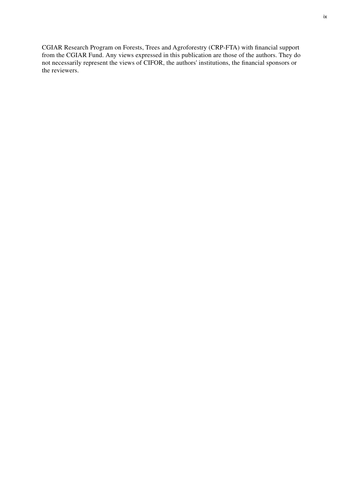CGIAR Research Program on Forests, Trees and Agroforestry (CRP-FTA) with financial support from the CGIAR Fund. Any views expressed in this publication are those of the authors. They do not necessarily represent the views of CIFOR, the authors' institutions, the financial sponsors or the reviewers.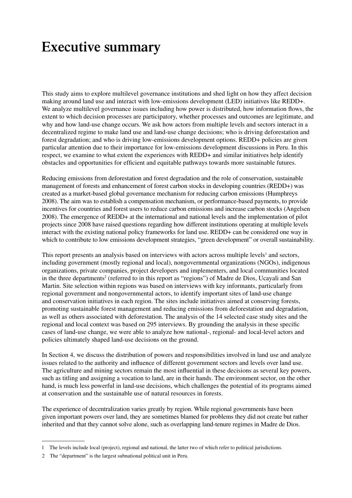### **Executive summary**

This study aims to explore multilevel governance institutions and shed light on how they affect decision making around land use and interact with low-emissions development (LED) initiatives like REDD+. We analyze multilevel governance issues including how power is distributed, how information flows, the extent to which decision processes are participatory, whether processes and outcomes are legitimate, and why and how land-use change occurs. We ask how actors from multiple levels and sectors interact in a decentralized regime to make land use and land-use change decisions; who is driving deforestation and forest degradation; and who is driving low-emissions development options. REDD+ policies are given particular attention due to their importance for low-emissions development discussions in Peru. In this respect, we examine to what extent the experiences with REDD+ and similar initiatives help identify obstacles and opportunities for efficient and equitable pathways towards more sustainable futures.

Reducing emissions from deforestation and forest degradation and the role of conservation, sustainable management of forests and enhancement of forest carbon stocks in developing countries (REDD+) was created as a market-based global governance mechanism for reducing carbon emissions (Humphreys 2008). The aim was to establish a compensation mechanism, or performance-based payments, to provide incentives for countries and forest users to reduce carbon emissions and increase carbon stocks (Angelsen 2008). The emergence of REDD+ at the international and national levels and the implementation of pilot projects since 2008 have raised questions regarding how different institutions operating at multiple levels interact with the existing national policy frameworks for land use. REDD+ can be considered one way in which to contribute to low emissions development strategies, "green development" or overall sustainability.

This report presents an analysis based on interviews with actors across multiple levels<sup>1</sup> and sectors, including government (mostly regional and local), nongovernmental organizations (NGOs), indigenous organizations, private companies, project developers and implementers, and local communities located in the three departments<sup>2</sup> (referred to in this report as "regions") of Madre de Dios, Ucayali and San Martin. Site selection within regions was based on interviews with key informants, particularly from regional government and nongovernmental actors, to identify important sites of land-use change and conservation initiatives in each region. The sites include initiatives aimed at conserving forests, promoting sustainable forest management and reducing emissions from deforestation and degradation, as well as others associated with deforestation. The analysis of the 14 selected case study sites and the regional and local context was based on 295 interviews. By grounding the analysis in these specific cases of land-use change, we were able to analyze how national-, regional- and local-level actors and policies ultimately shaped land-use decisions on the ground.

In Section 4, we discuss the distribution of powers and responsibilities involved in land use and analyze issues related to the authority and influence of different government sectors and levels over land use. The agriculture and mining sectors remain the most influential in these decisions as several key powers, such as titling and assigning a vocation to land, are in their hands. The environment sector, on the other hand, is much less powerful in land-use decisions, which challenges the potential of its programs aimed at conservation and the sustainable use of natural resources in forests.

The experience of decentralization varies greatly by region. While regional governments have been given important powers over land, they are sometimes blamed for problems they did not create but rather inherited and that they cannot solve alone, such as overlapping land-tenure regimes in Madre de Dios.

<sup>1</sup> The levels include local (project), regional and national, the latter two of which refer to political jurisdictions.

<sup>2</sup> The "department" is the largest subnational political unit in Peru.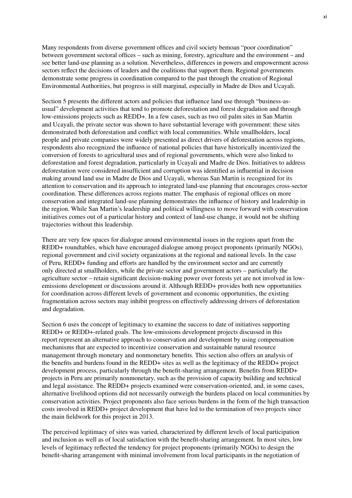Many respondents from diverse government offices and civil society bemoan "poor coordination" between government sectoral offices – such as mining, forestry, agriculture and the environment – and see better land-use planning as a solution. Nevertheless, differences in powers and empowerment across sectors reflect the decisions of leaders and the coalitions that support them. Regional governments demonstrate some progress in coordination compared to the past through the creation of Regional Environmental Authorities, but progress is still marginal, especially in Madre de Dios and Ucayali.

Section 5 presents the different actors and policies that influence land use through "business-asusual" development activities that tend to promote deforestation and forest degradation and through low-emissions projects such as REDD+. In a few cases, such as two oil palm sites in San Martin and Ucayali, the private sector was shown to have substantial leverage with government: these sites demonstrated both deforestation and conflict with local communities. While smallholders, local people and private companies were widely presented as direct drivers of deforestation across regions, respondents also recognized the influence of national policies that have historically incentivized the conversion of forests to agricultural uses and of regional governments, which were also linked to deforestation and forest degradation, particularly in Ucayali and Madre de Dios. Initiatives to address deforestation were considered insufficient and corruption was identified as influential in decision making around land use in Madre de Dios and Ucayali, whereas San Martin is recognized for its attention to conservation and its approach to integrated land-use planning that encourages cross-sector coordination. These differences across regions matter. The emphasis of regional offices on more conservation and integrated land-use planning demonstrates the influence of history and leadership in the region. While San Martin's leadership and political willingness to move forward with conservation initiatives comes out of a particular history and context of land-use change, it would not be shifting trajectories without this leadership.

There are very few spaces for dialogue around environmental issues in the regions apart from the REDD+ roundtables, which have encouraged dialogue among project proponents (primarily NGOs), regional government and civil society organizations at the regional and national levels. In the case of Peru, REDD+ funding and efforts are handled by the environment sector and are currently only directed at smallholders, while the private sector and government actors – particularly the agriculture sector – retain significant decision-making power over forests yet are not involved in lowemissions development or discussions around it. Although REDD+ provides both new opportunities for coordination across different levels of government and economic opportunities, the existing fragmentation across sectors may inhibit progress on effectively addressing drivers of deforestation and degradation.

Section 6 uses the concept of legitimacy to examine the success to date of initiatives supporting REDD+ or REDD+-related goals. The low-emissions development projects discussed in this report represent an alternative approach to conservation and development by using compensation mechanisms that are expected to incentivize conservation and sustainable natural resource management through monetary and nonmonetary benefits. This section also offers an analysis of the benefits and burdens found in the REDD+ sites as well as the legitimacy of the REDD+ project development process, particularly through the benefit-sharing arrangement. Benefits from REDD+ projects in Peru are primarily nonmonetary, such as the provision of capacity building and technical and legal assistance. The REDD+ projects examined were conservation-oriented, and, in some cases, alternative livelihood options did not necessarily outweigh the burdens placed on local communities by conservation activities. Project proponents also face serious burdens in the form of the high transaction costs involved in REDD+ project development that have led to the termination of two projects since the main fieldwork for this project in 2013.

The perceived legitimacy of sites was varied, characterized by different levels of local participation and inclusion as well as of local satisfaction with the benefit-sharing arrangement. In most sites, low levels of legitimacy reflected the tendency for project proponents (primarily NGOs) to design the benefit-sharing arrangement with minimal involvement from local participants in the negotiation of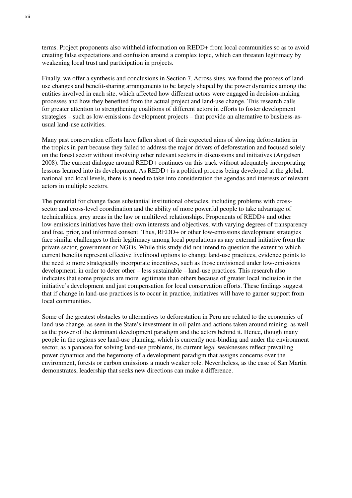terms. Project proponents also withheld information on REDD+ from local communities so as to avoid creating false expectations and confusion around a complex topic, which can threaten legitimacy by weakening local trust and participation in projects.

Finally, we offer a synthesis and conclusions in Section 7. Across sites, we found the process of landuse changes and benefit-sharing arrangements to be largely shaped by the power dynamics among the entities involved in each site, which affected how different actors were engaged in decision-making processes and how they benefited from the actual project and land-use change. This research calls for greater attention to strengthening coalitions of different actors in efforts to foster development strategies – such as low-emissions development projects – that provide an alternative to business-asusual land-use activities.

Many past conservation efforts have fallen short of their expected aims of slowing deforestation in the tropics in part because they failed to address the major drivers of deforestation and focused solely on the forest sector without involving other relevant sectors in discussions and initiatives (Angelsen 2008). The current dialogue around REDD+ continues on this track without adequately incorporating lessons learned into its development. As REDD+ is a political process being developed at the global, national and local levels, there is a need to take into consideration the agendas and interests of relevant actors in multiple sectors.

The potential for change faces substantial institutional obstacles, including problems with crosssector and cross-level coordination and the ability of more powerful people to take advantage of technicalities, grey areas in the law or multilevel relationships. Proponents of REDD+ and other low-emissions initiatives have their own interests and objectives, with varying degrees of transparency and free, prior, and informed consent. Thus, REDD+ or other low-emissions development strategies face similar challenges to their legitimacy among local populations as any external initiative from the private sector, government or NGOs. While this study did not intend to question the extent to which current benefits represent effective livelihood options to change land-use practices, evidence points to the need to more strategically incorporate incentives, such as those envisioned under low-emissions development, in order to deter other – less sustainable – land-use practices. This research also indicates that some projects are more legitimate than others because of greater local inclusion in the initiative's development and just compensation for local conservation efforts. These findings suggest that if change in land-use practices is to occur in practice, initiatives will have to garner support from local communities.

Some of the greatest obstacles to alternatives to deforestation in Peru are related to the economics of land-use change, as seen in the State's investment in oil palm and actions taken around mining, as well as the power of the dominant development paradigm and the actors behind it. Hence, though many people in the regions see land-use planning, which is currently non-binding and under the environment sector, as a panacea for solving land-use problems, its current legal weaknesses reflect prevailing power dynamics and the hegemony of a development paradigm that assigns concerns over the environment, forests or carbon emissions a much weaker role. Nevertheless, as the case of San Martin demonstrates, leadership that seeks new directions can make a difference.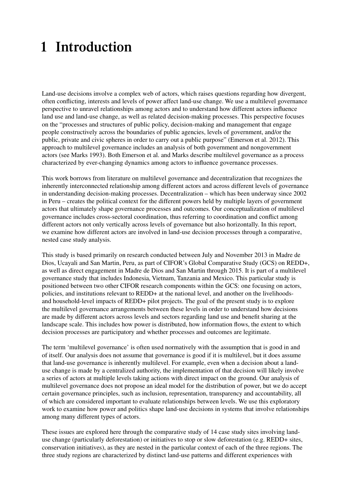# **1 Introduction**

Land-use decisions involve a complex web of actors, which raises questions regarding how divergent, often conflicting, interests and levels of power affect land-use change. We use a multilevel governance perspective to unravel relationships among actors and to understand how different actors influence land use and land-use change, as well as related decision-making processes. This perspective focuses on the "processes and structures of public policy, decision-making and management that engage people constructively across the boundaries of public agencies, levels of government, and/or the public, private and civic spheres in order to carry out a public purpose" (Emerson et al. 2012). This approach to multilevel governance includes an analysis of both government and nongovernment actors (see Marks 1993). Both Emerson et al. and Marks describe multilevel governance as a process characterized by ever-changing dynamics among actors to influence governance processes.

This work borrows from literature on multilevel governance and decentralization that recognizes the inherently interconnected relationship among different actors and across different levels of governance in understanding decision-making processes. Decentralization – which has been underway since 2002 in Peru – creates the political context for the different powers held by multiple layers of government actors that ultimately shape governance processes and outcomes. Our conceptualization of multilevel governance includes cross-sectoral coordination, thus referring to coordination and conflict among different actors not only vertically across levels of governance but also horizontally. In this report, we examine how different actors are involved in land-use decision processes through a comparative, nested case study analysis.

This study is based primarily on research conducted between July and November 2013 in Madre de Dios, Ucayali and San Martin, Peru, as part of CIFOR's Global Comparative Study (GCS) on REDD+, as well as direct engagement in Madre de Dios and San Martin through 2015. It is part of a multilevel governance study that includes Indonesia, Vietnam, Tanzania and Mexico. This particular study is positioned between two other CIFOR research components within the GCS: one focusing on actors, policies, and institutions relevant to REDD+ at the national level, and another on the livelihoodsand household-level impacts of REDD+ pilot projects. The goal of the present study is to explore the multilevel governance arrangements between these levels in order to understand how decisions are made by different actors across levels and sectors regarding land use and benefit sharing at the landscape scale. This includes how power is distributed, how information flows, the extent to which decision processes are participatory and whether processes and outcomes are legitimate.

The term 'multilevel governance' is often used normatively with the assumption that is good in and of itself. Our analysis does not assume that governance is good if it is multilevel, but it does assume that land-use governance is inherently multilevel. For example, even when a decision about a landuse change is made by a centralized authority, the implementation of that decision will likely involve a series of actors at multiple levels taking actions with direct impact on the ground. Our analysis of multilevel governance does not propose an ideal model for the distribution of power, but we do accept certain governance principles, such as inclusion, representation, transparency and accountability, all of which are considered important to evaluate relationships between levels. We use this exploratory work to examine how power and politics shape land-use decisions in systems that involve relationships among many different types of actors.

These issues are explored here through the comparative study of 14 case study sites involving landuse change (particularly deforestation) or initiatives to stop or slow deforestation (e.g. REDD+ sites, conservation initiatives), as they are nested in the particular context of each of the three regions. The three study regions are characterized by distinct land-use patterns and different experiences with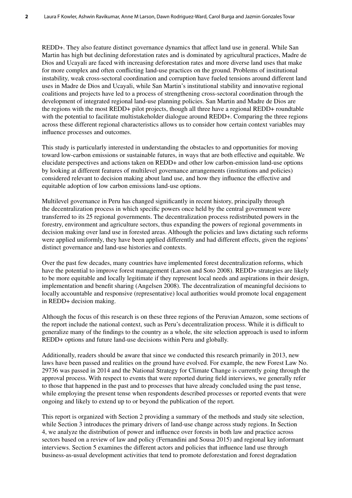REDD+. They also feature distinct governance dynamics that affect land use in general. While San Martin has high but declining deforestation rates and is dominated by agricultural practices, Madre de Dios and Ucayali are faced with increasing deforestation rates and more diverse land uses that make for more complex and often conflicting land-use practices on the ground. Problems of institutional instability, weak cross-sectoral coordination and corruption have fueled tensions around different land uses in Madre de Dios and Ucayali, while San Martin's institutional stability and innovative regional coalitions and projects have led to a process of strengthening cross-sectoral coordination through the development of integrated regional land-use planning policies. San Martin and Madre de Dios are the regions with the most REDD+ pilot projects, though all three have a regional REDD+ roundtable with the potential to facilitate multistakeholder dialogue around REDD+. Comparing the three regions across these different regional characteristics allows us to consider how certain context variables may influence processes and outcomes.

This study is particularly interested in understanding the obstacles to and opportunities for moving toward low-carbon emissions or sustainable futures, in ways that are both effective and equitable. We elucidate perspectives and actions taken on REDD+ and other low carbon-emission land-use options by looking at different features of multilevel governance arrangements (institutions and policies) considered relevant to decision making about land use, and how they influence the effective and equitable adoption of low carbon emissions land-use options.

Multilevel governance in Peru has changed significantly in recent history, principally through the decentralization process in which specific powers once held by the central government were transferred to its 25 regional governments. The decentralization process redistributed powers in the forestry, environment and agriculture sectors, thus expanding the powers of regional governments in decision making over land use in forested areas. Although the policies and laws dictating such reforms were applied uniformly, they have been applied differently and had different effects, given the regions' distinct governance and land-use histories and contexts.

Over the past few decades, many countries have implemented forest decentralization reforms, which have the potential to improve forest management (Larson and Soto 2008). REDD+ strategies are likely to be more equitable and locally legitimate if they represent local needs and aspirations in their design, implementation and benefit sharing (Angelsen 2008). The decentralization of meaningful decisions to locally accountable and responsive (representative) local authorities would promote local engagement in REDD+ decision making.

Although the focus of this research is on these three regions of the Peruvian Amazon, some sections of the report include the national context, such as Peru's decentralization process. While it is difficult to generalize many of the findings to the country as a whole, the site selection approach is used to inform REDD+ options and future land-use decisions within Peru and globally.

Additionally, readers should be aware that since we conducted this research primarily in 2013, new laws have been passed and realities on the ground have evolved. For example, the new Forest Law No. 29736 was passed in 2014 and the National Strategy for Climate Change is currently going through the approval process. With respect to events that were reported during field interviews, we generally refer to those that happened in the past and to processes that have already concluded using the past tense, while employing the present tense when respondents described processes or reported events that were ongoing and likely to extend up to or beyond the publication of the report.

This report is organized with Section 2 providing a summary of the methods and study site selection, while Section 3 introduces the primary drivers of land-use change across study regions. In Section 4, we analyze the distribution of power and influence over forests in both law and practice across sectors based on a review of law and policy (Fernandini and Sousa 2015) and regional key informant interviews. Section 5 examines the different actors and policies that influence land use through business-as-usual development activities that tend to promote deforestation and forest degradation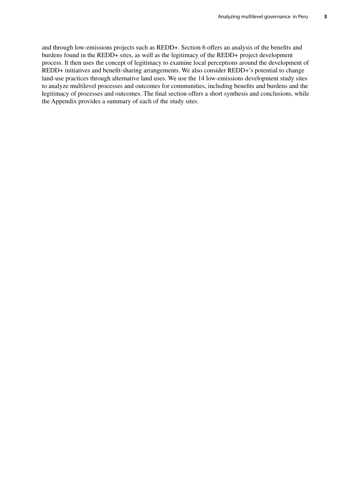and through low-emissions projects such as REDD+. Section 6 offers an analysis of the benefits and burdens found in the REDD+ sites, as well as the legitimacy of the REDD+ project development process. It then uses the concept of legitimacy to examine local perceptions around the development of REDD+ initiatives and benefit-sharing arrangements. We also consider REDD+'s potential to change land-use practices through alternative land uses. We use the 14 low-emissions development study sites to analyze multilevel processes and outcomes for communities, including benefits and burdens and the legitimacy of processes and outcomes. The final section offers a short synthesis and conclusions, while the Appendix provides a summary of each of the study sites.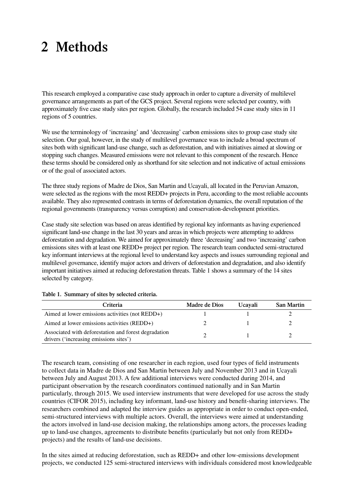# **2 Methods**

This research employed a comparative case study approach in order to capture a diversity of multilevel governance arrangements as part of the GCS project. Several regions were selected per country, with approximately five case study sites per region. Globally, the research included 54 case study sites in 11 regions of 5 countries.

We use the terminology of 'increasing' and 'decreasing' carbon emissions sites to group case study site selection. Our goal, however, in the study of multilevel governance was to include a broad spectrum of sites both with significant land-use change, such as deforestation, and with initiatives aimed at slowing or stopping such changes. Measured emissions were not relevant to this component of the research. Hence these terms should be considered only as shorthand for site selection and not indicative of actual emissions or of the goal of associated actors.

The three study regions of Madre de Dios, San Martin and Ucayali, all located in the Peruvian Amazon, were selected as the regions with the most REDD+ projects in Peru, according to the most reliable accounts available. They also represented contrasts in terms of deforestation dynamics, the overall reputation of the regional governments (transparency versus corruption) and conservation-development priorities.

Case study site selection was based on areas identified by regional key informants as having experienced significant land-use change in the last 30 years and areas in which projects were attempting to address deforestation and degradation. We aimed for approximately three 'decreasing' and two 'increasing' carbon emissions sites with at least one REDD+ project per region. The research team conducted semi-structured key informant interviews at the regional level to understand key aspects and issues surrounding regional and multilevel governance, identify major actors and drivers of deforestation and degradation, and also identify important initiatives aimed at reducing deforestation threats. Table 1 shows a summary of the 14 sites selected by category.

| Criteria                                                                                       | <b>Madre de Dios</b> | <b>Ucavali</b> | <b>San Martin</b> |
|------------------------------------------------------------------------------------------------|----------------------|----------------|-------------------|
| Aimed at lower emissions activities (not REDD+)                                                |                      |                |                   |
| Aimed at lower emissions activities (REDD+)                                                    |                      |                |                   |
| Associated with deforestation and forest degradation<br>drivers ('increasing emissions sites') |                      |                |                   |

#### **Table 1. Summary of sites by selected criteria.**

The research team, consisting of one researcher in each region, used four types of field instruments to collect data in Madre de Dios and San Martin between July and November 2013 and in Ucayali between July and August 2013. A few additional interviews were conducted during 2014, and participant observation by the research coordinators continued nationally and in San Martin particularly, through 2015. We used interview instruments that were developed for use across the study countries (CIFOR 2015), including key informant, land-use history and benefit-sharing interviews. The researchers combined and adapted the interview guides as appropriate in order to conduct open-ended, semi-structured interviews with multiple actors. Overall, the interviews were aimed at understanding the actors involved in land-use decision making, the relationships among actors, the processes leading up to land-use changes, agreements to distribute benefits (particularly but not only from REDD+ projects) and the results of land-use decisions.

In the sites aimed at reducing deforestation, such as REDD+ and other low-emissions development projects, we conducted 125 semi-structured interviews with individuals considered most knowledgeable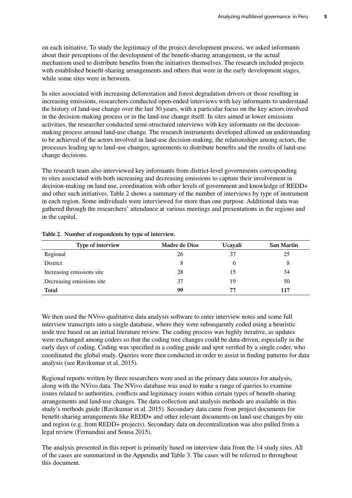on each initiative. To study the legitimacy of the project development process, we asked informants about their perceptions of the development of the benefit-sharing arrangement, or the actual mechanism used to distribute benefits from the initiatives themselves. The research included projects with established benefit-sharing arrangements and others that were in the early development stages, while some sites were in between.

In sites associated with increasing deforestation and forest degradation drivers or those resulting in increasing emissions, researchers conducted open-ended interviews with key informants to understand the history of land-use change over the last 30 years, with a particular focus on the key actors involved in the decision-making process or in the land-use change itself. In sites aimed at lower emissions activities, the researcher conducted semi-structured interviews with key informants on the decisionmaking process around land-use change. The research instruments developed allowed an understanding to be achieved of the actors involved in land-use decision-making, the relationships among actors, the processes leading up to land-use changes, agreements to distribute benefits and the results of land-use change decisions.

The research team also interviewed key informants from district-level governments corresponding to sites associated with both increasing and decreasing emissions to capture their involvement in decision-making on land use, coordination with other levels of government and knowledge of REDD+ and other such initiatives. Table 2 shows a summary of the number of interviews by type of instrument in each region. Some individuals were interviewed for more than one purpose. Additional data was gathered through the researchers' attendance at various meetings and presentations in the regions and in the capital.

| Type of interview         | Madre de Dios | Ucayali | <b>San Martin</b> |
|---------------------------|---------------|---------|-------------------|
| Regional                  | 26            | 37      | 25                |
| District                  |               | h       | 8                 |
| Increasing emissions site | 28            | 15      | 34                |
| Decreasing emissions site | 37            | 19      | 50                |
| Total                     | 99            | 77      | 117               |

#### **Table 2. Number of respondents by type of interview.**

We then used the NVivo qualitative data analysis software to enter interview notes and some full interview transcripts into a single database, where they were subsequently coded using a heuristic node tree based on an initial literature review. The coding process was highly iterative, as updates were exchanged among coders so that the coding tree changes could be data-driven, especially in the early days of coding. Coding was specified in a coding guide and spot verified by a single coder, who coordinated the global study. Queries were then conducted in order to assist in finding patterns for data analysis (see Ravikumar et al. 2015).

Regional reports written by three researchers were used as the primary data sources for analysis, along with the NVivo data. The NVivo database was used to make a range of queries to examine issues related to authorities, conflicts and legitimacy issues within certain types of benefit-sharing arrangements and land-use changes. The data collection and analysis methods are available in this study's methods guide (Ravikumar et al. 2015). Secondary data came from project documents for benefit-sharing arrangements like REDD+ and other relevant documents on land-use changes by site and region (e.g. from REDD+ projects). Secondary data on decentralization was also pulled from a legal review (Fernandini and Sousa 2015).

The analysis presented in this report is primarily based on interview data from the 14 study sites. All of the cases are summarized in the Appendix and Table 3. The cases will be referred to throughout this document.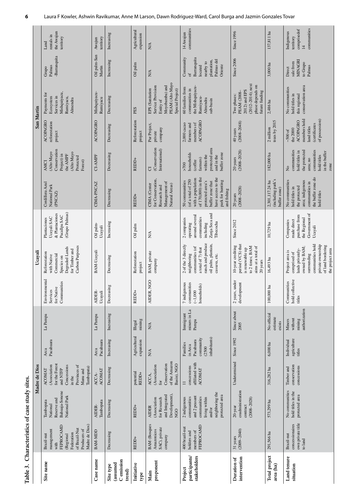| Table 3.                                      |                                                                                                                             | Characteristics of case study sites.                                                                                        |                                                                                                                         |                                                                         |                                              |                                                          |                                                                                                                                                                       |                                                                                                       |                                                                                                                                                                                  |                                                                                                                                    |                                                                                                              |                                                                                                              |                                                                                                       |                                                                          |
|-----------------------------------------------|-----------------------------------------------------------------------------------------------------------------------------|-----------------------------------------------------------------------------------------------------------------------------|-------------------------------------------------------------------------------------------------------------------------|-------------------------------------------------------------------------|----------------------------------------------|----------------------------------------------------------|-----------------------------------------------------------------------------------------------------------------------------------------------------------------------|-------------------------------------------------------------------------------------------------------|----------------------------------------------------------------------------------------------------------------------------------------------------------------------------------|------------------------------------------------------------------------------------------------------------------------------------|--------------------------------------------------------------------------------------------------------------|--------------------------------------------------------------------------------------------------------------|-------------------------------------------------------------------------------------------------------|--------------------------------------------------------------------------|
|                                               |                                                                                                                             |                                                                                                                             | Madre de Dios                                                                                                           |                                                                         |                                              |                                                          | Ucayali                                                                                                                                                               |                                                                                                       |                                                                                                                                                                                  |                                                                                                                                    | San Martin                                                                                                   |                                                                                                              |                                                                                                       |                                                                          |
| Site name                                     | Madre de Dios)<br>FEPROCAMD<br>of Brazil-Nut<br>Producers of<br>management<br>Federation<br>Brazil-nut<br>(Regional<br>with | Bahuaja-Sonene<br>National Park<br>Reserve and<br>Tambopata<br>National                                                     | for the Forest<br>(Association<br>Provinces of<br>Concessions<br>Tambopata)<br>and NTFP<br>ACOMAT<br>Manu and<br>in the | Pacahuara<br>Arca                                                       | La Pampa                                     | Environmental<br>Communities<br>for Native<br>Services   | Carbon Purposes<br>Degraded Lands<br>for Timber and<br>Reforestation<br>Commercial<br>with Native<br>Species on                                                       | (Grupo Palmas)<br>& Plantaciones<br>Pucallpa SAC<br>Ucayali SAC<br>Plantaciones                       | Cordillera Azul<br>National Park<br>(PNCAZ)                                                                                                                                      | Conservation<br>Alto Mayo<br>(Alto Mayo<br>the AMPF<br>Project) in<br>Protected<br>Forest)<br>AMCI                                 | ACOPAGRO<br>reforestation<br>project                                                                         | Mishquiyacu,<br>Payments for<br>Services in<br>Rumiyacu,<br>Ecosystem<br>Almendra                            | -Barranquita<br>Palmas<br>Grupo                                                                       | the Awajun<br>rentals in<br>territory<br>Land                            |
| Case name                                     | BAM-MDD                                                                                                                     | Tambopata<br>AIDER-                                                                                                         | ACOMAT<br>ACCA-                                                                                                         | Pacahuara<br>Arca                                                       | La Pampa                                     | ģ<br>Ucayali<br><b>AIDE</b>                              | BAM-Ucayali                                                                                                                                                           | Oil palm-<br>Ucayali                                                                                  | CIMA-PNCAZ                                                                                                                                                                       | CI-AMPF                                                                                                                            | <b>ACOPAGRO</b>                                                                                              | Mishquiyacu-<br>Rumiyacu                                                                                     | Oil palm-San<br>Martin                                                                                | territory<br>Awajun                                                      |
| C emission<br>(assumed<br>Site type<br>trend) | Decreasing                                                                                                                  | Decreasing                                                                                                                  | Decreasing                                                                                                              | Increasing                                                              | Increasing                                   | Decreasing                                               | Decreasing                                                                                                                                                            | Increasing                                                                                            | Decreasing                                                                                                                                                                       | Decreasing                                                                                                                         | Decreasing                                                                                                   | Decreasing                                                                                                   | Increasing                                                                                            | Increasing                                                               |
| Initiative<br>type                            | REDD+                                                                                                                       | REDD+                                                                                                                       | potential<br>REDD+                                                                                                      | Agricultural<br>expansion                                               | mining<br>Illegal                            | REDD+                                                    | Reforestation<br>project                                                                                                                                              | Oil palm                                                                                              | REDD+                                                                                                                                                                            | REDD+                                                                                                                              | Reforestation<br>project                                                                                     | PES                                                                                                          | Oil palm                                                                                              | Agricultural<br>expansion                                                |
| proponent<br>Main                             | <b>BAM</b> (Bosques<br>SAC), private<br>Amazonicos<br>company                                                               | Development),<br>and Integrated<br>(Association<br>for Research<br><b>AIDER</b><br><b>NGO</b>                               | of the Amazon<br>Conservation<br>Basin), NGO<br>(Association<br>ACCA,<br>for                                            | $\mathbf{N}\mathbf{A}$                                                  | $\mathop{\rm N}\nolimits$                    | R, NGO<br><b>AIDE</b>                                    | BAM, private<br>company                                                                                                                                               | $N\mathsf{A}$                                                                                         | for Conservation<br>Management of<br>CIMA (Center<br>Natural Areas)<br>Research and                                                                                              | (Conservation<br>International)<br>ð                                                                                               | Pur Project,<br>company<br>private                                                                           | PEAM (Alto Mayo<br>Moyobamba) and<br>Service Provision<br>EPS (Sanitation<br>Special Project)<br>Entity of   | N/A                                                                                                   | <b>N/A</b>                                                               |
| participants/<br>stakeholders<br>Project      | FEPROCAMD<br>400 brazil-nut<br>members of<br>holders and                                                                    | neighboring the<br>protected area<br>and 2 peasant<br>communities<br>2 indigenous<br>communities<br>living within<br>and/or | affiliated with<br>concessions<br>ACOMAT<br>$\equiv$                                                                    | inhabitants)<br>community<br>Pacahuara<br>Families<br>in Arca<br>(2500) | miners in La<br>Immigrant<br>Pampa           | communities<br>7 indigenous<br>households)<br>$(-1,000)$ | ranch and produce<br>oil palm, plantain,<br>2 of the 3 directly<br>communities (of<br>a total of 7) that<br>neighboring<br>cassava, etc.                              | Zanja Seca and<br>around several<br>communities<br>2 companies<br>Tibecocha<br>operating<br>including | of 170,000) in the<br>have access to the<br>with a population<br>(of a total of 250<br>park for hunting<br>50 communities<br>protected area's<br>buffer zone that<br>and fishing | protected area<br>households<br>buffer zone<br>within the<br>and in the<br>farmers)<br>(coffee<br>$00\angle$                       | ACOPAGRO<br>members of<br>2,000 сасао<br>farmers and                                                         | the Mishquiyacu-<br>60 families from<br>communities in<br>Rumiyacu-<br>Almendra<br>sub-basin                 | Community<br>Barranquita<br>Palmas del<br>plantation<br>nearby to<br>Oriente<br>located<br>$\sigma$ f | communities<br>14 Awajun                                                 |
| intervention<br>Duration of                   | $31 \text{ years}$<br>(2009–2040)                                                                                           | coadministration<br>$(2008 - 2028)$<br>contract<br>20-year                                                                  | Undetermined                                                                                                            | Since 1992                                                              | Since about<br>2005                          | 2 years, under<br>development                            | period (VCS) that<br>10-year crediting<br>to 2 times; BAM<br>aims at a total of<br>is renewable up<br>20 years                                                        | Since 2012                                                                                            | $(2008 - 2028)$<br>20 years                                                                                                                                                      | $20 \text{ years}$<br>$(2008 - 2028)$                                                                                              | $(2008 - 2048)$<br>40 years                                                                                  | $(2012 - 2014)$ ; next<br>phase depends on<br>2012) and EPS<br>future funding<br>PEAM (2008-<br>I'vo phases: | Since 2006                                                                                            | Since 1996                                                               |
| Total project<br>area (ha)                    | 291,566 ha                                                                                                                  | 573,299 ha                                                                                                                  | 316,282 ha                                                                                                              | 6,000 ha                                                                | No official<br>estimate<br>exists            | 100,000 ha                                               | 16,493 ha                                                                                                                                                             | 10,729 ha                                                                                             | (including park's<br>2,301,117.24 ha<br>buffer zone)                                                                                                                             | 182,000 ha                                                                                                                         | trees by 2015<br>2 million                                                                                   | $2,486~\mathrm{ha}$                                                                                          | 3,000 ha                                                                                              | 137,811 ha                                                               |
| Land tenure<br>situation                      | own private title<br>concessionaires<br>Brazil-nut<br>to land                                                               | No communities<br>hold titles in the<br>protected area                                                                      | conservation<br>concessions<br>Timber and                                                                               | agriculture<br>Individual<br>titles                                     | authorization<br>without<br>mining<br>Miners | hold collective<br>Communities<br>titles                 | communities hold<br>private ownership<br>of land bordering<br>owned by BAM;<br>lands privately-<br>the project area<br>Project area is<br>comprised of<br>surrounding | Government of<br>purchase from<br>the Regional<br>made direct<br>Companies<br>Ucayali                 | the buffer zone do<br>No communities<br>area; indigenous<br>communities in<br>the protected<br>hold titles in<br>hold titles                                                     | communities<br>the protected<br>communities<br>hold titles in<br>in the buffer<br>hold titles<br>area; no<br>zone<br>$\frac{1}{2}$ | members hold<br>of possession)<br><b>ACOPAGRO</b><br>(certificates<br>land titles<br>the $2000$<br>$-500$ of | conservation area<br>No communities<br>hold titles in<br>this regional                                       | MINAGRI<br>sale from<br>to Grupo<br>Palmas<br>Direct                                                  | communities<br>comprised of<br>Indigenous<br>territory<br>$\overline{1}$ |

**The Contract**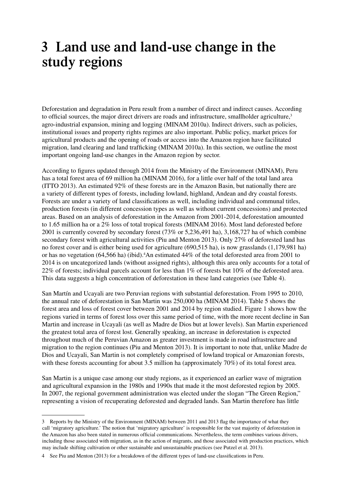### **3 Land use and land-use change in the study regions**

Deforestation and degradation in Peru result from a number of direct and indirect causes. According to official sources, the major direct drivers are roads and infrastructure, smallholder agriculture,<sup>3</sup> agro-industrial expansion, mining and logging (MINAM 2010a). Indirect drivers, such as policies, institutional issues and property rights regimes are also important. Public policy, market prices for agricultural products and the opening of roads or access into the Amazon region have facilitated migration, land clearing and land trafficking (MINAM 2010a). In this section, we outline the most important ongoing land-use changes in the Amazon region by sector.

According to figures updated through 2014 from the Ministry of the Environment (MINAM), Peru has a total forest area of 69 million ha (MINAM 2016), for a little over half of the total land area (ITTO 2013). An estimated 92% of these forests are in the Amazon Basin, but nationally there are a variety of different types of forests, including lowland, highland, Andean and dry coastal forests. Forests are under a variety of land classifications as well, including individual and communal titles, production forests (in different concession types as well as without current concessions) and protected areas. Based on an analysis of deforestation in the Amazon from 2001-2014, deforestation amounted to 1.65 million ha or a 2% loss of total tropical forests (MINAM 2016). Most land deforested before 2001 is currently covered by secondary forest (73% or 5,236,491 ha), 3,168,727 ha of which combine secondary forest with agricultural activities (Piu and Menton 2013). Only 27% of deforested land has no forest cover and is either being used for agriculture (690,515 ha), is now grasslands (1,179,981 ha) or has no vegetation (64,566 ha) (ibid).<sup>4</sup>An estimated 44% of the total deforested area from 2001 to 2014 is on uncategorized lands (without assigned rights), although this area only accounts for a total of 22% of forests; individual parcels account for less than 1% of forests but 10% of the deforested area. This data suggests a high concentration of deforestation in these land categories (see Table 4).

San Martín and Ucayali are two Peruvian regions with substantial deforestation. From 1995 to 2010, the annual rate of deforestation in San Martin was 250,000 ha (MINAM 2014). Table 5 shows the forest area and loss of forest cover between 2001 and 2014 by region studied. Figure 1 shows how the regions varied in terms of forest loss over this same period of time, with the more recent decline in San Martin and increase in Ucayali (as well as Madre de Dios but at lower levels). San Martin experienced the greatest total area of forest lost. Generally speaking, an increase in deforestation is expected throughout much of the Peruvian Amazon as greater investment is made in road infrastructure and migration to the region continues (Piu and Menton 2013). It is important to note that, unlike Madre de Dios and Ucayali, San Martin is not completely comprised of lowland tropical or Amazonian forests, with these forests accounting for about 3.5 million ha (approximately 70%) of its total forest area.

San Martin is a unique case among our study regions, as it experienced an earlier wave of migration and agricultural expansion in the 1980s and 1990s that made it the most deforested region by 2005. In 2007, the regional government administration was elected under the slogan "The Green Region," representing a vision of recuperating deforested and degraded lands. San Martin therefore has little

<sup>3</sup> Reports by the Ministry of the Environment (MINAM) between 2011 and 2013 flag the importance of what they call 'migratory agriculture.' The notion that 'migratory agriculture' is responsible for the vast majority of deforestation in the Amazon has also been stated in numerous official communications. Nevertheless, the term combines various drivers, including those associated with migration, as in the action of migrants, and those associated with production practices, which may include shifting cultivation or other sustainable and unsustainable practices (see Putzel et al. 2013).

<sup>4</sup> See Piu and Menton (2013) for a breakdown of the different types of land-use classifications in Peru.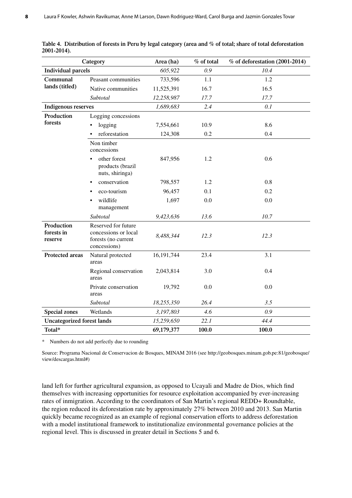|                                     | Category                                                                           | Area (ha)  | % of total | $%$ of deforestation (2001-2014) |
|-------------------------------------|------------------------------------------------------------------------------------|------------|------------|----------------------------------|
| <b>Individual parcels</b>           |                                                                                    | 605,922    | 0.9        | 10.4                             |
| Communal                            | Peasant communities                                                                | 733,596    | 1.1        | 1.2                              |
| lands (titled)                      | Native communities                                                                 | 11,525,391 | 16.7       | 16.5                             |
|                                     | Subtotal                                                                           | 12,258,987 | 17.7       | 17.7                             |
| <b>Indigenous reserves</b>          |                                                                                    | 1,689,683  | 2.4        | 0.1                              |
| Production                          | Logging concessions                                                                |            |            |                                  |
| forests                             | logging                                                                            | 7,554,661  | 10.9       | 8.6                              |
|                                     | reforestation<br>٠                                                                 | 124,308    | 0.2        | 0.4                              |
|                                     | Non timber<br>concessions                                                          |            |            |                                  |
|                                     | other forest<br>products (brazil<br>nuts, shiringa)                                | 847,956    | 1.2        | 0.6                              |
|                                     | conservation                                                                       | 798,557    | 1.2        | 0.8                              |
|                                     | eco-tourism                                                                        | 96,457     | 0.1        | 0.2                              |
|                                     | wildlife<br>management                                                             | 1,697      | 0.0        | 0.0                              |
|                                     | Subtotal                                                                           | 9,423,636  | 13.6       | 10.7                             |
| Production<br>forests in<br>reserve | Reserved for future<br>concessions or local<br>forests (no current<br>concessions) | 8,488,344  | 12.3       | 12.3                             |
| <b>Protected areas</b>              | Natural protected<br>areas                                                         | 16,191,744 | 23.4       | 3.1                              |
|                                     | Regional conservation<br>areas                                                     | 2,043,814  | 3.0        | 0.4                              |
|                                     | Private conservation<br>areas                                                      | 19,792     | 0.0        | 0.0                              |
|                                     | Subtotal                                                                           | 18,255,350 | 26.4       | 3.5                              |
| <b>Special zones</b>                | Wetlands                                                                           | 3,197,803  | 4.6        | 0.9                              |
| <b>Uncategorized forest lands</b>   |                                                                                    | 15,259,650 | 22.1       | 44.4                             |
| Total*                              |                                                                                    | 69,179,377 | 100.0      | 100.0                            |

**Table 4. Distribution of forests in Peru by legal category (area and % of total; share of total deforestation 2001-2014).**

\* Numbers do not add perfectly due to rounding

Source: Programa Nacional de Conservacion de Bosques, MINAM 2016 (see http://geobosques.minam.gob.pe:81/geobosque/ view/descargas.html#)

land left for further agricultural expansion, as opposed to Ucayali and Madre de Dios, which find themselves with increasing opportunities for resource exploitation accompanied by ever-increasing rates of inmigration. According to the coordinators of San Martin's regional REDD+ Roundtable, the region reduced its deforestation rate by approximately 27% between 2010 and 2013. San Martin quickly became recognized as an example of regional conservation efforts to address deforestation with a model institutional framework to institutionalize environmental governance policies at the regional level. This is discussed in greater detail in Sections 5 and 6.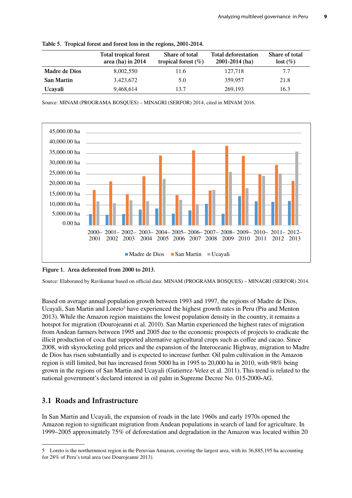**Table 5. Tropical forest and forest loss in the regions, 2001-2014.**

|                   | <b>Total tropical forest</b><br>area (ha) in $2014$ | Share of total<br>tropical forest $(\%)$ | <b>Total deforestation</b><br>$2001 - 2014$ (ha) | Share of total<br>$lost (\%)$ |
|-------------------|-----------------------------------------------------|------------------------------------------|--------------------------------------------------|-------------------------------|
| Madre de Dios     | 8,002,550                                           | 11.6                                     | 127,718                                          | 7.7                           |
| <b>San Martin</b> | 3,423,672                                           | 5.0                                      | 359.957                                          | 21.8                          |
| <b>Ucavali</b>    | 9,468,614                                           | 13.7                                     | 269,193                                          | 16.3                          |

Source: MINAM (PROGRAMA BOSQUES) – MINAGRI (SERFOR) 2014, cited in MINAM 2016.



**Figure 1. Area deforested from 2000 to 2013.**

Source: Elaborated by Ravikumar based on official data: MINAM (PROGRAMA BOSQUES) – MINAGRI (SERFOR) 2014.

Based on average annual population growth between 1993 and 1997, the regions of Madre de Dios, Ucayali, San Martin and Loreto<sup>5</sup> have experienced the highest growth rates in Peru (Piu and Menton 2013). While the Amazon region maintains the lowest population density in the country, it remains a hotspot for migration (Dourojeanni et al. 2010). San Martin experienced the highest rates of migration from Andean farmers between 1995 and 2005 due to the economic prospects of projects to eradicate the illicit production of coca that supported alternative agricultural crops such as coffee and cacao. Since 2008, with skyrocketing gold prices and the expansion of the Interoceanic Highway, migration to Madre de Dios has risen substantially and is expected to increase further. Oil palm cultivation in the Amazon region is still limited, but has increased from 5000 ha in 1995 to 20,000 ha in 2010, with 98% being grown in the regions of San Martin and Ucayali (Gutierrez-Velez et al. 2011). This trend is related to the national government's declared interest in oil palm in Supreme Decree No. 015**-**2000**-**AG.

### **3.1 Roads and Infrastructure**

In San Martin and Ucayali, the expansion of roads in the late 1960s and early 1970s opened the Amazon region to significant migration from Andean populations in search of land for agriculture. In 1999–2005 approximately 75% of deforestation and degradation in the Amazon was located within 20

<sup>5</sup> Loreto is the northernmost region in the Peruvian Amazon, covering the largest area, with its 36,885,195 ha accounting for 28% of Peru's total area (see Dourojeanni 2013).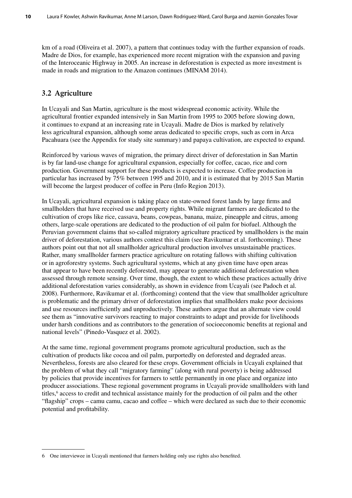km of a road (Oliveira et al. 2007), a pattern that continues today with the further expansion of roads. Madre de Dios, for example, has experienced more recent migration with the expansion and paving of the Interoceanic Highway in 2005. An increase in deforestation is expected as more investment is made in roads and migration to the Amazon continues (MINAM 2014).

### **3.2 Agriculture**

In Ucayali and San Martin, agriculture is the most widespread economic activity. While the agricultural frontier expanded intensively in San Martin from 1995 to 2005 before slowing down, it continues to expand at an increasing rate in Ucayali. Madre de Dios is marked by relatively less agricultural expansion, although some areas dedicated to specific crops, such as corn in Arca Pacahuara (see the Appendix for study site summary) and papaya cultivation, are expected to expand.

Reinforced by various waves of migration, the primary direct driver of deforestation in San Martin is by far land-use change for agricultural expansion, especially for coffee, cacao, rice and corn production. Government support for these products is expected to increase. Coffee production in particular has increased by 75% between 1995 and 2010, and it is estimated that by 2015 San Martin will become the largest producer of coffee in Peru (Info Region 2013).

In Ucayali, agricultural expansion is taking place on state-owned forest lands by large firms and smallholders that have received use and property rights. While migrant farmers are dedicated to the cultivation of crops like rice, cassava, beans, cowpeas, banana, maize, pineapple and citrus, among others, large-scale operations are dedicated to the production of oil palm for biofuel. Although the Peruvian government claims that so-called migratory agriculture practiced by smallholders is the main driver of deforestation, various authors contest this claim (see Ravikumar et al. forthcoming). These authors point out that not all smallholder agricultural production involves unsustainable practices. Rather, many smallholder farmers practice agriculture on rotating fallows with shifting cultivation or in agroforestry systems. Such agricultural systems, which at any given time have open areas that appear to have been recently deforested, may appear to generate additional deforestation when assessed through remote sensing. Over time, though, the extent to which these practices actually drive additional deforestation varies considerably, as shown in evidence from Ucayali (see Padoch et al. 2008). Furthermore, Ravikumar et al. (forthcoming) contend that the view that smallholder agriculture is problematic and the primary driver of deforestation implies that smallholders make poor decisions and use resources inefficiently and unproductively. These authors argue that an alternate view could see them as "innovative survivors reacting to major constraints to adapt and provide for livelihoods under harsh conditions and as contributors to the generation of socioeconomic benefits at regional and national levels" (Pinedo-Vasquez et al. 2002).

At the same time, regional government programs promote agricultural production, such as the cultivation of products like cocoa and oil palm, purportedly on deforested and degraded areas. Nevertheless, forests are also cleared for these crops. Government officials in Ucayali explained that the problem of what they call "migratory farming" (along with rural poverty) is being addressed by policies that provide incentives for farmers to settle permanently in one place and organize into producer associations. These regional government programs in Ucayali provide smallholders with land titles,<sup>6</sup> access to credit and technical assistance mainly for the production of oil palm and the other "flagship" crops – camu camu, cacao and coffee – which were declared as such due to their economic potential and profitability.

<sup>6</sup> One interviewee in Ucayali mentioned that farmers holding only use rights also benefited.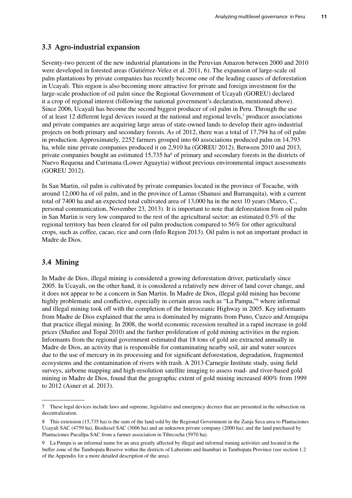### **3.3 Agro-industrial expansion**

Seventy-two percent of the new industrial plantations in the Peruvian Amazon between 2000 and 2010 were developed in forested areas (Gutiérrez-Velez et al. 2011, 6). The expansion of large-scale oil palm plantations by private companies has recently become one of the leading causes of deforestation in Ucayali. This region is also becoming more attractive for private and foreign investment for the large-scale production of oil palm since the Regional Government of Ucayali (GOREU) declared it a crop of regional interest (following the national government's declaration, mentioned above). Since 2006, Ucayali has become the second biggest producer of oil palm in Peru. Through the use of at least 12 different legal devices issued at the national and regional levels,<sup>7</sup> producer associations and private companies are acquiring large areas of state-owned lands to develop their agro-industrial projects on both primary and secondary forests. As of 2012, there was a total of 17,794 ha of oil palm in production. Approximately, 2252 farmers grouped into 60 associations produced palm on 14,793 ha, while nine private companies produced it on 2,910 ha (GOREU 2012). Between 2010 and 2013, private companies bought an estimated 15,735 ha<sup>8</sup> of primary and secondary forests in the districts of Nuevo Requena and Curimana (Lower Aguaytia) without previous environmental impact assessments (GOREU 2012).

In San Martin, oil palm is cultivated by private companies located in the province of Tocache, with around 12,000 ha of oil palm, and in the province of Lamas (Shanusi and Barranquita), with a current total of 7400 ha and an expected total cultivated area of 13,000 ha in the next 10 years (Marco, C., personal communication, November 23, 2013). It is important to note that deforestation from oil palm in San Martin is very low compared to the rest of the agricultural sector: an estimated 0.5% of the regional territory has been cleared for oil palm production compared to 56% for other agricultural crops, such as coffee, cacao, rice and corn (Info Region 2013). Oil palm is not an important product in Madre de Dios.

#### **3.4 Mining**

In Madre de Dios, illegal mining is considered a growing deforestation driver, particularly since 2005. In Ucayali, on the other hand, it is considered a relatively new driver of land cover change, and it does not appear to be a concern in San Martin. In Madre de Dios, illegal gold mining has become highly problematic and conflictive, especially in certain areas such as "La Pampa,"<sup>9</sup> where informal and illegal mining took off with the completion of the Interoceanic Highway in 2005. Key informants from Madre de Dios explained that the area is dominated by migrants from Puno, Cuzco and Arequipa that practice illegal mining. In 2008, the world economic recession resulted in a rapid increase in gold prices (Shafiee and Topal 2010) and the further proliferation of gold mining activities in the region. Informants from the regional government estimated that 18 tons of gold are extracted annually in Madre de Dios, an activity that is responsible for contaminating nearby soil, air and water sources due to the use of mercury in its processing and for significant deforestation, degradation, fragmented ecosystems and the contamination of rivers with trash. A 2013 Carnegie Institute study, using field surveys, airborne mapping and high-resolution satellite imaging to assess road- and river-based gold mining in Madre de Dios, found that the geographic extent of gold mining increased 400% from 1999 to 2012 (Asner et al. 2013).

<sup>7</sup> These legal devices include laws and supreme, legislative and emergency decrees that are presented in the subsection on decentralization.

<sup>8</sup> This extension (15,735 ha) is the sum of the land sold by the Regional Government in the Zanja Seca area to Plantaciones Ucayali SAC (4759 ha), Biodiesel SAC (3006 ha) and an unknown private company (2000 ha); and the land purchased by Plantaciones Pucallpa SAC from a farmer association in Tibecocha (5970 ha).

<sup>9</sup> La Pampa is an informal name for an area greatly affected by illegal and informal mining activities and located in the buffer zone of the Tambopata Reserve within the districts of Laberinto and Inambari in Tambopata Province (see section 1.2 of the Appendix for a more detailed description of the area).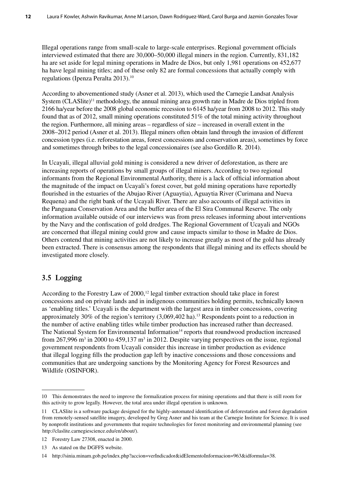Illegal operations range from small-scale to large-scale enterprises. Regional government officials interviewed estimated that there are 30,000–50,000 illegal miners in the region. Currently, 831,182 ha are set aside for legal mining operations in Madre de Dios, but only 1,981 operations on 452,677 ha have legal mining titles; and of these only 82 are formal concessions that actually comply with regulations (Ipenza Peralta 2013).10

According to abovementioned study (Asner et al. 2013), which used the Carnegie Landsat Analysis System (CLAS lite)<sup>11</sup> methodology, the annual mining area growth rate in Madre de Dios tripled from 2166 ha/year before the 2008 global economic recession to 6145 ha/year from 2008 to 2012. This study found that as of 2012, small mining operations constituted 51% of the total mining activity throughout the region. Furthermore, all mining areas – regardless of size – increased in overall extent in the 2008–2012 period (Asner et al. 2013). Illegal miners often obtain land through the invasion of different concession types (i.e. reforestation areas, forest concessions and conservation areas), sometimes by force and sometimes through bribes to the legal concessionaires (see also Gordillo R. 2014).

In Ucayali, illegal alluvial gold mining is considered a new driver of deforestation, as there are increasing reports of operations by small groups of illegal miners. According to two regional informants from the Regional Environmental Authority, there is a lack of official information about the magnitude of the impact on Ucayali's forest cover, but gold mining operations have reportedly flourished in the estuaries of the Abujao River (Aguaytia), Aguaytia River (Curimana and Nueva Requena) and the right bank of the Ucayali River. There are also accounts of illegal activities in the Panguana Conservation Area and the buffer area of the El Sira Communal Reserve. The only information available outside of our interviews was from press releases informing about interventions by the Navy and the confiscation of gold dredges. The Regional Government of Ucayali and NGOs are concerned that illegal mining could grow and cause impacts similar to those in Madre de Dios. Others contend that mining activities are not likely to increase greatly as most of the gold has already been extracted. There is consensus among the respondents that illegal mining and its effects should be investigated more closely.

#### **3.5 Logging**

According to the Forestry Law of 2000,<sup>12</sup> legal timber extraction should take place in forest concessions and on private lands and in indigenous communities holding permits, technically known as 'enabling titles.' Ucayali is the department with the largest area in timber concessions, covering approximately 30% of the region's territory (3,069,402 ha).13 Respondents point to a reduction in the number of active enabling titles while timber production has increased rather than decreased. The National System for Environmental Information<sup>14</sup> reports that roundwood production increased from 267,996  $m<sup>3</sup>$  in 2000 to 459,137  $m<sup>3</sup>$  in 2012. Despite varying perspectives on the issue, regional government respondents from Ucayali consider this increase in timber production as evidence that illegal logging fills the production gap left by inactive concessions and those concessions and communities that are undergoing sanctions by the Monitoring Agency for Forest Resources and Wildlife (OSINFOR).

<sup>10</sup> This demonstrates the need to improve the formalization process for mining operations and that there is still room for this activity to grow legally. However, the total area under illegal operation is unknown.

<sup>11</sup> CLASlite is a software package designed for the highly-automated identification of deforestation and forest degradation from remotely-sensed satellite imagery, developed by Greg Asner and his team at the Carnegie Institute for Science. It is used by nonprofit institutions and governments that require technologies for forest monitoring and environmental planning (see http://claslite.carnegiescience.edu/en/about/).

<sup>12</sup> Forestry Law 27308, enacted in 2000.

<sup>13</sup> As stated on the DGFFS website.

<sup>14</sup> http://sinia.minam.gob.pe/index.php?accion=verIndicador&idElementoInformacion=963&idformula=38.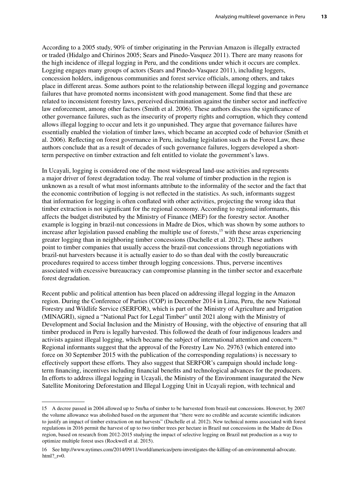According to a 2005 study, 90% of timber originating in the Peruvian Amazon is illegally extracted or traded (Hidalgo and Chirinos 2005; Sears and Pinedo-Vasquez 2011). There are many reasons for the high incidence of illegal logging in Peru, and the conditions under which it occurs are complex. Logging engages many groups of actors (Sears and Pinedo-Vasquez 2011), including loggers, concession holders, indigenous communities and forest service officials, among others, and takes place in different areas. Some authors point to the relationship between illegal logging and governance failures that have promoted norms inconsistent with good management. Some find that these are related to inconsistent forestry laws, perceived discrimination against the timber sector and ineffective law enforcement, among other factors (Smith et al. 2006). These authors discuss the significance of other governance failures, such as the insecurity of property rights and corruption, which they contend allows illegal logging to occur and lets it go unpunished. They argue that governance failures have essentially enabled the violation of timber laws, which became an accepted code of behavior (Smith et al. 2006). Reflecting on forest governance in Peru, including legislation such as the Forest Law, these authors conclude that as a result of decades of such governance failures, loggers developed a shortterm perspective on timber extraction and felt entitled to violate the government's laws.

In Ucayali, logging is considered one of the most widespread land-use activities and represents a major driver of forest degradation today. The real volume of timber production in the region is unknown as a result of what most informants attribute to the informality of the sector and the fact that the economic contribution of logging is not reflected in the statistics. As such, informants suggest that information for logging is often conflated with other activities, projecting the wrong idea that timber extraction is not significant for the regional economy. According to regional informants, this affects the budget distributed by the Ministry of Finance (MEF) for the forestry sector. Another example is logging in brazil-nut concessions in Madre de Dios, which was shown by some authors to increase after legislation passed enabling the multiple use of forests,<sup>15</sup> with these areas experiencing greater logging than in neighboring timber concessions (Duchelle et al. 2012). These authors point to timber companies that usually access the brazil-nut concessions through negotiations with brazil-nut harvesters because it is actually easier to do so than deal with the costly bureaucratic procedures required to access timber through logging concessions. Thus, perverse incentives associated with excessive bureaucracy can compromise planning in the timber sector and exacerbate forest degradation.

Recent public and political attention has been placed on addressing illegal logging in the Amazon region. During the Conference of Parties (COP) in December 2014 in Lima, Peru, the new National Forestry and Wildlife Service (SERFOR), which is part of the Ministry of Agriculture and Irrigation (MINAGRI), signed a "National Pact for Legal Timber" until 2021 along with the Ministry of Development and Social Inclusion and the Ministry of Housing, with the objective of ensuring that all timber produced in Peru is legally harvested. This followed the death of four indigenous leaders and activists against illegal logging, which became the subject of international attention and concern.16 Regional informants suggest that the approval of the Forestry Law No. 29763 (which entered into force on 30 September 2015 with the publication of the corresponding regulations) is necessary to effectively support these efforts. They also suggest that SERFOR's campaign should include longterm financing, incentives including financial benefits and technological advances for the producers. In efforts to address illegal logging in Ucayali, the Ministry of the Environment inaugurated the New Satellite Monitoring Deforestation and Illegal Logging Unit in Ucayali region, with technical and

<sup>15</sup> A decree passed in 2004 allowed up to 5m/ha of timber to be harvested from brazil-nut concessions. However, by 2007 the volume allowance was abolished based on the argument that "there were no credible and accurate scientific indicators to justify an impact of timber extraction on nut harvests" (Duchelle et al. 2012). New technical norms associated with forest regulations in 2016 permit the harvest of up to two timber trees per hectare in Brazil nut concessions in the Madre de Dios region, based on research from 2012-2015 studying the impact of selective logging on Brazil nut production as a way to optimize multiple forest uses (Rockwell et al. 2015).

<sup>16</sup> See http://www.nytimes.com/2014/09/11/world/americas/peru-investigates-the-killing-of-an-environmental-advocate. html? $r=0$ .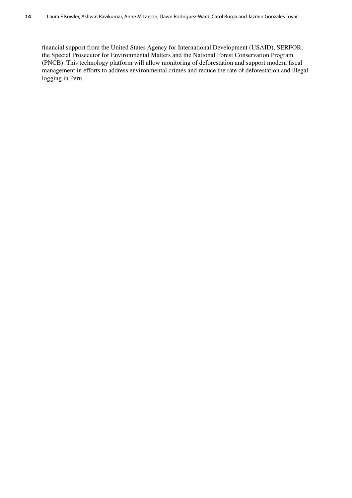financial support from the United States Agency for International Development (USAID), SERFOR, the Special Prosecutor for Environmental Matters and the National Forest Conservation Program (PNCB). This technology platform will allow monitoring of deforestation and support modern fiscal management in efforts to address environmental crimes and reduce the rate of deforestation and illegal logging in Peru.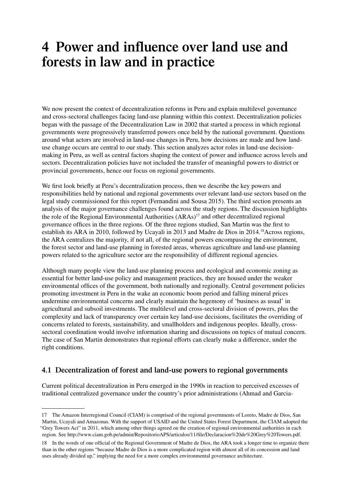### **4 Power and influence over land use and forests in law and in practice**

We now present the context of decentralization reforms in Peru and explain multilevel governance and cross-sectoral challenges facing land-use planning within this context. Decentralization policies began with the passage of the Decentralization Law in 2002 that started a process in which regional governments were progressively transferred powers once held by the national government. Questions around what actors are involved in land-use changes in Peru, how decisions are made and how landuse change occurs are central to our study. This section analyzes actor roles in land-use decisionmaking in Peru, as well as central factors shaping the context of power and influence across levels and sectors. Decentralization policies have not included the transfer of meaningful powers to district or provincial governments, hence our focus on regional governments.

We first look briefly at Peru's decentralization process, then we describe the key powers and responsibilities held by national and regional governments over relevant land-use sectors based on the legal study commissioned for this report (Fernandini and Sousa 2015). The third section presents an analysis of the major governance challenges found across the study regions. The discussion highlights the role of the Regional Environmental Authorities (ARAs)<sup>17</sup> and other decentralized regional governance offices in the three regions. Of the three regions studied, San Martin was the first to establish its ARA in 2010, followed by Ucayali in 2013 and Madre de Dios in 2014.18Across regions, the ARA centralizes the majority, if not all, of the regional powers encompassing the environment, the forest sector and land-use planning in forested areas, whereas agriculture and land-use planning powers related to the agriculture sector are the responsibility of different regional agencies.

Although many people view the land-use planning process and ecological and economic zoning as essential for better land-use policy and management practices, they are housed under the weaker environmental offices of the government, both nationally and regionally. Central government policies promoting investment in Peru in the wake an economic boom period and falling mineral prices undermine environmental concerns and clearly maintain the hegemony of 'business as usual' in agricultural and subsoil investments. The multilevel and cross-sectoral division of powers, plus the complexity and lack of transparency over certain key land-use decisions, facilitates the overriding of concerns related to forests, sustainability, and smallholders and indigenous peoples. Ideally, crosssectoral coordination would involve information sharing and discussions on topics of mutual concern. The case of San Martin demonstrates that regional efforts can clearly make a difference, under the right conditions.

### **4.1 Decentralization of forest and land-use powers to regional governments**

Current political decentralization in Peru emerged in the 1990s in reaction to perceived excesses of traditional centralized governance under the country's prior administrations (Ahmad and Garcia-

<sup>17</sup> The Amazon Interregional Council (CIAM) is comprised of the regional governments of Loreto, Madre de Dios, San Martin, Ucayali and Amazonas. With the support of USAID and the United States Forest Department, the CIAM adopted the "Grey Towers Act" in 2011, which among other things agreed on the creation of regional environmental authorities in each region. See http://www.ciam.gob.pe/admin/RepositorioAPS/articulos/11/file/Declaracion%20de%20Grey%20Towers.pdf.

<sup>18</sup> In the words of one official of the Regional Government of Madre de Dios, the ARA took a longer time to organize there than in the other regions "because Madre de Dios is a more complicated region with almost all of its concession and land uses already divided up," implying the need for a more complex environmental governance architecture.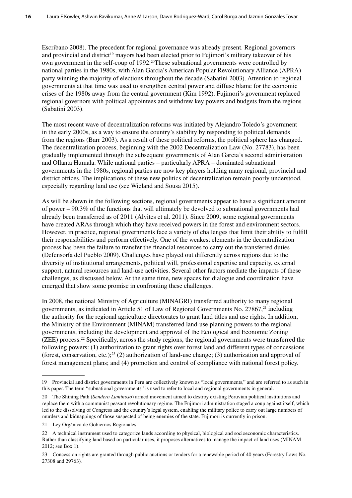Escribano 2008). The precedent for regional governance was already present. Regional governors and provincial and district<sup>19</sup> mayors had been elected prior to Fujimori's military takeover of his own government in the self-coup of 1992.<sup>20</sup>These subnational governments were controlled by national parties in the 1980s, with Alan Garcia's American Popular Revolutionary Alliance (APRA) party winning the majority of elections throughout the decade (Sabatini 2003). Attention to regional governments at that time was used to strengthen central power and diffuse blame for the economic crises of the 1980s away from the central government (Kim 1992). Fujimori's government replaced regional governors with political appointees and withdrew key powers and budgets from the regions (Sabatini 2003).

The most recent wave of decentralization reforms was initiated by Alejandro Toledo's government in the early 2000s, as a way to ensure the country's stability by responding to political demands from the regions (Barr 2003). As a result of these political reforms, the political sphere has changed. The decentralization process, beginning with the 2002 Decentralization Law (No. 27783), has been gradually implemented through the subsequent governments of Alan Garcia's second administration and Ollanta Humala. While national parties – particularly APRA – dominated subnational governments in the 1980s, regional parties are now key players holding many regional, provincial and district offices. The implications of these new politics of decentralization remain poorly understood, especially regarding land use (see Wieland and Sousa 2015).

As will be shown in the following sections, regional governments appear to have a significant amount of power – 90.3% of the functions that will ultimately be devolved to subnational governments had already been transferred as of 2011 (Alvites et al. 2011). Since 2009, some regional governments have created ARAs through which they have received powers in the forest and environment sectors. However, in practice, regional governments face a variety of challenges that limit their ability to fulfill their responsibilities and perform effectively. One of the weakest elements in the decentralization process has been the failure to transfer the financial resources to carry out the transferred duties (Defensoría del Pueblo 2009). Challenges have played out differently across regions due to the diversity of institutional arrangements, political will, professional expertise and capacity, external support, natural resources and land-use activities. Several other factors mediate the impacts of these challenges, as discussed below. At the same time, new spaces for dialogue and coordination have emerged that show some promise in confronting these challenges.

In 2008, the national Ministry of Agriculture (MINAGRI) transferred authority to many regional governments, as indicated in Article 51 of Law of Regional Governments No. 27867,<sup>21</sup> including the authority for the regional agriculture directorates to grant land titles and use rights. In addition, the Ministry of the Environment (MINAM) transferred land-use planning powers to the regional governments, including the development and approval of the Ecological and Economic Zoning (ZEE) process.22 Specifically, across the study regions, the regional governments were transferred the following powers: (1) authorization to grant rights over forest land and different types of concessions (forest, conservation, etc.);<sup>23</sup> (2) authorization of land-use change; (3) authorization and approval of forest management plans; and (4) promotion and control of compliance with national forest policy.

<sup>19</sup> Provincial and district governments in Peru are collectively known as "local governments," and are referred to as such in this paper. The term "subnational governments" is used to refer to local and regional governments in general.

<sup>20</sup> The Shining Path (*Sendero Luminoso*) armed movement aimed to destroy existing Peruvian political institutions and replace them with a communist peasant revolutionary regime. The Fujimori administration staged a coup against itself, which led to the dissolving of Congress and the country's legal system, enabling the military police to carry out large numbers of murders and kidnappings of those suspected of being enemies of the state. Fujimori is currently in prison.

<sup>21</sup> Ley Orgánica de Gobiernos Regionales.

<sup>22</sup> A technical instrument used to categorize lands according to physical, biological and socioeconomic characteristics. Rather than classifying land based on particular uses, it proposes alternatives to manage the impact of land uses (MINAM 2012; see Box 1).

<sup>23</sup> Concession rights are granted through public auctions or tenders for a renewable period of 40 years (Forestry Laws No. 27308 and 29763)*.*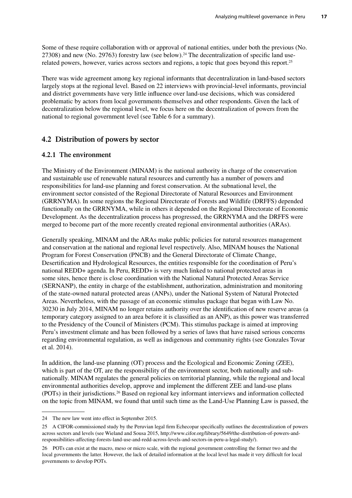Some of these require collaboration with or approval of national entities, under both the previous (No. 27308) and new (No. 29763) forestry law (see below).<sup>24</sup> The decentralization of specific land userelated powers, however, varies across sectors and regions, a topic that goes beyond this report.25

There was wide agreement among key regional informants that decentralization in land-based sectors largely stops at the regional level. Based on 22 interviews with provincial-level informants, provincial and district governments have very little influence over land-use decisions, which was considered problematic by actors from local governments themselves and other respondents. Given the lack of decentralization below the regional level, we focus here on the decentralization of powers from the national to regional government level (see Table 6 for a summary).

### **4.2 Distribution of powers by sector**

#### **4.2.1 The environment**

The Ministry of the Environment (MINAM) is the national authority in charge of the conservation and sustainable use of renewable natural resources and currently has a number of powers and responsibilities for land-use planning and forest conservation. At the subnational level, the environment sector consisted of the Regional Directorate of Natural Resources and Environment (GRRNYMA). In some regions the Regional Directorate of Forests and Wildlife (DRFFS) depended functionally on the GRRNYMA, while in others it depended on the Regional Directorate of Economic Development. As the decentralization process has progressed, the GRRNYMA and the DRFFS were merged to become part of the more recently created regional environmental authorities (ARAs).

Generally speaking, MINAM and the ARAs make public policies for natural resources management and conservation at the national and regional level respectively. Also, MINAM houses the National Program for Forest Conservation (PNCB) and the General Directorate of Climate Change, Desertification and Hydrological Resources, the entities responsible for the coordination of Peru's national REDD+ agenda. In Peru, REDD+ is very much linked to national protected areas in some sites, hence there is close coordination with the National Natural Protected Areas Service (SERNANP), the entity in charge of the establishment, authorization, administration and monitoring of the state-owned natural protected areas (ANPs), under the National System of Natural Protected Areas. Nevertheless, with the passage of an economic stimulus package that began with Law No. 30230 in July 2014, MINAM no longer retains authority over the identification of new reserve areas (a temporary category assigned to an area before it is classified as an ANP), as this power was transferred to the Presidency of the Council of Ministers (PCM). This stimulus package is aimed at improving Peru's investment climate and has been followed by a series of laws that have raised serious concerns regarding environmental regulation, as well as indigenous and community rights (see Gonzales Tovar et al. 2014).

In addition, the land-use planning (OT) process and the Ecological and Economic Zoning (ZEE), which is part of the OT, are the responsibility of the environment sector, both nationally and subnationally. MINAM regulates the general policies on territorial planning, while the regional and local environmental authorities develop, approve and implement the different ZEE and land-use plans (POTs) in their jurisdictions.26 Based on regional key informant interviews and information collected on the topic from MINAM, we found that until such time as the Land-Use Planning Law is passed, the

<sup>24</sup> The new law went into effect in September 2015.

<sup>25</sup> A CIFOR-commissioned study by the Peruvian legal firm Echecopar specifically outlines the decentralization of powers across sectors and levels (see Wieland and Sousa 2015, http://www.cifor.org/library/5649/the-distribution-of-powers-andresponsibilities-affecting-forests-land-use-and-redd-across-levels-and-sectors-in-peru-a-legal-study/).

<sup>26</sup> POTs can exist at the macro, meso or micro scale, with the regional government controlling the former two and the local governments the latter. However, the lack of detailed information at the local level has made it very difficult for local governments to develop POTs.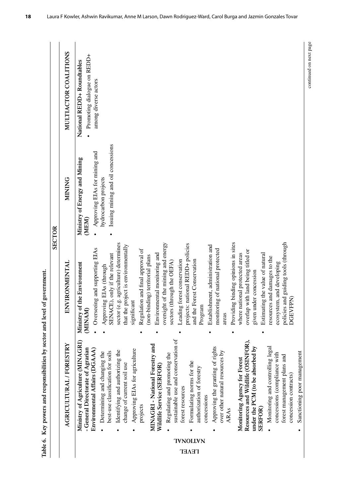|                                 | Table 6. Key powers and responsibilities by sector and level                                                                                                                                                                                                                                                                                                                                                                                                                                                                                                                                                                                                                                                                                                                                                                                                                                  | of government.                                                                                                                                                                                                                                                                                                                                                                                                                                                                                                                                                                                                                                                                                                                                                                                                                                                                                                     |                                                                                                                                       |                                                                                   |
|---------------------------------|-----------------------------------------------------------------------------------------------------------------------------------------------------------------------------------------------------------------------------------------------------------------------------------------------------------------------------------------------------------------------------------------------------------------------------------------------------------------------------------------------------------------------------------------------------------------------------------------------------------------------------------------------------------------------------------------------------------------------------------------------------------------------------------------------------------------------------------------------------------------------------------------------|--------------------------------------------------------------------------------------------------------------------------------------------------------------------------------------------------------------------------------------------------------------------------------------------------------------------------------------------------------------------------------------------------------------------------------------------------------------------------------------------------------------------------------------------------------------------------------------------------------------------------------------------------------------------------------------------------------------------------------------------------------------------------------------------------------------------------------------------------------------------------------------------------------------------|---------------------------------------------------------------------------------------------------------------------------------------|-----------------------------------------------------------------------------------|
|                                 |                                                                                                                                                                                                                                                                                                                                                                                                                                                                                                                                                                                                                                                                                                                                                                                                                                                                                               |                                                                                                                                                                                                                                                                                                                                                                                                                                                                                                                                                                                                                                                                                                                                                                                                                                                                                                                    | SECTOR                                                                                                                                |                                                                                   |
|                                 | AGRICULTURAL / FORESTRY                                                                                                                                                                                                                                                                                                                                                                                                                                                                                                                                                                                                                                                                                                                                                                                                                                                                       | <b>ENVIRONMENTAL</b>                                                                                                                                                                                                                                                                                                                                                                                                                                                                                                                                                                                                                                                                                                                                                                                                                                                                                               | MINING                                                                                                                                | MULTIACTOR COALITIONS                                                             |
| <b>TVNOILVN</b><br><b>TEAET</b> | sustainable use and conservation of<br>Resources and Wildlife (OSINFOR),<br>Ministry of Agriculture (MINAGRI)<br>MINAGRI - National Forestry and<br>Approving the granting of rights<br>Monitoring and controlling legal<br>under the PCM (to be absorbed by<br>- General Directorate of Agrarian<br>Approving EIAs for agriculture<br>Environmental Affairs (DGAAA)<br>Identifying and authorizing the<br>over other natural resources by<br>best-use classification for soils<br>Determining and changing the<br>Sanctioning poor management<br>Regulating and promoting the<br>concessions (compliance with<br>forest management plans and<br>Monitoring Agency for Forest<br>Formulating norms for the<br>change of current soil use<br>Wildlife Service (SERFOR)<br>authorization of forestry<br>concession contracts)<br>forest resources<br>concessions<br>projects<br>SERFOR)<br>ARAs | Providing binding opinions in sites<br>e.g. agriculture) determines<br>policies and guiding tools (through<br>oversight of the mining and energy<br>projects: national REDD+ policies<br>that the project is environmentally<br>Establishment, administration and<br>Overseeing and supporting EIAs<br>Regulation and final approval of<br>monitoring of national protected<br>overlap with land being titled or<br>Environmental monitoring and<br>where national protected areas<br>Estimating the value of natural<br>SENACE), only if the relevant<br>(non-binding) territorial plans<br>resources and damages to the<br>and the Forest Conservation<br>Leading forest conservation<br>sectors (through the OEFA)<br>ecosystem, and developing<br>Ministry of the Environment<br>Approving EIAs (through<br>given under concession<br><b>DGEVFPN</b><br>significant<br>Program<br>(MINAM)<br>sector (<br>areas | Issuing mining and oil concessions<br>Approving EIAs for mining and<br>Ministry of Energy and Mining<br>hydrocarbon projects<br>(MEM) | Promoting dialogue on REDD+<br>National REDD+ Roundtables<br>among diverse actors |

Table 6. Key powers and responsibilities by sector and level of government.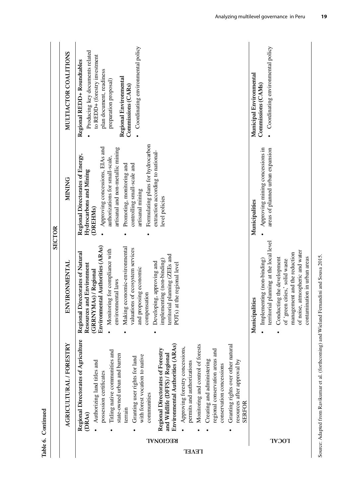|               | MULTIACTOR COALITIONS   | · Coordinating environmental policy<br>Producing key documents related<br>to REDD+ (forestry investment<br>Regional REDD+ Roundtables<br>plan document, readiness<br>Regional Environmental<br>preparation proposal)<br>Commissions (CARs)                                                                                                                                                                                                                                                                                                                                                                                                                                         | Coordinating environmental policy<br>Municipal Environmental<br>Commissions (CAMs)                                                                                                                                                                              |
|---------------|-------------------------|------------------------------------------------------------------------------------------------------------------------------------------------------------------------------------------------------------------------------------------------------------------------------------------------------------------------------------------------------------------------------------------------------------------------------------------------------------------------------------------------------------------------------------------------------------------------------------------------------------------------------------------------------------------------------------|-----------------------------------------------------------------------------------------------------------------------------------------------------------------------------------------------------------------------------------------------------------------|
|               | <b>MINING</b>           | Formulating plans for hydrocarbon<br>Approving concessions, EIAs and<br>artisanal and non-metallic mining<br>extraction according to national-<br>Regional Directorates of Energy,<br>authorizations for small-scale,                                                                                                                                                                                                                                                                                                                                                                                                                                                              | $\bullet$<br>Approving mining concessions in<br>areas of planned urban expansion                                                                                                                                                                                |
| <b>SECTOR</b> |                         | controlling small-scale and<br>Promoting, monitoring and<br>Hydrocarbons and Mining<br>artisanal mining<br>level policies<br>(DREHMs)                                                                                                                                                                                                                                                                                                                                                                                                                                                                                                                                              | Municipalities                                                                                                                                                                                                                                                  |
|               | <b>ENVIRONMENTAL</b>    | Environmental Authorities (ARAs)<br>Making economic-environmental<br>valuations of ecosystem services<br>Monitoring for compliance with<br>Directorates of Natural<br>territorial planning (ZEEs and<br>implementing (non-binding)<br>Developing, approving and<br>Resources and Environment<br>at the regional level<br>and proposing economic<br>(GRRNYMAs) / Regional<br>environmental laws<br>compensation<br>$POTS$ ) $\epsilon$<br>Regional I                                                                                                                                                                                                                                | territorial planning at the local level<br>of noise, atmospheric and water<br>management and the reduction<br>contamination in urban areas<br>Conducting the development<br>Implementing (non-binding)<br>of 'green cities,' solid waste<br>lities<br>Municipal |
| Continued     | AGRICULTURAL / FORESTRY | Regional Directorates of Agriculture<br>Environmental Authorities (ARAs)<br>Granting rights over other natural<br>Monitoring and control of forests<br>Approving forestry concessions,<br><b>Regional Directorates of Forestry</b><br>regional conservation areas and<br>Titling native communities and<br>and Wildlife (DFFS) / Regional<br>state-owned urban and barren<br>with forest vocation to native<br>Granting user rights for land<br>Creating and administering<br>resources after approval by<br>Authorizing land titles and<br>permits and authorizations<br>conservation concessions<br>possession certificates<br>communities<br><b>SERFOR</b><br>terrain<br>(DRAS) |                                                                                                                                                                                                                                                                 |
| Table 6.      |                         | <b>REGIONAL</b><br><b>TEAET</b>                                                                                                                                                                                                                                                                                                                                                                                                                                                                                                                                                                                                                                                    | <b>LOCAL</b>                                                                                                                                                                                                                                                    |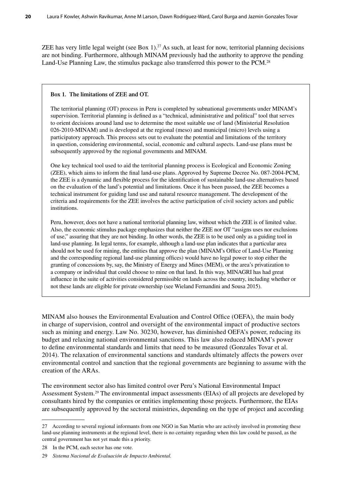ZEE has very little legal weight (see Box 1).<sup>27</sup> As such, at least for now, territorial planning decisions are not binding. Furthermore, although MINAM previously had the authority to approve the pending Land-Use Planning Law, the stimulus package also transferred this power to the PCM.<sup>28</sup>

#### **Box 1. The limitations of ZEE and OT.**

The territorial planning (OT) process in Peru is completed by subnational governments under MINAM's supervision. Territorial planning is defined as a "technical, administrative and political" tool that serves to orient decisions around land use to determine the most suitable use of land (Ministerial Resolution 026-2010-MINAM) and is developed at the regional (meso) and municipal (micro) levels using a participatory approach. This process sets out to evaluate the potential and limitations of the territory in question, considering environmental, social, economic and cultural aspects. Land-use plans must be subsequently approved by the regional governments and MINAM.

One key technical tool used to aid the territorial planning process is Ecological and Economic Zoning (ZEE), which aims to inform the final land-use plans. Approved by Supreme Decree No. 087-2004-PCM, the ZEE is a dynamic and flexible process for the identification of sustainable land-use alternatives based on the evaluation of the land's potential and limitations. Once it has been passed, the ZEE becomes a technical instrument for guiding land use and natural resource management. The development of the criteria and requirements for the ZEE involves the active participation of civil society actors and public institutions.

Peru, however, does not have a national territorial planning law, without which the ZEE is of limited value. Also, the economic stimulus package emphasizes that neither the ZEE nor OT "assigns uses nor exclusions of use," assuring that they are not binding. In other words, the ZEE is to be used only as a guiding tool in land-use planning. In legal terms, for example, although a land-use plan indicates that a particular area should not be used for mining, the entities that approve the plan (MINAM's Office of Land-Use Planning and the corresponding regional land-use planning offices) would have no legal power to stop either the granting of concessions by, say, the Ministry of Energy and Mines (MEM), or the area's privatization to a company or individual that could choose to mine on that land. In this way, MINAGRI has had great influence in the suite of activities considered permissible on lands across the country, including whether or not these lands are eligible for private ownership (see Wieland Fernandini and Sousa 2015).

MINAM also houses the Environmental Evaluation and Control Office (OEFA), the main body in charge of supervision, control and oversight of the environmental impact of productive sectors such as mining and energy. Law No. 30230, however, has diminished OEFA's power, reducing its budget and relaxing national environmental sanctions. This law also reduced MINAM's power to define environmental standards and limits that need to be measured (Gonzales Tovar et al. 2014). The relaxation of environmental sanctions and standards ultimately affects the powers over environmental control and sanction that the regional governments are beginning to assume with the creation of the ARAs.

The environment sector also has limited control over Peru's National Environmental Impact Assessment System.29 The environmental impact assessments (EIAs) of all projects are developed by consultants hired by the companies or entities implementing those projects. Furthermore, the EIAs are subsequently approved by the sectoral ministries, depending on the type of project and according

<sup>27</sup> According to several regional informants from one NGO in San Martin who are actively involved in promoting these land-use planning instruments at the regional level, there is no certainty regarding when this law could be passed, as the central government has not yet made this a priority.

<sup>28</sup> In the PCM, each sector has one vote.

<sup>29</sup> *Sistema Nacional de Evaluación de Impacto Ambiental.*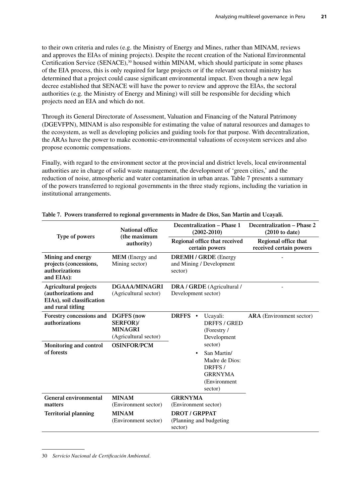to their own criteria and rules (e.g. the Ministry of Energy and Mines, rather than MINAM, reviews and approves the EIAs of mining projects). Despite the recent creation of the National Environmental Certification Service (SENACE),<sup>30</sup> housed within MINAM, which should participate in some phases of the EIA process, this is only required for large projects or if the relevant sectoral ministry has determined that a project could cause significant environmental impact. Even though a new legal decree established that SENACE will have the power to review and approve the EIAs, the sectoral authorities (e.g. the Ministry of Energy and Mining) will still be responsible for deciding which projects need an EIA and which do not.

Through its General Directorate of Assessment, Valuation and Financing of the Natural Patrimony (DGEVFPN), MINAM is also responsible for estimating the value of natural resources and damages to the ecosystem, as well as developing policies and guiding tools for that purpose. With decentralization, the ARAs have the power to make economic-environmental valuations of ecosystem services and also propose economic compensations.

Finally, with regard to the environment sector at the provincial and district levels, local environmental authorities are in charge of solid waste management, the development of 'green cities,' and the reduction of noise, atmospheric and water contamination in urban areas. Table 7 presents a summary of the powers transferred to regional governments in the three study regions, including the variation in institutional arrangements.

| Type of powers                                                                                         | <b>National office</b><br>(the maximum<br>authority)                     | Decentralization – Phase 1<br>$(2002 - 2010)$                                                                | Decentralization – Phase 2<br>$(2010 \text{ to date})$ |
|--------------------------------------------------------------------------------------------------------|--------------------------------------------------------------------------|--------------------------------------------------------------------------------------------------------------|--------------------------------------------------------|
|                                                                                                        |                                                                          | Regional office that received<br>certain powers                                                              | Regional office that<br>received certain powers        |
| Mining and energy<br>projects (concessions,<br>authorizations<br>and EIAs):                            | <b>MEM</b> (Energy and<br>Mining sector)                                 | <b>DREMH / GRDE</b> (Energy<br>and Mining / Development<br>sector)                                           |                                                        |
| <b>Agricultural projects</b><br>(authorizations and<br>EIAs), soil classification<br>and rural titling | DGAAA/MINAGRI<br>(Agricultural sector)                                   | DRA / GRDE (Agricultural /<br>Development sector)                                                            |                                                        |
| Forestry concessions and<br>authorizations                                                             | <b>DGFFS</b> (now<br>SERFOR)/<br><b>MINAGRI</b><br>(Agricultural sector) | DRFFS •<br>Ucayali:<br><b>DRFFS / GRED</b><br>(Forestry /<br>Development                                     | <b>ARA</b> (Environment sector)                        |
| Monitoring and control<br>of forests                                                                   | <b>OSINFOR/PCM</b>                                                       | sector)<br>San Martin/<br>$\bullet$<br>Madre de Dios:<br>DRFFS/<br><b>GRRNYMA</b><br>(Environment<br>sector) |                                                        |
| General environmental<br>matters                                                                       | <b>MINAM</b><br>(Environment sector)                                     | <b>GRRNYMA</b><br>(Environment sector)                                                                       |                                                        |
| <b>Territorial planning</b>                                                                            | <b>MINAM</b><br>(Environment sector)                                     | <b>DROT / GRPPAT</b><br>(Planning and budgeting<br>sector)                                                   |                                                        |

**Table 7. Powers transferred to regional governments in Madre de Dios, San Martin and Ucayali.**

30 *Servicio Nacional de Certificación Ambiental*.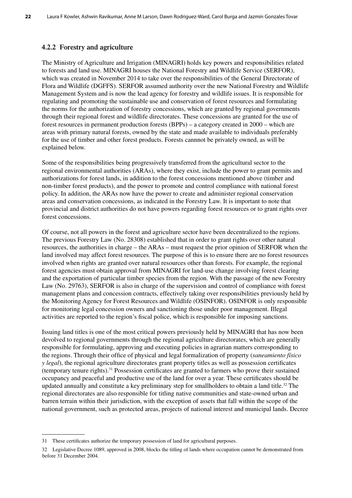#### **4.2.2 Forestry and agriculture**

The Ministry of Agriculture and Irrigation (MINAGRI) holds key powers and responsibilities related to forests and land use. MINAGRI houses the National Forestry and Wildlife Service (SERFOR), which was created in November 2014 to take over the responsibilities of the General Directorate of Flora and Wildlife (DGFFS). SERFOR assumed authority over the new National Forestry and Wildlife Management System and is now the lead agency for forestry and wildlife issues. It is responsible for regulating and promoting the sustainable use and conservation of forest resources and formulating the norms for the authorization of forestry concessions, which are granted by regional governments through their regional forest and wildlife directorates. These concessions are granted for the use of forest resources in permanent production forests (BPPs) – a category created in 2000 – which are areas with primary natural forests, owned by the state and made available to individuals preferably for the use of timber and other forest products. Forests cannnot be privately owned, as will be explained below.

Some of the responsibilities being progressively transferred from the agricultural sector to the regional environmental authorities (ARAs), where they exist, include the power to grant permits and authorizations for forest lands, in addition to the forest concessions mentioned above (timber and non-timber forest products), and the power to promote and control compliance with national forest policy. In addition, the ARAs now have the power to create and administer regional conservation areas and conservation concessions, as indicated in the Forestry Law. It is important to note that provincial and district authorities do not have powers regarding forest resources or to grant rights over forest concessions.

Of course, not all powers in the forest and agriculture sector have been decentralized to the regions. The previous Forestry Law (No. 28308) established that in order to grant rights over other natural resources, the authorities in charge – the ARAs – must request the prior opinion of SERFOR when the land involved may affect forest resources. The purpose of this is to ensure there are no forest resources involved when rights are granted over natural resources other than forests. For example, the regional forest agencies must obtain approval from MINAGRI for land-use change involving forest clearing and the exportation of particular timber species from the region. With the passage of the new Forestry Law (No. 29763), SERFOR is also in charge of the supervision and control of compliance with forest management plans and concession contracts, effectively taking over responsibilities previously held by the Monitoring Agency for Forest Resources and Wildlife (OSINFOR). OSINFOR is only responsible for monitoring legal concession owners and sanctioning those under poor management. Illegal activities are reported to the region's fiscal police, which is responsible for imposing sanctions.

Issuing land titles is one of the most critical powers previously held by MINAGRI that has now been devolved to regional governments through the regional agriculture directorates, which are generally responsible for formulating, approving and executing policies in agrarian matters corresponding to the regions. Through their office of physical and legal formalization of property (*saneamiento físico y legal*), the regional agriculture directorates grant property titles as well as possession certificates (temporary tenure rights).31 Possession certificates are granted to farmers who prove their sustained occupancy and peaceful and productive use of the land for over a year. These certificates should be updated annually and constitute a key preliminary step for smallholders to obtain a land title.<sup>32</sup> The regional directorates are also responsible for titling native communities and state-owned urban and barren terrain within their jurisdiction, with the exception of assets that fall within the scope of the national government, such as protected areas, projects of national interest and municipal lands. Decree

<sup>31</sup> These certificates authorize the temporary possession of land for agricultural purposes.

<sup>32</sup> Legislative Decree 1089, approved in 2008, blocks the titling of lands where occupation cannot be demonstrated from before 31 December 2004.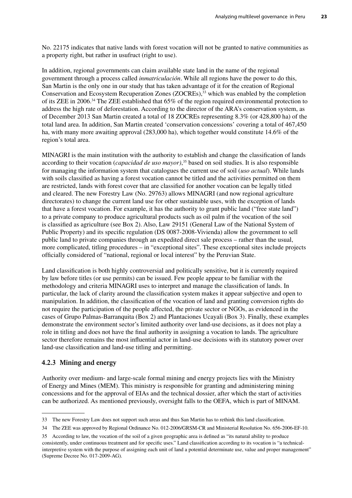No. 22175 indicates that native lands with forest vocation will not be granted to native communities as a property right, but rather in usufruct (right to use).

In addition, regional governments can claim available state land in the name of the regional government through a process called *inmatriculación*. While all regions have the power to do this, San Martin is the only one in our study that has taken advantage of it for the creation of Regional Conservation and Ecosystem Recuperation Zones (ZOCREs),<sup>33</sup> which was enabled by the completion of its ZEE in 2006.34 The ZEE established that 65% of the region required environmental protection to address the high rate of deforestation. According to the director of the ARA's conservation system, as of December 2013 San Martin created a total of 18 ZOCREs representing 8.3% (or 428,800 ha) of the total land area. In addition, San Martin created 'conservation concessions' covering a total of 467,450 ha, with many more awaiting approval (283,000 ha), which together would constitute 14.6% of the region's total area.

MINAGRI is the main institution with the authority to establish and change the classification of lands according to their vocation (*capacidad de uso mayor)*, 35 based on soil studies. It is also responsible for managing the information system that catalogues the current use of soil (*uso actual*). While lands with soils classified as having a forest vocation cannot be titled and the activities permitted on them are restricted, lands with forest cover that are classified for another vocation can be legally titled and cleared. The new Forestry Law (No. 29763) allows MINAGRI (and now regional agriculture directorates) to change the current land use for other sustainable uses, with the exception of lands that have a forest vocation. For example, it has the authority to grant public land ("free state land") to a private company to produce agricultural products such as oil palm if the vocation of the soil is classified as agriculture (see Box 2). Also, Law 29151 (General Law of the National System of Public Property) and its specific regulation (DS 0087-2008-Vivienda) allow the government to sell public land to private companies through an expedited direct sale process – rather than the usual, more complicated, titling procedures – in "exceptional sites". These exceptional sites include projects officially considered of "national, regional or local interest" by the Peruvian State.

Land classification is both highly controversial and politically sensitive, but it is currently required by law before titles (or use permits) can be issued. Few people appear to be familiar with the methodology and criteria MINAGRI uses to interpret and manage the classification of lands. In particular, the lack of clarity around the classification system makes it appear subjective and open to manipulation. In addition, the classification of the vocation of land and granting conversion rights do not require the participation of the people affected, the private sector or NGOs, as evidenced in the cases of Grupo Palmas-Barranquita (Box 2) and Plantaciones Ucayali (Box 3). Finally, these examples demonstrate the environment sector's limited authority over land-use decisions, as it does not play a role in titling and does not have the final authority in assigning a vocation to lands. The agriculture sector therefore remains the most influential actor in land-use decisions with its statutory power over land-use classification and land-use titling and permitting.

#### **4.2.3 Mining and energy**

Authority over medium- and large-scale formal mining and energy projects lies with the Ministry of Energy and Mines (MEM). This ministry is responsible for granting and administering mining concessions and for the approval of EIAs and the technical dossier, after which the start of activities can be authorized. As mentioned previously, oversight falls to the OEFA, which is part of MINAM.

<sup>33</sup> The new Forestry Law does not support such areas and thus San Martin has to rethink this land classification.

<sup>34</sup> The ZEE was approved by Regional Ordinance No. 012-2006/GRSM-CR and Ministerial Resolution No. 656-2006-EF-10.

<sup>35</sup> According to law, the vocation of the soil of a given geographic area is defined as "its natural ability to produce consistently, under continuous treatment and for specific uses." Land classification according to its vocation is "a technicalinterpretive system with the purpose of assigning each unit of land a potential determinate use, value and proper management" (Supreme Decree No. 017-2009-AG).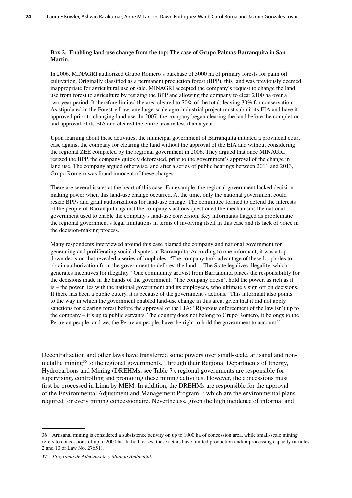#### **Box 2. Enabling land-use change from the top: The case of Grupo Palmas-Barranquita in San Martin.**

In 2006, MINAGRI authorized Grupo Romero's purchase of 3000 ha of primary forests for palm oil cultivation. Originally classified as a permanent production forest (BPP), this land was previously deemed inappropriate for agricultural use or sale. MINAGRI accepted the company's request to change the land use from forest to agriculture by resizing the BPP and allowing the company to clear 2100 ha over a two-year period. It therefore limited the area cleared to 70% of the total, leaving 30% for conservation. As stipulated in the Forestry Law, any large-scale agro-industrial project must submit its EIA and have it approved prior to changing land use. In 2007, the company began clearing the land before the completion and approval of its EIA and cleared the entire area in less than a year.

Upon learning about these activities, the municipal government of Barranquita initiated a provincial court case against the company for clearing the land without the approval of the EIA and without considering the regional ZEE completed by the regional government in 2006. They argued that once MINAGRI resized the BPP, the company quickly deforested, prior to the government's approval of the change in land use. The company argued otherwise, and after a series of public hearings between 2011 and 2013, Grupo Romero was found innocent of these charges.

There are several issues at the heart of this case. For example, the regional government lacked decisionmaking power when this land-use change occurred. At the time, only the national government could resize BPPs and grant authorizations for land-use change. The committee formed to defend the interests of the people of Barranquita against the company's actions questioned the mechanisms the national government used to enable the company's land-use conversion. Key informants flagged as problematic the regional government's legal limitations in terms of involving itself in this case and its lack of voice in the decision-making process.

Many respondents interviewed around this case blamed the company and national government for generating and proliferating social disputes in Barranquita. According to one informant, it was a topdown decision that revealed a series of loopholes: "The company took advantage of these loopholes to obtain authorization from the government to deforest the land.... The State legalizes illegality, which generates incentives for illegality." One community activist from Barranquita places the responsibility for the decisions made in the hands of the government: "The company doesn't hold the power, as rich as it is – the power lies with the national government and its employees, who ultimately sign off on decisions. If there has been a public outcry, it is because of the government's actions." This informant also points to the way in which the government enabled land-use change in this area, given that it did not apply sanctions for clearing forest before the approval of the EIA: "Rigorous enforcement of the law isn't up to the company – it's up to public servants. The country does not belong to Grupo Romero, it belongs to the Peruvian people; and we, the Peruvian people, have the right to hold the government to account."

Decentralization and other laws have transferred some powers over small-scale, artisanal and nonmetallic mining<sup>36</sup> to the regional governments. Through their Regional Departments of Energy, Hydrocarbons and Mining (DREHMs, see Table 7), regional governments are responsible for supervising, controlling and promoting these mining activities. However, the concessions must first be processed in Lima by MEM. In addition, the DREHMs are responsible for the approval of the Environmental Adjustment and Management Program,37 which are the environmental plans required for every mining concessionaire. Nevertheless, given the high incidence of informal and

<sup>36</sup> Artisanal mining is considered a subsistence activity on up to 1000 ha of concession area, while small-scale mining refers to concessions of up to 2000 ha. In both cases, these actors have limited production and/or processing capacity (articles 2 and 10 of Law No. 27651).

<sup>37</sup> *Programa de Adecuación y Manejo Ambiental*.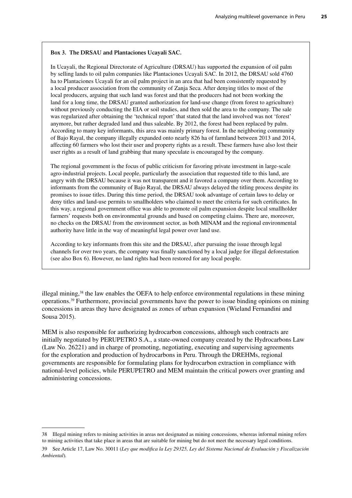#### **Box 3. The DRSAU and Plantaciones Ucayali SAC.**

In Ucayali, the Regional Directorate of Agriculture (DRSAU) has supported the expansion of oil palm by selling lands to oil palm companies like Plantaciones Ucayali SAC. In 2012, the DRSAU sold 4760 ha to Plantaciones Ucayali for an oil palm project in an area that had been consistently requested by a local producer association from the community of Zanja Seca. After denying titles to most of the local producers, arguing that such land was forest and that the producers had not been working the land for a long time, the DRSAU granted authorization for land-use change (from forest to agriculture) without previously conducting the EIA or soil studies, and then sold the area to the company. The sale was regularized after obtaining the 'technical report' that stated that the land involved was not 'forest' anymore, but rather degraded land and thus saleable. By 2012, the forest had been replaced by palm. According to many key informants, this area was mainly primary forest. In the neighboring community of Bajo Rayal, the company illegally expanded onto nearly 826 ha of farmland between 2013 and 2014, affecting 60 farmers who lost their user and property rights as a result. These farmers have also lost their user rights as a result of land grabbing that many speculate is encouraged by the company.

The regional government is the focus of public criticism for favoring private investment in large-scale agro-industrial projects. Local people, particularly the association that requested title to this land, are angry with the DRSAU because it was not transparent and it favored a company over them. According to informants from the community of Bajo Rayal, the DRSAU always delayed the titling process despite its promises to issue titles. During this time period, the DRSAU took advantage of certain laws to delay or deny titles and land-use permits to smallholders who claimed to meet the criteria for such certificates. In this way, a regional government office was able to promote oil palm expansion despite local smallholder farmers' requests both on environmental grounds and based on competing claims. There are, moreover, no checks on the DRSAU from the environment sector, as both MINAM and the regional environmental authority have little in the way of meaningful legal power over land use.

According to key informants from this site and the DRSAU, after pursuing the issue through legal channels for over two years, the company was finally sanctioned by a local judge for illegal deforestation (see also Box 6). However, no land rights had been restored for any local people.

illegal mining,<sup>38</sup> the law enables the OEFA to help enforce environmental regulations in these mining operations.39 Furthermore, provincial governments have the power to issue binding opinions on mining concessions in areas they have designated as zones of urban expansion (Wieland Fernandini and Sousa 2015).

MEM is also responsible for authorizing hydrocarbon concessions, although such contracts are initially negotiated by PERUPETRO S.A., a state-owned company created by the Hydrocarbons Law (Law No. 26221) and in charge of promoting, negotiating, executing and supervising agreements for the exploration and production of hydrocarbons in Peru. Through the DREHMs, regional governments are responsible for formulating plans for hydrocarbon extraction in compliance with national-level policies, while PERUPETRO and MEM maintain the critical powers over granting and administering concessions.

<sup>38</sup> Illegal mining refers to mining activities in areas not designated as mining concessions, whereas informal mining refers to mining activities that take place in areas that are suitable for mining but do not meet the necessary legal conditions.

<sup>39</sup> See Article 17, Law No. 30011 (*Ley que modifica la Ley 29325, Ley del Sistema Nacional de Evaluación y Fiscalización Ambiental*)*.*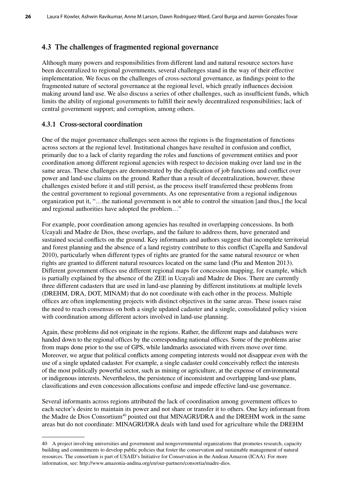## **4.3 The challenges of fragmented regional governance**

Although many powers and responsibilities from different land and natural resource sectors have been decentralized to regional governments, several challenges stand in the way of their effective implementation. We focus on the challenges of cross-sectoral governance, as findings point to the fragmented nature of sectoral governance at the regional level, which greatly influences decision making around land use. We also discuss a series of other challenges, such as insufficient funds, which limits the ability of regional governments to fulfill their newly decentralized responsibilities; lack of central government support; and corruption, among others.

## **4.3.1 Cross-sectoral coordination**

One of the major governance challenges seen across the regions is the fragmentation of functions across sectors at the regional level. Institutional changes have resulted in confusion and conflict, primarily due to a lack of clarity regarding the roles and functions of government entities and poor coordination among different regional agencies with respect to decision making over land use in the same areas. These challenges are demonstrated by the duplication of job functions and conflict over power and land-use claims on the ground. Rather than a result of decentralization, however, these challenges existed before it and still persist, as the process itself transferred these problems from the central government to regional governments. As one representative from a regional indigenous organization put it, "…the national government is not able to control the situation [and thus,] the local and regional authorities have adopted the problem…"

For example, poor coordination among agencies has resulted in overlapping concessions. In both Ucayali and Madre de Dios, these overlaps, and the failure to address them, have generated and sustained social conflicts on the ground. Key informants and authors suggest that incomplete territorial and forest planning and the absence of a land registry contribute to this conflict (Capella and Sandoval 2010), particularly when different types of rights are granted for the same natural resource or when rights are granted to different natural resources located on the same land (Piu and Menton 2013). Different government offices use different regional maps for concession mapping, for example, which is partially explained by the absence of the ZEE in Ucayali and Madre de Dios. There are currently three different cadasters that are used in land-use planning by different institutions at multiple levels (DREHM, DRA, DOT, MINAM) that do not coordinate with each other in the process. Multiple offices are often implementing projects with distinct objectives in the same areas. These issues raise the need to reach consensus on both a single updated cadaster and a single, consolidated policy vision with coordination among different actors involved in land-use planning.

Again, these problems did not originate in the regions. Rather, the different maps and databases were handed down to the regional offices by the corresponding national offices. Some of the problems arise from maps done prior to the use of GPS, while landmarks associated with rivers move over time. Moreover, we argue that political conflicts among competing interests would not disappear even with the use of a single updated cadaster. For example, a single cadaster could conceivably reflect the interests of the most politically powerful sector, such as mining or agriculture, at the expense of environmental or indigenous interests. Nevertheless, the persistence of inconsistent and overlapping land-use plans, classifications and even concession allocations confuse and impede effective land-use governance.

Several informants across regions attributed the lack of coordination among government offices to each sector's desire to maintain its power and not share or transfer it to others. One key informant from the Madre de Dios Consortium<sup>40</sup> pointed out that MINAGRI/DRA and the DREHM work in the same areas but do not coordinate: MINAGRI/DRA deals with land used for agriculture while the DREHM

<sup>40</sup> A project involving universities and government and nongovernmental organizations that promotes research, capacity building and commitments to develop public policies that foster the conservation and sustainable management of natural resources. The consortium is part of USAID's Initiative for Conservation in the Andean Amazon (ICAA). For more information, see: http://www.amazonia-andina.org/en/our-partners/consortia/madre-dios.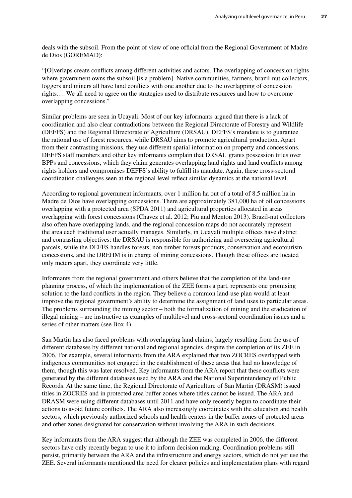deals with the subsoil. From the point of view of one official from the Regional Government of Madre de Dios (GOREMAD):

"[O]verlaps create conflicts among different activities and actors. The overlapping of concession rights where government owns the subsoil [is a problem]. Native communities, farmers, brazil-nut collectors, loggers and miners all have land conflicts with one another due to the overlapping of concession rights…. We all need to agree on the strategies used to distribute resources and how to overcome overlapping concessions."

Similar problems are seen in Ucayali. Most of our key informants argued that there is a lack of coordination and also clear contradictions between the Regional Directorate of Forestry and Wildlife (DEFFS) and the Regional Directorate of Agriculture (DRSAU). DEFFS's mandate is to guarantee the rational use of forest resources, while DRSAU aims to promote agricultural production. Apart from their contrasting missions, they use different spatial information on property and concessions. DEFFS staff members and other key informants complain that DRSAU grants possession titles over BPPs and concessions, which they claim generates overlapping land rights and land conflicts among rights holders and compromises DEFFS's ability to fulfill its mandate. Again, these cross-sectoral coordination challenges seen at the regional level reflect similar dynamics at the national level.

According to regional government informants, over 1 million ha out of a total of 8.5 million ha in Madre de Dios have overlapping concessions. There are approximately 381,000 ha of oil concessions overlapping with a protected area (SPDA 2011) and agricultural properties allocated in areas overlapping with forest concessions (Chavez et al. 2012; Piu and Menton 2013). Brazil-nut collectors also often have overlapping lands, and the regional concession maps do not accurately represent the area each traditional user actually manages. Similarly, in Ucayali multiple offices have distinct and contrasting objectives: the DRSAU is responsible for authorizing and overseeing agricultural parcels, while the DEFFS handles forests, non-timber forests products, conservation and ecotourism concessions, and the DREHM is in charge of mining concessions. Though these offices are located only meters apart, they coordinate very little.

Informants from the regional government and others believe that the completion of the land-use planning process, of which the implementation of the ZEE forms a part, represents one promising solution to the land conflicts in the region. They believe a common land-use plan would at least improve the regional government's ability to determine the assignment of land uses to particular areas. The problems surrounding the mining sector – both the formalization of mining and the eradication of illegal mining – are instructive as examples of multilevel and cross-sectoral coordination issues and a series of other matters (see Box 4).

San Martin has also faced problems with overlapping land claims, largely resulting from the use of different databases by different national and regional agencies, despite the completion of its ZEE in 2006. For example, several informants from the ARA explained that two ZOCRES overlapped with indigenous communities not engaged in the establishment of these areas that had no knowledge of them, though this was later resolved. Key informants from the ARA report that these conflicts were generated by the different databases used by the ARA and the National Superintendency of Public Records. At the same time, the Regional Directorate of Agriculture of San Martin (DRASM) issued titles in ZOCRES and in protected area buffer zones where titles cannot be issued. The ARA and DRASM were using different databases until 2011 and have only recently begun to coordinate their actions to avoid future conflicts. The ARA also increasingly coordinates with the education and health sectors, which previously authorized schools and health centers in the buffer zones of protected areas and other zones designated for conservation without involving the ARA in such decisions.

Key informants from the ARA suggest that although the ZEE was completed in 2006, the different sectors have only recently begun to use it to inform decision making. Coordination problems still persist, primarily between the ARA and the infrastructure and energy sectors, which do not yet use the ZEE. Several informants mentioned the need for clearer policies and implementation plans with regard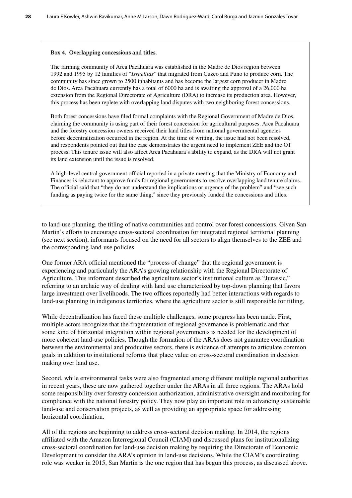#### **Box 4. Overlapping concessions and titles.**

The farming community of Arca Pacahuara was established in the Madre de Dios region between 1992 and 1995 by 12 families of "*Israelitas*" that migrated from Cuzco and Puno to produce corn. The community has since grown to 2500 inhabitants and has become the largest corn producer in Madre de Dios. Arca Pacahuara currently has a total of 6000 ha and is awaiting the approval of a 26,000 ha extension from the Regional Directorate of Agriculture (DRA) to increase its production area. However, this process has been replete with overlapping land disputes with two neighboring forest concessions.

Both forest concessions have filed formal complaints with the Regional Government of Madre de Dios, claiming the community is using part of their forest concession for agricultural purposes. Arca Pacahuara and the forestry concession owners received their land titles from national governmental agencies before decentralization occurred in the region. At the time of writing, the issue had not been resolved, and respondents pointed out that the case demonstrates the urgent need to implement ZEE and the OT process. This tenure issue will also affect Arca Pacahuara's ability to expand, as the DRA will not grant its land extension until the issue is resolved.

A high-level central government official reported in a private meeting that the Ministry of Economy and Finances is reluctant to approve funds for regional governments to resolve overlapping land tenure claims. The official said that "they do not understand the implications or urgency of the problem" and "see such funding as paying twice for the same thing," since they previously funded the concessions and titles.

to land-use planning, the titling of native communities and control over forest concessions. Given San Martin's efforts to encourage cross-sectoral coordination for integrated regional territorial planning (see next section), informants focused on the need for all sectors to align themselves to the ZEE and the corresponding land-use policies.

One former ARA official mentioned the "process of change" that the regional government is experiencing and particularly the ARA's growing relationship with the Regional Directorate of Agriculture. This informant described the agriculture sector's institutional culture as "Jurassic," referring to an archaic way of dealing with land use characterized by top-down planning that favors large investment over livelihoods. The two offices reportedly had better interactions with regards to land-use planning in indigenous territories, where the agriculture sector is still responsible for titling.

While decentralization has faced these multiple challenges, some progress has been made. First, multiple actors recognize that the fragmentation of regional governance is problematic and that some kind of horizontal integration within regional governments is needed for the development of more coherent land-use policies. Though the formation of the ARAs does not guarantee coordination between the environmental and productive sectors, there is evidence of attempts to articulate common goals in addition to institutional reforms that place value on cross-sectoral coordination in decision making over land use.

Second, while environmental tasks were also fragmented among different multiple regional authorities in recent years, these are now gathered together under the ARAs in all three regions. The ARAs hold some responsibility over forestry concession authorization, administrative oversight and monitoring for compliance with the national forestry policy. They now play an important role in advancing sustainable land-use and conservation projects, as well as providing an appropriate space for addressing horizontal coordination.

All of the regions are beginning to address cross-sectoral decision making. In 2014, the regions affiliated with the Amazon Interregional Council (CIAM) and discussed plans for institutionalizing cross-sectoral coordination for land-use decision making by requiring the Directorate of Economic Development to consider the ARA's opinion in land-use decisions. While the CIAM's coordinating role was weaker in 2015, San Martin is the one region that has begun this process, as discussed above.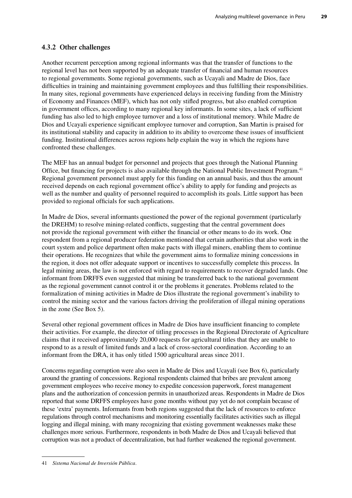## **4.3.2 Other challenges**

Another recurrent perception among regional informants was that the transfer of functions to the regional level has not been supported by an adequate transfer of financial and human resources to regional governments. Some regional governments, such as Ucayali and Madre de Dios, face difficulties in training and maintaining government employees and thus fulfilling their responsibilities. In many sites, regional governments have experienced delays in receiving funding from the Ministry of Economy and Finances (MEF), which has not only stifled progress, but also enabled corruption in government offices, according to many regional key informants. In some sites, a lack of sufficient funding has also led to high employee turnover and a loss of institutional memory. While Madre de Dios and Ucayali experience significant employee turnover and corruption, San Martin is praised for its institutional stability and capacity in addition to its ability to overcome these issues of insufficient funding. Institutional differences across regions help explain the way in which the regions have confronted these challenges.

The MEF has an annual budget for personnel and projects that goes through the National Planning Office, but financing for projects is also available through the National Public Investment Program.41 Regional government personnel must apply for this funding on an annual basis, and thus the amount received depends on each regional government office's ability to apply for funding and projects as well as the number and quality of personnel required to accomplish its goals. Little support has been provided to regional officials for such applications.

In Madre de Dios, several informants questioned the power of the regional government (particularly the DREHM) to resolve mining-related conflicts, suggesting that the central government does not provide the regional government with either the financial or other means to do its work. One respondent from a regional producer federation mentioned that certain authorities that also work in the court system and police department often make pacts with illegal miners, enabling them to continue their operations. He recognizes that while the government aims to formalize mining concessions in the region, it does not offer adequate support or incentives to successfully complete this process. In legal mining areas, the law is not enforced with regard to requirements to recover degraded lands. One informant from DRFFS even suggested that mining be transferred back to the national government as the regional government cannot control it or the problems it generates. Problems related to the formalization of mining activities in Madre de Dios illustrate the regional government's inability to control the mining sector and the various factors driving the proliferation of illegal mining operations in the zone (See Box 5).

Several other regional government offices in Madre de Dios have insufficient financing to complete their activities. For example, the director of titling processes in the Regional Directorate of Agriculture claims that it received approximately 20,000 requests for agricultural titles that they are unable to respond to as a result of limited funds and a lack of cross-sectoral coordination. According to an informant from the DRA, it has only titled 1500 agricultural areas since 2011.

Concerns regarding corruption were also seen in Madre de Dios and Ucayali (see Box 6), particularly around the granting of concessions. Regional respondents claimed that bribes are prevalent among government employees who receive money to expedite concession paperwork, forest management plans and the authorization of concession permits in unauthorized areas. Respondents in Madre de Dios reported that some DRFFS employees have gone months without pay yet do not complain because of these 'extra' payments. Informants from both regions suggested that the lack of resources to enforce regulations through control mechanisms and monitoring essentially facilitates activities such as illegal logging and illegal mining, with many recognizing that existing government weaknesses make these challenges more serious. Furthermore, respondents in both Madre de Dios and Ucayali believed that corruption was not a product of decentralization, but had further weakened the regional government.

<sup>41</sup> *Sistema Nacional de Inversión Pública*.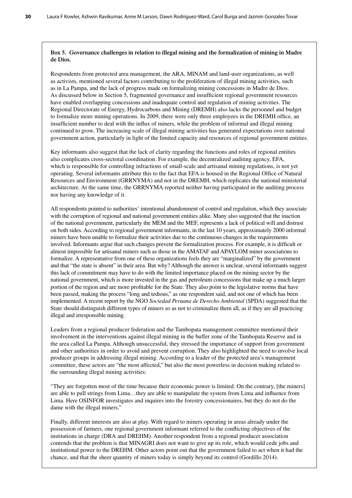#### **Box 5. Governance challenges in relation to illegal mining and the formalization of mining in Madre de Dios.**

Respondents from protected area management, the ARA, MINAM and land-user organizations, as well as activists, mentioned several factors contributing to the proliferation of illegal mining activities, such as in La Pampa, and the lack of progress made on formalizing mining concessions in Madre de Dios. As discussed below in Section 5, fragmented governance and insufficient regional government resources have enabled overlapping concessions and inadequate control and regulation of mining activities. The Regional Directorate of Energy, Hydrocarbons and Mining (DREMH) also lacks the personnel and budget to formalize more mining operations. In 2009, there were only three employees in the DREMH office, an insufficient number to deal with the influx of miners, while the problem of informal and illegal mining continued to grow. The increasing scale of illegal mining activities has generated expectations over national government action, particularly in light of the limited capacity and resources of regional government entities.

Key informants also suggest that the lack of clarity regarding the functions and roles of regional entities also complicates cross-sectoral coordination. For example, the decentralized auditing agency, EFA, which is responsible for controlling infractions of small-scale and artisanal mining regulations, is not yet operating. Several informants attribute this to the fact that EFA is housed in the Regional Office of Natural Resources and Environment (GRRNYMA) and not in the DREMH, which replicates the national ministerial architecture. At the same time, the GRRNYMA reported neither having participated in the auditing process nor having any knowledge of it.

All respondents pointed to authorities' intentional abandonment of control and regulation, which they associate with the corruption of regional and national government entities alike. Many also suggested that the inaction of the national government, particularly the MEM and the MEF, represents a lack of political will and distrust on both sides. According to regional government informants, in the last 10 years, approximately 2000 informal miners have been unable to formalize their activities due to the continuous changes in the requirements involved. Informants argue that such changes prevent the formalization process. For example, it is difficult or almost impossible for artisanal miners such as those in the AMATAF and APAYLOM miner associations to formalize. A representative from one of these organizations feels they are "marginalized" by the government and that "the state is absent" in their area. But why? Although the answer is unclear, several informants suggest this lack of commitment may have to do with the limited importance placed on the mining sector by the national government, which is more invested in the gas and petroleum concessions that make up a much larger portion of the region and are more profitable for the State. They also point to the legislative norms that have been passed, making the process "long and tedious," as one respondent said, and not one of which has been implemented. A recent report by the NGO *Sociedad Peruana de Derecho Ambiental* (SPDA) suggested that the State should distinguish different types of miners so as not to criminalize them all, as if they are all practicing illegal and irresponsible mining.

Leaders from a regional producer federation and the Tambopata management committee mentioned their involvement in the interventions against illegal mining in the buffer zone of the Tambopata Reserve and in the area called La Pampa. Although unsuccessful, they stressed the importance of support from government and other authorities in order to avoid and prevent corruption. They also highlighted the need to involve local producer groups in addressing illegal mining. According to a leader of the protected area's management committee, these actors are "the most affected," but also the most powerless in decision making related to the surrounding illegal mining activities:

"They are forgotten most of the time because their economic power is limited. On the contrary, [the miners] are able to pull strings from Lima…they are able to manipulate the system from Lima and influence from Lima. Here OSINFOR investigates and inquires into the forestry concessionaires, but they do not do the dame with the illegal miners."

Finally, different interests are also at play. With regard to miners operating in areas already under the possession of farmers, one regional government informant referred to the conflicting objectives of the institutions in charge (DRA and DREHM). Another respondent from a regional producer association contends that the problem is that MINAGRI does not want to give up its role, which would cede jobs and institutional power to the DREHM. Other actors point out that the government failed to act when it had the chance, and that the sheer quantity of miners today is simply beyond its control (Gordillo 2014).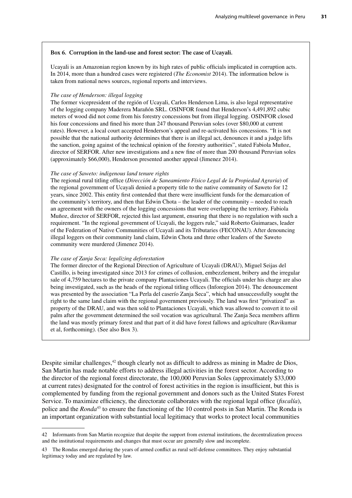#### **Box 6. Corruption in the land-use and forest sector: The case of Ucayali.**

Ucayali is an Amazonian region known by its high rates of public officials implicated in corruption acts. In 2014, more than a hundred cases were registered (*The Economist* 2014). The information below is taken from national news sources, regional reports and interviews.

#### *The case of Henderson: illegal logging*

The former vicepresident of the región of Ucayali, Carlos Henderson Lima, is also legal representative of the logging company Maderera Marañón SRL. OSINFOR found that Henderson's 4,491,892 cubic meters of wood did not come from his forestry concessions but from illegal logging. OSINFOR closed his four concessions and fined his more than 247 thousand Peruvian soles (over \$80,000 at current rates). However, a local court accepted Henderson's appeal and re-activated his concessions. "It is not possible that the national authority determines that there is an illegal act, denounces it and a judge lifts the sanction, going against of the technical opinion of the forestry authorities", stated Fabiola Muñoz, director of SERFOR. After new investigations and a new fine of more than 200 thousand Peruvian soles (approximately \$66,000), Henderson presented another appeal (Jimenez 2014).

#### *The case of Saweto: indigenous land tenure rights*

The regional rural titling office (*Dirección de Saneamiento Físico Legal de la Propiedad Agraria*) of the regional government of Ucayali denied a property title to the native community of Saweto for 12 years, since 2002. This entity first contended that there were insufficient funds for the demarcation of the community's territory, and then that Edwin Chota – the leader of the community – needed to reach an agreement with the owners of the logging concessions that were overlapping the territory. Fabiola Muñoz, director of SERFOR, rejected this last argument, ensuring that there is no regulation with such a requirement. "In the regional government of Ucayali, the loggers rule," said Roberto Guimaraes, leader of the Federation of Native Communities of Ucayali and its Tributaries (FECONAU). After denouncing illegal loggers on their community land claim, Edwin Chota and three other leaders of the Saweto community were murdered (Jimenez 2014).

#### *The case of Zanja Seca: legalizing deforestation*

The former director of the Regional Direction of Agriculture of Ucayali (DRAU), Miguel Seijas del Castillo, is being investigated since 2013 for crimes of collusion, embezzlement, bribery and the irregular sale of 4,759 hectares to the private company Plantaciones Ucayali. The officials under his charge are also being investigated, such as the heads of the regional titling offices (Inforegion 2014). The denouncement was presented by the association "La Perla del caserío Zanja Seca", which had unsuccessfully sought the right to the same land claim with the regional government previously. The land was first "privatized" as property of the DRAU, and was then sold to Plantaciones Ucayali, which was allowed to convert it to oil palm after the government determined the soil vocation was agricultural. The Zanja Seca members affirm the land was mostly primary forest and that part of it did have forest fallows and agriculture (Ravikumar et al, forthcoming). (See also Box 3).

Despite similar challenges,<sup>42</sup> though clearly not as difficult to address as mining in Madre de Dios, San Martin has made notable efforts to address illegal activities in the forest sector. According to the director of the regional forest directorate, the 100,000 Peruvian Soles (approximately \$33,000 at current rates) designated for the control of forest activities in the region is insufficient, but this is complemented by funding from the regional government and donors such as the United States Forest Service. To maximize efficiency, the directorate collaborates with the regional legal office (*fiscalía*), police and the *Ronda*<sup>43</sup> to ensure the functioning of the 10 control posts in San Martin. The Ronda is an important organization with substantial local legitimacy that works to protect local communities

<sup>42</sup> Informants from San Martin recognize that despite the support from external institutions, the decentralization process and the institutional requirements and changes that must occur are generally slow and incomplete.

<sup>43</sup> The Rondas emerged during the years of armed conflict as rural self-defense committees. They enjoy substantial legitimacy today and are regulated by law.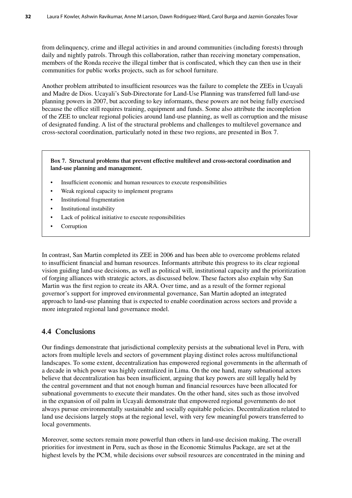from delinquency, crime and illegal activities in and around communities (including forests) through daily and nightly patrols. Through this collaboration, rather than receiving monetary compensation, members of the Ronda receive the illegal timber that is confiscated, which they can then use in their communities for public works projects, such as for school furniture.

Another problem attributed to insufficient resources was the failure to complete the ZEEs in Ucayali and Madre de Dios. Ucayali's Sub-Directorate for Land-Use Planning was transferred full land-use planning powers in 2007, but according to key informants, these powers are not being fully exercised because the office still requires training, equipment and funds. Some also attribute the incompletion of the ZEE to unclear regional policies around land-use planning, as well as corruption and the misuse of designated funding. A list of the structural problems and challenges to multilevel governance and cross-sectoral coordination, particularly noted in these two regions, are presented in Box 7.

### **Box 7. Structural problems that prevent effective multilevel and cross-sectoral coordination and land-use planning and management.**

- Insufficient economic and human resources to execute responsibilities
- Weak regional capacity to implement programs
- Institutional fragmentation
- Institutional instability
- Lack of political initiative to execute responsibilities
- **Corruption**

In contrast, San Martin completed its ZEE in 2006 and has been able to overcome problems related to insufficient financial and human resources. Informants attribute this progress to its clear regional vision guiding land-use decisions, as well as political will, institutional capacity and the prioritization of forging alliances with strategic actors, as discussed below. These factors also explain why San Martin was the first region to create its ARA. Over time, and as a result of the former regional governor's support for improved environmental governance, San Martin adopted an integrated approach to land-use planning that is expected to enable coordination across sectors and provide a more integrated regional land governance model.

# **4.4 Conclusions**

Our findings demonstrate that jurisdictional complexity persists at the subnational level in Peru, with actors from multiple levels and sectors of government playing distinct roles across multifunctional landscapes. To some extent, decentralization has empowered regional governments in the aftermath of a decade in which power was highly centralized in Lima. On the one hand, many subnational actors believe that decentralization has been insufficient, arguing that key powers are still legally held by the central government and that not enough human and financial resources have been allocated for subnational governments to execute their mandates. On the other hand, sites such as those involved in the expansion of oil palm in Ucayali demonstrate that empowered regional governments do not always pursue environmentally sustainable and socially equitable policies. Decentralization related to land use decisions largely stops at the regional level, with very few meaningful powers transferred to local governments.

Moreover, some sectors remain more powerful than others in land-use decision making. The overall priorities for investment in Peru, such as those in the Economic Stimulus Package, are set at the highest levels by the PCM, while decisions over subsoil resources are concentrated in the mining and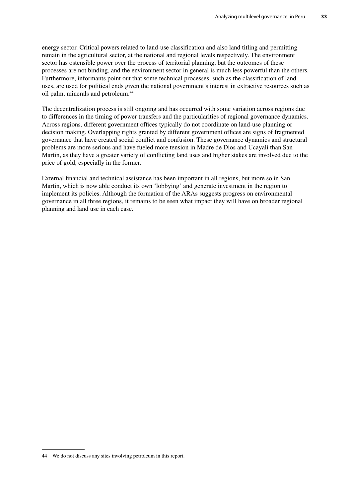energy sector. Critical powers related to land-use classification and also land titling and permitting remain in the agricultural sector, at the national and regional levels respectively. The environment sector has ostensible power over the process of territorial planning, but the outcomes of these processes are not binding, and the environment sector in general is much less powerful than the others. Furthermore, informants point out that some technical processes, such as the classification of land uses, are used for political ends given the national government's interest in extractive resources such as oil palm, minerals and petroleum.<sup>44</sup>

The decentralization process is still ongoing and has occurred with some variation across regions due to differences in the timing of power transfers and the particularities of regional governance dynamics. Across regions, different government offices typically do not coordinate on land-use planning or decision making. Overlapping rights granted by different government offices are signs of fragmented governance that have created social conflict and confusion. These governance dynamics and structural problems are more serious and have fueled more tension in Madre de Dios and Ucayali than San Martin, as they have a greater variety of conflicting land uses and higher stakes are involved due to the price of gold, especially in the former.

External financial and technical assistance has been important in all regions, but more so in San Martin, which is now able conduct its own 'lobbying' and generate investment in the region to implement its policies. Although the formation of the ARAs suggests progress on environmental governance in all three regions, it remains to be seen what impact they will have on broader regional planning and land use in each case.

<sup>44</sup> We do not discuss any sites involving petroleum in this report.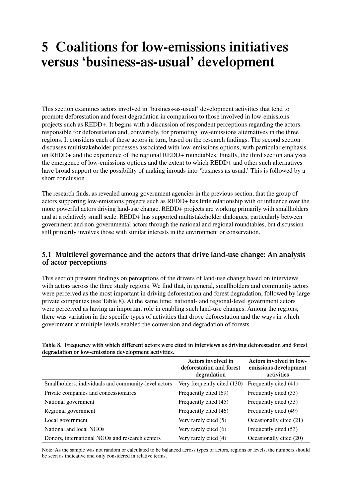# **5 Coalitions for low-emissions initiatives versus 'business-as-usual' development**

This section examines actors involved in 'business-as-usual' development activities that tend to promote deforestation and forest degradation in comparison to those involved in low-emissions projects such as REDD+. It begins with a discussion of respondent perceptions regarding the actors responsible for deforestation and, conversely, for promoting low-emissions alternatives in the three regions. It considers each of these actors in turn, based on the research findings. The second section discusses multistakeholder processes associated with low-emissions options, with particular emphasis on REDD+ and the experience of the regional REDD+ roundtables. Finally, the third section analyzes the emergence of low-emissions options and the extent to which REDD+ and other such alternatives have broad support or the possibility of making inroads into 'business as usual.' This is followed by a short conclusion.

The research finds, as revealed among government agencies in the previous section, that the group of actors supporting low-emissions projects such as REDD+ has little relationship with or influence over the more powerful actors driving land-use change. REDD+ projects are working primarily with smallholders and at a relatively small scale. REDD+ has supported multistakeholder dialogues, particularly between government and non-governmental actors through the national and regional roundtables, but discussion still primarily involves those with similar interests in the environment or conservation.

## **5.1 Multilevel governance and the actors that drive land-use change: An analysis of actor perceptions**

This section presents findings on perceptions of the drivers of land-use change based on interviews with actors across the three study regions. We find that, in general, smallholders and community actors were perceived as the most important in driving deforestation and forest degradation, followed by large private companies (see Table 8). At the same time, national- and regional-level government actors were perceived as having an important role in enabling such land-use changes. Among the regions, there was variation in the specific types of activities that drove deforestation and the ways in which government at multiple levels enabled the conversion and degradation of forests.

|                                                      | Actors involved in<br>deforestation and forest<br>degradation | Actors involved in low-<br>emissions development<br>activities |
|------------------------------------------------------|---------------------------------------------------------------|----------------------------------------------------------------|
| Smallholders, individuals and community-level actors | Very frequently cited (130)                                   | Frequently cited (41)                                          |
| Private companies and concessionaires                | Frequently cited (69)                                         | Frequently cited (33)                                          |
| National government                                  | Frequently cited (45)                                         | Frequently cited (33)                                          |
| Regional government                                  | Frequently cited (46)                                         | Frequently cited (49)                                          |
| Local government                                     | Very rarely cited (5)                                         | Occasionally cited (21)                                        |
| National and local NGOs                              | Very rarely cited (6)                                         | Frequently cited (53)                                          |
| Donors, international NGOs and research centers      | Very rarely cited (4)                                         | Occasionally cited (20)                                        |

**Table 8. Frequency with which different actors were cited in interviews as driving deforestation and forest degradation or low-emissions development activities.**

Note: As the sample was not random or calculated to be balanced across types of actors, regions or levels, the numbers should be seen as indicative and only considered in relative terms.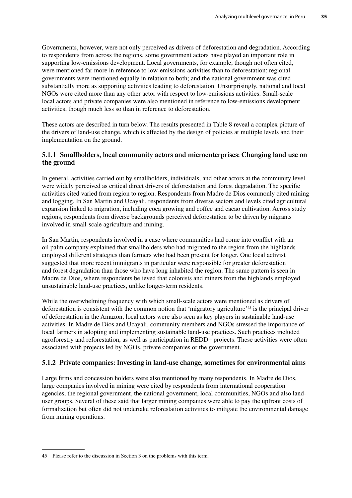Governments, however, were not only perceived as drivers of deforestation and degradation. According to respondents from across the regions, some government actors have played an important role in supporting low-emissions development. Local governments, for example, though not often cited, were mentioned far more in reference to low-emissions activities than to deforestation; regional governments were mentioned equally in relation to both; and the national government was cited substantially more as supporting activities leading to deforestation. Unsurprisingly, national and local NGOs were cited more than any other actor with respect to low-emissions activities. Small-scale local actors and private companies were also mentioned in reference to low-emissions development activities, though much less so than in reference to deforestation.

These actors are described in turn below. The results presented in Table 8 reveal a complex picture of the drivers of land-use change, which is affected by the design of policies at multiple levels and their implementation on the ground.

## **5.1.1 Smallholders, local community actors and microenterprises: Changing land use on the ground**

In general, activities carried out by smallholders, individuals, and other actors at the community level were widely perceived as critical direct drivers of deforestation and forest degradation. The specific activities cited varied from region to region. Respondents from Madre de Dios commonly cited mining and logging. In San Martin and Ucayali, respondents from diverse sectors and levels cited agricultural expansion linked to migration, including coca growing and coffee and cacao cultivation. Across study regions, respondents from diverse backgrounds perceived deforestation to be driven by migrants involved in small-scale agriculture and mining.

In San Martin, respondents involved in a case where communities had come into conflict with an oil palm company explained that smallholders who had migrated to the region from the highlands employed different strategies than farmers who had been present for longer. One local activist suggested that more recent immigrants in particular were responsible for greater deforestation and forest degradation than those who have long inhabited the region. The same pattern is seen in Madre de Dios, where respondents believed that colonists and miners from the highlands employed unsustainable land-use practices, unlike longer-term residents.

While the overwhelming frequency with which small-scale actors were mentioned as drivers of deforestation is consistent with the common notion that 'migratory agriculture'45 is the principal driver of deforestation in the Amazon, local actors were also seen as key players in sustainable land-use activities. In Madre de Dios and Ucayali, community members and NGOs stressed the importance of local farmers in adopting and implementing sustainable land-use practices. Such practices included agroforestry and reforestation, as well as participation in REDD+ projects. These activities were often associated with projects led by NGOs, private companies or the government.

## **5.1.2 Private companies: Investing in land-use change, sometimes for environmental aims**

Large firms and concession holders were also mentioned by many respondents. In Madre de Dios, large companies involved in mining were cited by respondents from international cooperation agencies, the regional government, the national government, local communities, NGOs and also landuser groups. Several of these said that larger mining companies were able to pay the upfront costs of formalization but often did not undertake reforestation activities to mitigate the environmental damage from mining operations.

<sup>45</sup> Please refer to the discussion in Section 3 on the problems with this term.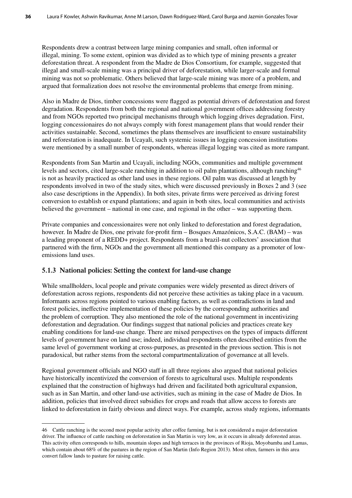Respondents drew a contrast between large mining companies and small, often informal or illegal, mining. To some extent, opinion was divided as to which type of mining presents a greater deforestation threat. A respondent from the Madre de Dios Consortium, for example, suggested that illegal and small-scale mining was a principal driver of deforestation, while larger-scale and formal mining was not so problematic. Others believed that large-scale mining was more of a problem, and argued that formalization does not resolve the environmental problems that emerge from mining.

Also in Madre de Dios, timber concessions were flagged as potential drivers of deforestation and forest degradation. Respondents from both the regional and national government offices addressing forestry and from NGOs reported two principal mechanisms through which logging drives degradation. First, logging concessionaires do not always comply with forest management plans that would render their activities sustainable. Second, sometimes the plans themselves are insufficient to ensure sustainability and reforestation is inadequate. In Ucayali, such systemic issues in logging concession institutions were mentioned by a small number of respondents, whereas illegal logging was cited as more rampant.

Respondents from San Martin and Ucayali, including NGOs, communities and multiple government levels and sectors, cited large-scale ranching in addition to oil palm plantations, although ranching<sup>46</sup> is not as heavily practiced as other land uses in these regions. Oil palm was discussed at length by respondents involved in two of the study sites, which were discussed previously in Boxes 2 and 3 (see also case descriptions in the Appendix). In both sites, private firms were perceived as driving forest conversion to establish or expand plantations; and again in both sites, local communities and activists believed the government – national in one case, and regional in the other – was supporting them.

Private companies and concessionaires were not only linked to deforestation and forest degradation, however. In Madre de Dios, one private for-profit firm – Bosques Amazónicos, S.A.C. (BAM) – was a leading proponent of a REDD+ project. Respondents from a brazil-nut collectors' association that partnered with the firm, NGOs and the government all mentioned this company as a promoter of lowemissions land uses.

## **5.1.3 National policies: Setting the context for land-use change**

While smallholders, local people and private companies were widely presented as direct drivers of deforestation across regions, respondents did not perceive these activities as taking place in a vacuum. Informants across regions pointed to various enabling factors, as well as contradictions in land and forest policies, ineffective implementation of these policies by the corresponding authorities and the problem of corruption. They also mentioned the role of the national government in incentivizing deforestation and degradation. Our findings suggest that national policies and practices create key enabling conditions for land-use change. There are mixed perspectives on the types of impacts different levels of government have on land use; indeed, individual respondents often described entities from the same level of government working at cross-purposes, as presented in the previous section. This is not paradoxical, but rather stems from the sectoral compartmentalization of governance at all levels.

Regional government officials and NGO staff in all three regions also argued that national policies have historically incentivized the conversion of forests to agricultural uses. Multiple respondents explained that the construction of highways had driven and facilitated both agricultural expansion, such as in San Martin, and other land-use activities, such as mining in the case of Madre de Dios. In addition, policies that involved direct subsidies for crops and roads that allow access to forests are linked to deforestation in fairly obvious and direct ways. For example, across study regions, informants

<sup>46</sup> Cattle ranching is the second most popular activity after coffee farming, but is not considered a major deforestation driver. The influence of cattle ranching on deforestation in San Martin is very low, as it occurs in already deforested areas. This activity often corresponds to hills, mountain slopes and high terraces in the provinces of Rioja, Moyobamba and Lamas, which contain about 68% of the pastures in the region of San Martin (Info Region 2013). Most often, farmers in this area convert fallow lands to pasture for raising cattle.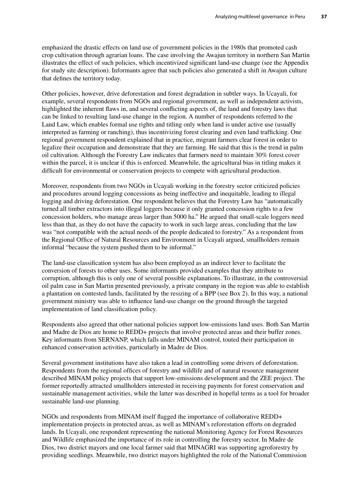emphasized the drastic effects on land use of government policies in the 1980s that promoted cash crop cultivation through agrarian loans. The case involving the Awajun territory in northern San Martin illustrates the effect of such policies, which incentivized significant land-use change (see the Appendix for study site description). Informants agree that such policies also generated a shift in Awajun culture that defines the territory today.

Other policies, however, drive deforestation and forest degradation in subtler ways. In Ucayali, for example, several respondents from NGOs and regional government, as well as independent activists, highlighted the inherent flaws in, and several conflicting aspects of, the land and forestry laws that can be linked to resulting land-use change in the region. A number of respondents referred to the Land Law, which enables formal use rights and titling only when land is under active use (usually interpreted as farming or ranching), thus incentivizing forest clearing and even land trafficking. One regional government respondent explained that in practice, migrant farmers clear forest in order to legalize their occupation and demonstrate that they are farming. He said that this is the trend in palm oil cultivation. Although the Forestry Law indicates that farmers need to maintain 30% forest cover within the parcel, it is unclear if this is enforced. Meanwhile, the agricultural bias in titling makes it difficult for environmental or conservation projects to compete with agricultural production.

Moreover, respondents from two NGOs in Ucayali working in the forestry sector criticized policies and procedures around logging concessions as being ineffective and inequitable, leading to illegal logging and driving deforestation. One respondent believes that the Forestry Law has "automatically turned all timber extractors into illegal loggers because it only granted concession rights to a few concession holders, who manage areas larger than 5000 ha." He argued that small-scale loggers need less than that, as they do not have the capacity to work in such large areas, concluding that the law was "not compatible with the actual needs of the people dedicated to forestry." As a respondent from the Regional Office of Natural Resources and Environment in Ucayali argued, smallholders remain informal "because the system pushed them to be informal."

The land-use classification system has also been employed as an indirect lever to facilitate the conversion of forests to other uses. Some informants provided examples that they attribute to corruption, although this is only one of several possible explanations. To illustrate, in the controversial oil palm case in San Martin presented previously, a private company in the region was able to establish a plantation on contested lands, facilitated by the resizing of a BPP (see Box 2). In this way, a national government ministry was able to influence land-use change on the ground through the targeted implementation of land classification policy.

Respondents also agreed that other national policies support low-emissions land uses. Both San Martin and Madre de Dios are home to REDD+ projects that involve protected areas and their buffer zones. Key informants from SERNANP, which falls under MINAM control, touted their participation in enhanced conservation activities, particularly in Madre de Dios.

Several government institutions have also taken a lead in controlling some drivers of deforestation. Respondents from the regional offices of forestry and wildlife and of natural resource management described MINAM policy projects that support low-emissions development and the ZEE project. The former reportedly attracted smallholders interested in receiving payments for forest conservation and sustainable management activities, while the latter was described in hopeful terms as a tool for broader sustainable land-use planning.

NGOs and respondents from MINAM itself flagged the importance of collaborative REDD+ implementation projects in protected areas, as well as MINAM's reforestation efforts on degraded lands. In Ucayali, one respondent representing the national Monitoring Agency for Forest Resources and Wildlife emphasized the importance of its role in controlling the forestry sector. In Madre de Dios, two district mayors and one local farmer said that MINAGRI was supporting agroforestry by providing seedlings. Meanwhile, two district mayors highlighted the role of the National Commission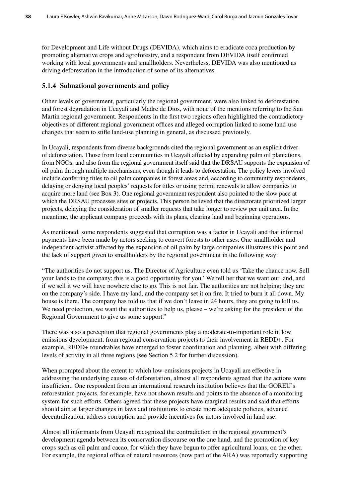for Development and Life without Drugs (DEVIDA), which aims to eradicate coca production by promoting alternative crops and agroforestry, and a respondent from DEVIDA itself confirmed working with local governments and smallholders. Nevertheless, DEVIDA was also mentioned as driving deforestation in the introduction of some of its alternatives.

## **5.1.4 Subnational governments and policy**

Other levels of government, particularly the regional government, were also linked to deforestation and forest degradation in Ucayali and Madre de Dios, with none of the mentions referring to the San Martin regional government. Respondents in the first two regions often highlighted the contradictory objectives of different regional government offices and alleged corruption linked to some land-use changes that seem to stifle land-use planning in general, as discussed previously.

In Ucayali, respondents from diverse backgrounds cited the regional government as an explicit driver of deforestation. Those from local communities in Ucayali affected by expanding palm oil plantations, from NGOs, and also from the regional government itself said that the DRSAU supports the expansion of oil palm through multiple mechanisms, even though it leads to deforestation. The policy levers involved include conferring titles to oil palm companies in forest areas and, according to community respondents, delaying or denying local peoples' requests for titles or using permit renewals to allow companies to acquire more land (see Box 3). One regional government respondent also pointed to the slow pace at which the DRSAU processes sites or projects. This person believed that the directorate prioritized larger projects, delaying the consideration of smaller requests that take longer to review per unit area. In the meantime, the applicant company proceeds with its plans, clearing land and beginning operations.

As mentioned, some respondents suggested that corruption was a factor in Ucayali and that informal payments have been made by actors seeking to convert forests to other uses. One smallholder and independent activist affected by the expansion of oil palm by large companies illustrates this point and the lack of support given to smallholders by the regional government in the following way:

"The authorities do not support us. The Director of Agriculture even told us 'Take the chance now. Sell your lands to the company; this is a good opportunity for you.' We tell her that we want our land, and if we sell it we will have nowhere else to go. This is not fair. The authorities are not helping; they are on the company's side. I have my land, and the company set it on fire. It tried to burn it all down. My house is there. The company has told us that if we don't leave in 24 hours, they are going to kill us. We need protection, we want the authorities to help us, please – we're asking for the president of the Regional Government to give us some support."

There was also a perception that regional governments play a moderate-to-important role in low emissions development, from regional conservation projects to their involvement in REDD+. For example, REDD+ roundtables have emerged to foster coordination and planning, albeit with differing levels of activity in all three regions (see Section 5.2 for further discussion).

When prompted about the extent to which low-emissions projects in Ucayali are effective in addressing the underlying causes of deforestation, almost all respondents agreed that the actions were insufficient. One respondent from an international research institution believes that the GOREU's reforestation projects, for example, have not shown results and points to the absence of a monitoring system for such efforts. Others agreed that these projects have marginal results and said that efforts should aim at larger changes in laws and institutions to create more adequate policies, advance decentralization, address corruption and provide incentives for actors involved in land use.

Almost all informants from Ucayali recognized the contradiction in the regional government's development agenda between its conservation discourse on the one hand, and the promotion of key crops such as oil palm and cacao, for which they have begun to offer agricultural loans, on the other. For example, the regional office of natural resources (now part of the ARA) was reportedly supporting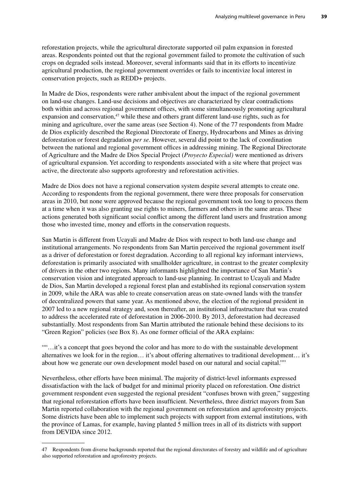reforestation projects, while the agricultural directorate supported oil palm expansion in forested areas. Respondents pointed out that the regional government failed to promote the cultivation of such crops on degraded soils instead. Moreover, several informants said that in its efforts to incentivize agricultural production, the regional government overrides or fails to incentivize local interest in conservation projects, such as REDD+ projects.

In Madre de Dios, respondents were rather ambivalent about the impact of the regional government on land-use changes. Land-use decisions and objectives are characterized by clear contradictions both within and across regional government offices, with some simultaneously promoting agricultural expansion and conservation, $47$  while these and others grant different land-use rights, such as for mining and agriculture, over the same areas (see Section 4). None of the 77 respondents from Madre de Dios explicitly described the Regional Directorate of Energy, Hydrocarbons and Mines as driving deforestation or forest degradation *per se*. However, several did point to the lack of coordination between the national and regional government offices in addressing mining. The Regional Directorate of Agriculture and the Madre de Dios Special Project (*Proyecto Especial)* were mentioned as drivers of agricultural expansion. Yet according to respondents associated with a site where that project was active, the directorate also supports agroforestry and reforestation activities.

Madre de Dios does not have a regional conservation system despite several attempts to create one. According to respondents from the regional government, there were three proposals for conservation areas in 2010, but none were approved because the regional government took too long to process them at a time when it was also granting use rights to miners, farmers and others in the same areas. These actions generated both significant social conflict among the different land users and frustration among those who invested time, money and efforts in the conservation requests.

San Martin is different from Ucayali and Madre de Dios with respect to both land-use change and institutional arrangements. No respondents from San Martin perceived the regional government itself as a driver of deforestation or forest degradation. According to all regional key informant interviews, deforestation is primarily associated with smallholder agriculture, in contrast to the greater complexity of drivers in the other two regions. Many informants highlighted the importance of San Martin's conservation vision and integrated approach to land-use planning. In contrast to Ucayali and Madre de Dios, San Martin developed a regional forest plan and established its regional conservation system in 2009, while the ARA was able to create conservation areas on state-owned lands with the transfer of decentralized powers that same year. As mentioned above, the election of the regional president in 2007 led to a new regional strategy and, soon thereafter, an institutional infrastructure that was created to address the accelerated rate of deforestation in 2006-2010. By 2013, deforestation had decreased substantially. Most respondents from San Martin attributed the rationale behind these decisions to its "Green Region" policies (see Box 8). As one former official of the ARA explains:

""…it's a concept that goes beyond the color and has more to do with the sustainable development alternatives we look for in the region… it's about offering alternatives to traditional development… it's about how we generate our own development model based on our natural and social capital.""

Nevertheless, other efforts have been minimal. The majority of district-level informants expressed dissatisfaction with the lack of budget for and minimal priority placed on reforestation. One district government respondent even suggested the regional president "confuses brown with green," suggesting that regional reforestation efforts have been insufficient. Nevertheless, three district mayors from San Martin reported collaboration with the regional government on reforestation and agroforestry projects. Some districts have been able to implement such projects with support from external institutions, with the province of Lamas, for example, having planted 5 million trees in all of its districts with support from DEVIDA since 2012.

<sup>47</sup> Respondents from diverse backgrounds reported that the regional directorates of forestry and wildlife and of agriculture also supported reforestation and agroforestry projects.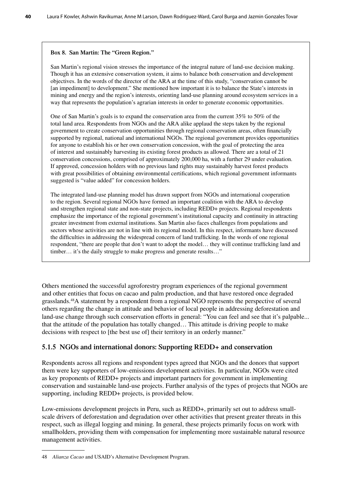#### **Box 8. San Martin: The "Green Region."**

San Martin's regional vision stresses the importance of the integral nature of land-use decision making. Though it has an extensive conservation system, it aims to balance both conservation and development objectives. In the words of the director of the ARA at the time of this study, "conservation cannot be [an impediment] to development." She mentioned how important it is to balance the State's interests in mining and energy and the region's interests, orienting land-use planning around ecosystem services in a way that represents the population's agrarian interests in order to generate economic opportunities.

One of San Martin's goals is to expand the conservation area from the current 35% to 50% of the total land area. Respondents from NGOs and the ARA alike applaud the steps taken by the regional government to create conservation opportunities through regional conservation areas, often financially supported by regional, national and international NGOs. The regional government provides opportunities for anyone to establish his or her own conservation concession, with the goal of protecting the area of interest and sustainably harvesting its existing forest products as allowed. There are a total of 21 conservation concessions, comprised of approximately 200,000 ha, with a further 29 under evaluation. If approved, concession holders with no previous land rights may sustainably harvest forest products with great possibilities of obtaining environmental certifications, which regional government informants suggested is "value added" for concession holders.

The integrated land-use planning model has drawn support from NGOs and international cooperation to the region. Several regional NGOs have formed an important coalition with the ARA to develop and strengthen regional state and non-state projects, including REDD+ projects. Regional respondents emphasize the importance of the regional government's institutional capacity and continuity in attracting greater investment from external institutions. San Martin also faces challenges from populations and sectors whose activities are not in line with its regional model. In this respect, informants have discussed the difficulties in addressing the widespread concern of land trafficking. In the words of one regional respondent, "there are people that don't want to adopt the model… they will continue trafficking land and timber... it's the daily struggle to make progress and generate results..."

Others mentioned the successful agroforestry program experiences of the regional government and other entities that focus on cacao and palm production, and that have restored once degraded grasslands.48A statement by a respondent from a regional NGO represents the perspective of several others regarding the change in attitude and behavior of local people in addressing deforestation and land-use change through such conservation efforts in general: "You can feel and see that it's palpable... that the attitude of the population has totally changed… This attitude is driving people to make decisions with respect to [the best use of] their territory in an orderly manner."

## **5.1.5 NGOs and international donors: Supporting REDD+ and conservation**

Respondents across all regions and respondent types agreed that NGOs and the donors that support them were key supporters of low-emissions development activities. In particular, NGOs were cited as key proponents of REDD+ projects and important partners for government in implementing conservation and sustainable land-use projects. Further analysis of the types of projects that NGOs are supporting, including REDD+ projects, is provided below.

Low-emissions development projects in Peru, such as REDD+, primarily set out to address smallscale drivers of deforestation and degradation over other activities that present greater threats in this respect, such as illegal logging and mining. In general, these projects primarily focus on work with smallholders, providing them with compensation for implementing more sustainable natural resource management activities.

<sup>48</sup> *Alianza Cacao* and USAID's Alternative Development Program.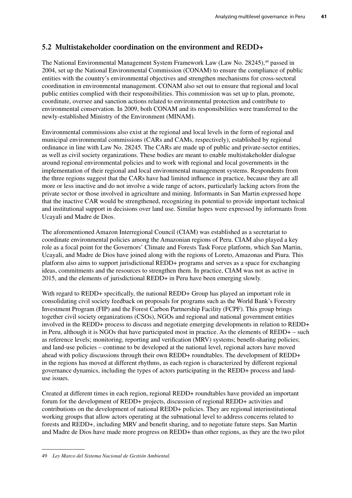# **5.2 Multistakeholder coordination on the environment and REDD+**

The National Environmental Management System Framework Law (Law No. 28245),<sup>49</sup> passed in 2004, set up the National Environmental Commission (CONAM) to ensure the compliance of public entities with the country's environmental objectives and strengthen mechanisms for cross-sectoral coordination in environmental management. CONAM also set out to ensure that regional and local public entities complied with their responsibilities. This commission was set up to plan, promote, coordinate, oversee and sanction actions related to environmental protection and contribute to environmental conservation. In 2009, both CONAM and its responsibilities were transferred to the newly-established Ministry of the Environment (MINAM).

Environmental commissions also exist at the regional and local levels in the form of regional and municipal environmental commissions (CARs and CAMs, respectively), established by regional ordinance in line with Law No. 28245. The CARs are made up of public and private-sector entities, as well as civil society organizations. These bodies are meant to enable multistakeholder dialogue around regional environmental policies and to work with regional and local governments in the implementation of their regional and local environmental management systems. Respondents from the three regions suggest that the CARs have had limited influence in practice, because they are all more or less inactive and do not involve a wide range of actors, particularly lacking actors from the private sector or those involved in agriculture and mining. Informants in San Martin expressed hope that the inactive CAR would be strengthened, recognizing its potential to provide important technical and institutional support in decisions over land use. Similar hopes were expressed by informants from Ucayali and Madre de Dios.

The aforementioned Amazon Interregional Council (CIAM) was established as a secretariat to coordinate environmental policies among the Amazonian regions of Peru. CIAM also played a key role as a focal point for the Governors' Climate and Forests Task Force platform, which San Martin, Ucayali, and Madre de Dios have joined along with the regions of Loreto, Amazonas and Piura. This platform also aims to support jurisdictional REDD+ programs and serves as a space for exchanging ideas, commitments and the resources to strengthen them. In practice, CIAM was not as active in 2015, and the elements of jurisdictional REDD+ in Peru have been emerging slowly.

With regard to REDD+ specifically, the national REDD+ Group has played an important role in consolidating civil society feedback on proposals for programs such as the World Bank's Forestry Investment Program (FIP) and the Forest Carbon Partnership Facility (FCPF). This group brings together civil society organizations (CSOs), NGOs and regional and national government entities involved in the REDD+ process to discuss and negotiate emerging developments in relation to REDD+ in Peru, although it is NGOs that have participated most in practice. As the elements of REDD+ – such as reference levels; monitoring, reporting and verification (MRV) systems; benefit-sharing policies; and land-use policies – continue to be developed at the national level, regional actors have moved ahead with policy discussions through their own REDD+ roundtables. The development of REDD+ in the regions has moved at different rhythms, as each region is characterized by different regional governance dynamics, including the types of actors participating in the REDD+ process and landuse issues.

Created at different times in each region, regional REDD+ roundtables have provided an important forum for the development of REDD+ projects, discussion of regional REDD+ activities and contributions on the development of national REDD+ policies. They are regional interinstitutional working groups that allow actors operating at the subnational level to address concerns related to forests and REDD+, including MRV and benefit sharing, and to negotiate future steps. San Martin and Madre de Dios have made more progress on REDD+ than other regions, as they are the two pilot

<sup>49</sup> *Ley Marco del Sistema Nacional de Gestión Ambiental.*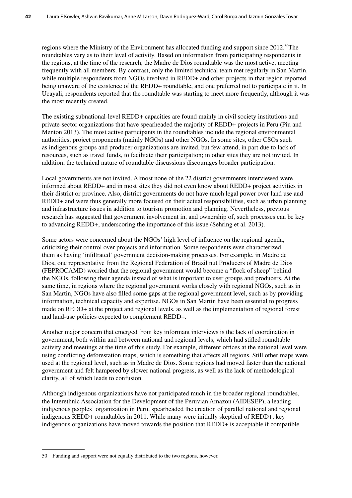regions where the Ministry of the Environment has allocated funding and support since 2012.<sup>50</sup>The roundtables vary as to their level of activity. Based on information from participating respondents in the regions, at the time of the research, the Madre de Dios roundtable was the most active, meeting frequently with all members. By contrast, only the limited technical team met regularly in San Martin, while multiple respondents from NGOs involved in REDD+ and other projects in that region reported being unaware of the existence of the REDD+ roundtable, and one preferred not to participate in it. In Ucayali, respondents reported that the roundtable was starting to meet more frequently, although it was the most recently created.

The existing subnational-level REDD+ capacities are found mainly in civil society institutions and private-sector organizations that have spearheaded the majority of REDD+ projects in Peru (Piu and Menton 2013). The most active participants in the roundtables include the regional environmental authorities, project proponents (mainly NGOs) and other NGOs. In some sites, other CSOs such as indigenous groups and producer organizations are invited, but few attend, in part due to lack of resources, such as travel funds, to facilitate their participation; in other sites they are not invited. In addition, the technical nature of roundtable discussions discourages broader participation.

Local governments are not invited. Almost none of the 22 district governments interviewed were informed about REDD+ and in most sites they did not even know about REDD+ project activities in their district or province. Also, district governments do not have much legal power over land use and REDD+ and were thus generally more focused on their actual responsibilities, such as urban planning and infrastructure issues in addition to tourism promotion and planning. Nevertheless, previous research has suggested that government involvement in, and ownership of, such processes can be key to advancing REDD+, underscoring the importance of this issue (Sehring et al. 2013).

Some actors were concerned about the NGOs' high level of influence on the regional agenda, criticizing their control over projects and information. Some respondents even characterized them as having 'infiltrated' government decision-making processes. For example, in Madre de Dios, one representative from the Regional Federation of Brazil nut Producers of Madre de Dios (FEPROCAMD) worried that the regional government would become a "flock of sheep" behind the NGOs, following their agenda instead of what is important to user groups and producers. At the same time, in regions where the regional government works closely with regional NGOs, such as in San Martin, NGOs have also filled some gaps at the regional government level, such as by providing information, technical capacity and expertise. NGOs in San Martin have been essential to progress made on REDD+ at the project and regional levels, as well as the implementation of regional forest and land-use policies expected to complement REDD+.

Another major concern that emerged from key informant interviews is the lack of coordination in government, both within and between national and regional levels, which had stifled roundtable activity and meetings at the time of this study. For example, different offices at the national level were using conflicting deforestation maps, which is something that affects all regions. Still other maps were used at the regional level, such as in Madre de Dios. Some regions had moved faster than the national government and felt hampered by slower national progress, as well as the lack of methodological clarity, all of which leads to confusion.

Although indigenous organizations have not participated much in the broader regional roundtables, the Interethnic Association for the Development of the Peruvian Amazon (AIDESEP), a leading indigenous peoples' organization in Peru, spearheaded the creation of parallel national and regional indigenous REDD+ roundtables in 2011. While many were initially skeptical of REDD+, key indigenous organizations have moved towards the position that REDD+ is acceptable if compatible

<sup>50</sup> Funding and support were not equally distributed to the two regions, however.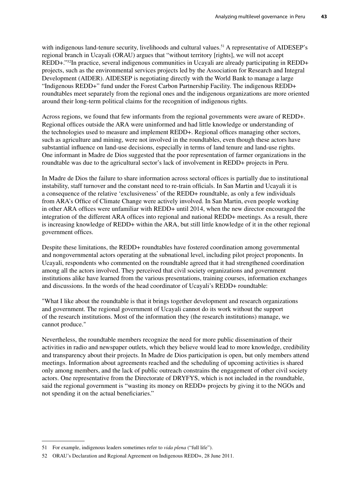with indigenous land-tenure security, livelihoods and cultural values.<sup>51</sup> A representative of AIDESEP's regional branch in Ucayali (ORAU) argues that "without territory [rights], we will not accept REDD+."52In practice, several indigenous communities in Ucayali are already participating in REDD+ projects, such as the environmental services projects led by the Association for Research and Integral Development (AIDER). AIDESEP is negotiating directly with the World Bank to manage a large "Indigenous REDD+" fund under the Forest Carbon Partnership Facility. The indigenous REDD+ roundtables meet separately from the regional ones and the indigenous organizations are more oriented around their long-term political claims for the recognition of indigenous rights.

Across regions, we found that few informants from the regional governments were aware of REDD+. Regional offices outside the ARA were uninformed and had little knowledge or understanding of the technologies used to measure and implement REDD+. Regional offices managing other sectors, such as agriculture and mining, were not involved in the roundtables, even though these actors have substantial influence on land-use decisions, especially in terms of land tenure and land-use rights. One informant in Madre de Dios suggested that the poor representation of farmer organizations in the roundtable was due to the agricultural sector's lack of involvement in REDD+ projects in Peru.

In Madre de Dios the failure to share information across sectoral offices is partially due to institutional instability, staff turnover and the constant need to re-train officials. In San Martin and Ucayali it is a consequence of the relative 'exclusiveness' of the REDD+ roundtable, as only a few individuals from ARA's Office of Climate Change were actively involved. In San Martin, even people working in other ARA offices were unfamiliar with REDD+ until 2014, when the new director encouraged the integration of the different ARA offices into regional and national REDD+ meetings. As a result, there is increasing knowledge of REDD+ within the ARA, but still little knowledge of it in the other regional government offices.

Despite these limitations, the REDD+ roundtables have fostered coordination among governmental and nongovernmental actors operating at the subnational level, including pilot project proponents. In Ucayali, respondents who commented on the roundtable agreed that it had strengthened coordination among all the actors involved. They perceived that civil society organizations and government institutions alike have learned from the various presentations, training courses, information exchanges and discussions. In the words of the head coordinator of Ucayali's REDD+ roundtable:

"What I like about the roundtable is that it brings together development and research organizations and government. The regional government of Ucayali cannot do its work without the support of the research institutions. Most of the information they (the research institutions) manage, we cannot produce."

Nevertheless, the roundtable members recognize the need for more public dissemination of their activities in radio and newspaper outlets, which they believe would lead to more knowledge, credibility and transparency about their projects. In Madre de Dios participation is open, but only members attend meetings. Information about agreements reached and the scheduling of upcoming activities is shared only among members, and the lack of public outreach constrains the engagement of other civil society actors. One representative from the Directorate of DRYFYS, which is not included in the roundtable, said the regional government is "wasting its money on REDD+ projects by giving it to the NGOs and not spending it on the actual beneficiaries."

<sup>51</sup> For example, indigenous leaders sometimes refer to *vida plena* ("full life").

<sup>52</sup> ORAU's Declaration and Regional Agreement on Indigenous REDD+, 28 June 2011.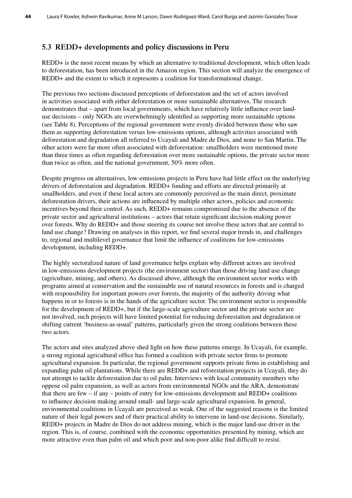# **5.3 REDD+ developments and policy discussions in Peru**

REDD+ is the most recent means by which an alternative to traditional development, which often leads to deforestation, has been introduced in the Amazon region. This section will analyze the emergence of REDD+ and the extent to which it represents a coalition for transformational change.

The previous two sections discussed perceptions of deforestation and the set of actors involved in activities associated with either deforestation or more sustainable alternatives. The research demonstrates that – apart from local governments, which have relatively little influence over landuse decisions – only NGOs are overwhelmingly identified as supporting more sustainable options (see Table 8). Perceptions of the regional government were evenly divided between those who saw them as supporting deforestation versus low-emissions options, although activities associated with deforestation and degradation all referred to Ucayali and Madre de Dios, and none to San Martin. The other actors were far more often associated with deforestation: smallholders were mentioned more than three times as often regarding deforestation over more sustainable options, the private sector more than twice as often, and the national government, 50% more often.

Despite progress on alternatives, low-emissions projects in Peru have had little effect on the underlying drivers of deforestation and degradation. REDD+ funding and efforts are directed primarily at smallholders, and even if these local actors are commonly perceived as the main direct, proximate deforestation drivers, their actions are influenced by multiple other actors, policies and economic incentives beyond their control. As such, REDD+ remains compromised due to the absence of the private sector and agricultural institutions – actors that retain significant decision-making power over forests. Why do REDD+ and those steering its course not involve these actors that are central to land use change? Drawing on analyses in this report, we find several major trends in, and challenges to, regional and multilevel governance that limit the influence of coalitions for low-emissions development, including REDD+.

The highly sectoralized nature of land governance helps explain why different actors are involved in low-emissions development projects (the environment sector) than those driving land use change (agriculture, mining, and others). As discussed above, although the environment sector works with programs aimed at conservation and the sustainable use of natural resources in forests and is charged with responsibility for important powers over forests, the majority of the authority driving what happens in or to forests is in the hands of the agriculture sector. The environment sector is responsible for the development of REDD+, but if the large-scale agriculture sector and the private sector are not involved, such projects will have limited potential for reducing deforestation and degradation or shifting current 'business-as-usual' patterns, particularly given the strong coalitions between these two actors.

The actors and sites analyzed above shed light on how these patterns emerge. In Ucayali, for example, a strong regional agricultural office has formed a coalition with private sector firms to promote agricultural expansion. In particular, the regional government supports private firms in establishing and expanding palm oil plantations. While there are REDD+ and reforestation projects in Ucayali, they do not attempt to tackle deforestation due to oil palm. Interviews with local community members who oppose oil palm expansion, as well as actors from environmental NGOs and the ARA, demonstrate that there are few – if any – points of entry for low-emissions development and REDD+ coalitions to influence decision making around small- and large-scale agricultural expansion. In general, environmental coalitions in Ucayali are perceived as weak. One of the suggested reasons is the limited nature of their legal powers and of their practical ability to intervene in land-use decisions. Similarly, REDD+ projects in Madre de Dios do not address mining, which is the major land-use driver in the region. This is, of course, combined with the economic opportunities presented by mining, which are more attractive even than palm oil and which poor and non-poor alike find difficult to resist.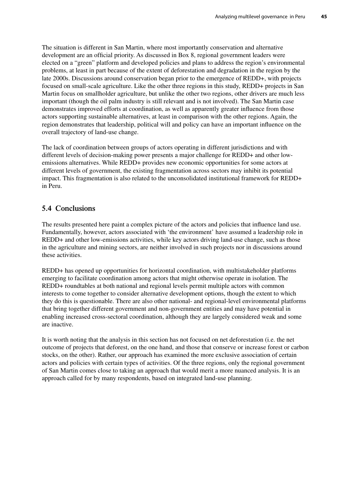The situation is different in San Martin, where most importantly conservation and alternative development are an official priority. As discussed in Box 8, regional government leaders were elected on a "green" platform and developed policies and plans to address the region's environmental problems, at least in part because of the extent of deforestation and degradation in the region by the late 2000s. Discussions around conservation began prior to the emergence of REDD+, with projects focused on small-scale agriculture. Like the other three regions in this study, REDD+ projects in San Martin focus on smallholder agriculture, but unlike the other two regions, other drivers are much less important (though the oil palm industry is still relevant and is not involved). The San Martin case demonstrates improved efforts at coordination, as well as apparently greater influence from those actors supporting sustainable alternatives, at least in comparison with the other regions. Again, the region demonstrates that leadership, political will and policy can have an important influence on the overall trajectory of land-use change.

The lack of coordination between groups of actors operating in different jurisdictions and with different levels of decision-making power presents a major challenge for REDD+ and other lowemissions alternatives. While REDD+ provides new economic opportunities for some actors at different levels of government, the existing fragmentation across sectors may inhibit its potential impact. This fragmentation is also related to the unconsolidated institutional framework for REDD+ in Peru.

# **5.4 Conclusions**

The results presented here paint a complex picture of the actors and policies that influence land use. Fundamentally, however, actors associated with 'the environment' have assumed a leadership role in REDD+ and other low-emissions activities, while key actors driving land-use change, such as those in the agriculture and mining sectors, are neither involved in such projects nor in discussions around these activities.

REDD+ has opened up opportunities for horizontal coordination, with multistakeholder platforms emerging to facilitate coordination among actors that might otherwise operate in isolation. The REDD+ roundtables at both national and regional levels permit multiple actors with common interests to come together to consider alternative development options, though the extent to which they do this is questionable. There are also other national- and regional-level environmental platforms that bring together different government and non-government entities and may have potential in enabling increased cross-sectoral coordination, although they are largely considered weak and some are inactive.

It is worth noting that the analysis in this section has not focused on net deforestation (i.e. the net outcome of projects that deforest, on the one hand, and those that conserve or increase forest or carbon stocks, on the other). Rather, our approach has examined the more exclusive association of certain actors and policies with certain types of activities. Of the three regions, only the regional government of San Martin comes close to taking an approach that would merit a more nuanced analysis. It is an approach called for by many respondents, based on integrated land-use planning.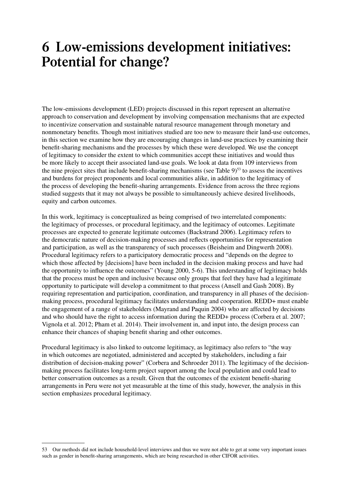# **6 Low-emissions development initiatives: Potential for change?**

The low-emissions development (LED) projects discussed in this report represent an alternative approach to conservation and development by involving compensation mechanisms that are expected to incentivize conservation and sustainable natural resource management through monetary and nonmonetary benefits. Though most initiatives studied are too new to measure their land-use outcomes, in this section we examine how they are encouraging changes in land-use practices by examining their benefit-sharing mechanisms and the processes by which these were developed. We use the concept of legitimacy to consider the extent to which communities accept these initiatives and would thus be more likely to accept their associated land-use goals. We look at data from 109 interviews from the nine project sites that include benefit-sharing mechanisms (see Table 9) 53 to assess the incentives and burdens for project proponents and local communities alike, in addition to the legitimacy of the process of developing the benefit-sharing arrangements. Evidence from across the three regions studied suggests that it may not always be possible to simultaneously achieve desired livelihoods, equity and carbon outcomes.

In this work, legitimacy is conceptualized as being comprised of two interrelated components: the legitimacy of processes, or procedural legitimacy, and the legitimacy of outcomes. Legitimate processes are expected to generate legitimate outcomes (Backstrand 2006). Legitimacy refers to the democratic nature of decision-making processes and reflects opportunities for representation and participation, as well as the transparency of such processes (Beisheim and Dingwerth 2008). Procedural legitimacy refers to a participatory democratic process and "depends on the degree to which those affected by [decisions] have been included in the decision making process and have had the opportunity to influence the outcomes" (Young 2000, 5-6). This understanding of legitimacy holds that the process must be open and inclusive because only groups that feel they have had a legitimate opportunity to participate will develop a commitment to that process (Ansell and Gash 2008). By requiring representation and participation, coordination, and transparency in all phases of the decisionmaking process, procedural legitimacy facilitates understanding and cooperation. REDD+ must enable the engagement of a range of stakeholders (Mayrand and Paquin 2004) who are affected by decisions and who should have the right to access information during the REDD+ process (Corbera et al. 2007; Vignola et al. 2012; Pham et al. 2014). Their involvement in, and input into, the design process can enhance their chances of shaping benefit sharing and other outcomes.

Procedural legitimacy is also linked to outcome legitimacy, as legitimacy also refers to "the way in which outcomes are negotiated, administered and accepted by stakeholders, including a fair distribution of decision-making power" (Corbera and Schroeder 2011). The legitimacy of the decisionmaking process facilitates long-term project support among the local population and could lead to better conservation outcomes as a result. Given that the outcomes of the existent benefit-sharing arrangements in Peru were not yet measurable at the time of this study, however, the analysis in this section emphasizes procedural legitimacy.

<sup>53</sup> Our methods did not include household-level interviews and thus we were not able to get at some very important issues such as gender in benefit-sharing arrangements, which are being researched in other CIFOR activities.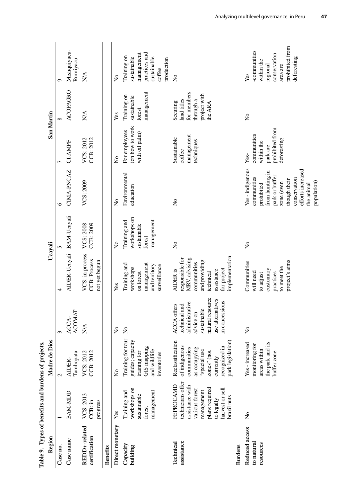| Table 9. Types of benefits and burdens of projects. |                                                                                                                                                     |                                                                                                                                                    |                                                                                                                                                    |                                                                                                                                          |                                                                     |                                                                                                                                                                                  |                                                                                 |                                                                                |                                                                                                             |
|-----------------------------------------------------|-----------------------------------------------------------------------------------------------------------------------------------------------------|----------------------------------------------------------------------------------------------------------------------------------------------------|----------------------------------------------------------------------------------------------------------------------------------------------------|------------------------------------------------------------------------------------------------------------------------------------------|---------------------------------------------------------------------|----------------------------------------------------------------------------------------------------------------------------------------------------------------------------------|---------------------------------------------------------------------------------|--------------------------------------------------------------------------------|-------------------------------------------------------------------------------------------------------------|
| Region                                              |                                                                                                                                                     | Madre de Dios                                                                                                                                      |                                                                                                                                                    | Ucayali                                                                                                                                  |                                                                     |                                                                                                                                                                                  | San Martin                                                                      |                                                                                |                                                                                                             |
| Case no.                                            |                                                                                                                                                     | $\mathbf{\sim}$                                                                                                                                    | 3                                                                                                                                                  | 4                                                                                                                                        |                                                                     | ७                                                                                                                                                                                | 7                                                                               | $\infty$                                                                       | Ó                                                                                                           |
| Case name                                           | BAM-MDD                                                                                                                                             | Tambopata<br>AIDER-                                                                                                                                | ACOMAT<br>ACCA-                                                                                                                                    | AIDER-Ucayali BAM-Ucayali                                                                                                                |                                                                     | CIMA-PNCAZ                                                                                                                                                                       | CI-AMPF                                                                         | <b>ACOPAGRO</b>                                                                | Mishquiyacu-<br>Rumiyacu                                                                                    |
| REDD <sub>+-related</sub><br>certification          | VCS: 2013<br>progress<br>$CCB:$ in                                                                                                                  | CCB: 2012<br>VCS: 2012                                                                                                                             | N/A                                                                                                                                                | VCS: in process<br>CCB: Process<br>not yet begun                                                                                         | VCS: 2008<br>CCB: 2009                                              | VCS: 2009                                                                                                                                                                        | VCS: 2012<br>CCB: 2012                                                          | <b>N/A</b>                                                                     | $\sum_{i=1}^{n}$                                                                                            |
| <b>Benefits</b>                                     |                                                                                                                                                     |                                                                                                                                                    |                                                                                                                                                    |                                                                                                                                          |                                                                     |                                                                                                                                                                                  |                                                                                 |                                                                                |                                                                                                             |
| Direct monetary                                     | Yes                                                                                                                                                 | $\tilde{z}$                                                                                                                                        | $\mathsf{S}^{\mathsf{o}}$                                                                                                                          | Yes                                                                                                                                      | $\tilde{z}$                                                         | $\frac{1}{2}$                                                                                                                                                                    | $\frac{1}{2}$                                                                   | Yes                                                                            | $\frac{1}{2}$                                                                                               |
| Capacity<br>building                                | workshops on<br>management<br>Training and<br>sustainable<br>forest                                                                                 | Training for tour<br>guides; capacity<br>GIS mapping<br>and wildlife<br>training for<br>inventories                                                | $\frac{1}{2}$                                                                                                                                      | management<br>Training and<br>and territory<br>surveillance<br>workshops<br>on forest                                                    | workshops on<br>Training and<br>management<br>sustainable<br>forest | Environmental<br>education                                                                                                                                                       | (on how to work<br>For employees<br>with oil palm)                              | management<br>Training on<br>sustainable<br>forest                             | practices and<br>management<br>Training on<br>sustainable<br>sustainable<br>production<br>coffee            |
| assistance<br>Technical                             | technicians offer<br>FEPROCAMD<br>assistance with<br>plans required<br>harvest or sell<br>various forest<br>management<br>brazil nuts<br>to legally | Reclassification<br>park legislation)<br>of indigenous<br>recognized in<br>as occupying<br>communities<br>"special use<br>zones" (not<br>currently | natural resource<br>use alternatives<br>in concessions<br>administrative<br>AUCA offers<br>technical and<br>ACCA offer<br>sustainable<br>advice on | implementation<br>responsible for<br>MRV, advising<br>and providing<br>communities<br>for project<br>AIDER is<br>assistance<br>technical | $\tilde{z}$                                                         | $\mathsf{S}^{\mathsf{O}}$                                                                                                                                                        | management<br>Sustainable<br>techniques<br>coffee                               | for members<br>project with<br>land titles<br>through a<br>Securing<br>the ARA | $\frac{1}{2}$                                                                                               |
| <b>Burdens</b>                                      |                                                                                                                                                     |                                                                                                                                                    |                                                                                                                                                    |                                                                                                                                          |                                                                     |                                                                                                                                                                                  |                                                                                 |                                                                                |                                                                                                             |
| Reduced access<br>to natural<br>resources           | $\overline{z}$                                                                                                                                      | the park and its<br>Yes - increased<br>monitoring for<br>areas within<br>buffer zone                                                               | $\tilde{z}$                                                                                                                                        | project's aims<br>Communities<br>to meet the<br>customary<br>will need<br>practices<br>to adjust                                         | $\tilde{z}$                                                         | Yes-indigenous<br>efforts increased<br>from hunting in<br>park or buffer<br>communities<br>conservation<br>though their<br>population)<br>zone (even<br>prohibited<br>the animal | prohibited from<br>communities<br>deforesting<br>within the<br>park are<br>Yes- | $\tilde{z}$                                                                    | prohibited from<br>-communities<br>conservation<br>deforesting<br>within the<br>area are<br>regional<br>Yes |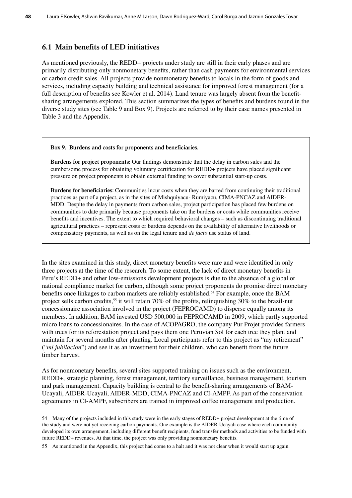# **6.1 Main benefits of LED initiatives**

As mentioned previously, the REDD+ projects under study are still in their early phases and are primarily distributing only nonmonetary benefits, rather than cash payments for environmental services or carbon credit sales. All projects provide nonmonetary benefits to locals in the form of goods and services, including capacity building and technical assistance for improved forest management (for a full description of benefits see Kowler et al. 2014). Land tenure was largely absent from the benefitsharing arrangements explored. This section summarizes the types of benefits and burdens found in the diverse study sites (see Table 9 and Box 9). Projects are referred to by their case names presented in Table 3 and the Appendix.

#### **Box 9. Burdens and costs for proponents and beneficiaries.**

**Burdens for project proponents:** Our findings demonstrate that the delay in carbon sales and the cumbersome process for obtaining voluntary certification for REDD+ projects have placed significant pressure on project proponents to obtain external funding to cover substantial start-up costs.

**Burdens for beneficiaries:** Communities incur costs when they are barred from continuing their traditional practices as part of a project, as in the sites of Mishquiyacu- Rumiyacu, CIMA-PNCAZ and AIDER-MDD. Despite the delay in payments from carbon sales, project participation has placed few burdens on communities to date primarily because proponents take on the burdens or costs while communities receive benefits and incentives. The extent to which required behavioral changes – such as discontinuing traditional agricultural practices – represent costs or burdens depends on the availability of alternative livelihoods or compensatory payments, as well as on the legal tenure and *de facto* use status of land.

In the sites examined in this study, direct monetary benefits were rare and were identified in only three projects at the time of the research. To some extent, the lack of direct monetary benefits in Peru's REDD+ and other low-emissions development projects is due to the absence of a global or national compliance market for carbon, although some project proponents do promise direct monetary benefits once linkages to carbon markets are reliably established.<sup>54</sup> For example, once the BAM project sells carbon credits,<sup>55</sup> it will retain 70% of the profits, relinquishing 30% to the brazil-nut concessionaire association involved in the project (FEPROCAMD) to disperse equally among its members. In addition, BAM invested USD 500,000 in FEPROCAMD in 2009, which partly supported micro loans to concessionaires. In the case of ACOPAGRO, the company Pur Projet provides farmers with trees for its reforestation project and pays them one Peruvian Sol for each tree they plant and maintain for several months after planting. Local participants refer to this project as "my retirement" ("*mi jubilacion*") and see it as an investment for their children, who can benefit from the future timber harvest.

As for nonmonetary benefits, several sites supported training on issues such as the environment, REDD+, strategic planning, forest management, territory surveillance, business management, tourism and park management. Capacity building is central to the benefit-sharing arrangements of BAM-Ucayali, AIDER-Ucayali, AIDER-MDD, CIMA-PNCAZ and CI-AMPF. As part of the conservation agreements in CI-AMPF, subscribers are trained in improved coffee management and production.

<sup>54</sup> Many of the projects included in this study were in the early stages of REDD+ project development at the time of the study and were not yet receiving carbon payments. One example is the AIDER-Ucayali case where each community developed its own arrangement, including different benefit recipients, fund transfer methods and activities to be funded with future REDD+ revenues. At that time, the project was only providing nonmonetary benefits.

<sup>55</sup> As mentioned in the Appendix, this project had come to a halt and it was not clear when it would start up again.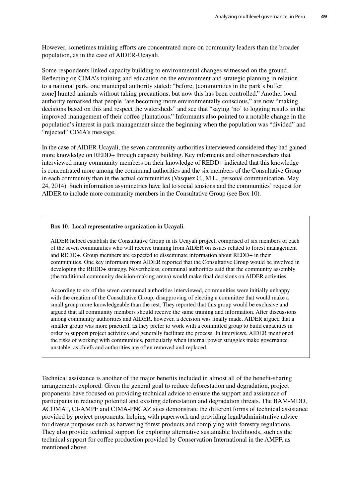However, sometimes training efforts are concentrated more on community leaders than the broader population, as in the case of AIDER-Ucayali.

Some respondents linked capacity building to environmental changes witnessed on the ground. Reflecting on CIMA's training and education on the environment and strategic planning in relation to a national park, one municipal authority stated: "before, [communities in the park's buffer zone] hunted animals without taking precautions, but now this has been controlled." Another local authority remarked that people "are becoming more environmentally conscious," are now "making decisions based on this and respect the watersheds" and see that "saying 'no' to logging results in the improved management of their coffee plantations." Informants also pointed to a notable change in the population's interest in park management since the beginning when the population was "divided" and "rejected" CIMA's message.

In the case of AIDER-Ucayali, the seven community authorities interviewed considered they had gained more knowledge on REDD+ through capacity building. Key informants and other researchers that interviewed many community members on their knowledge of REDD+ indicated that this knowledge is concentrated more among the communal authorities and the six members of the Consultative Group in each community than in the actual communities (Vasquez C., M.L., personal communication, May 24, 2014). Such information asymmetries have led to social tensions and the communities' request for AIDER to include more community members in the Consultative Group (see Box 10).

#### **Box 10. Local representative organization in Ucayali.**

AIDER helped establish the Consultative Group in its Ucayali project, comprised of six members of each of the seven communities who will receive training from AIDER on issues related to forest management and REDD+. Group members are expected to disseminate information about REDD+ in their communities. One key informant from AIDER reported that the Consultative Group would be involved in developing the REDD+ strategy. Nevertheless, communal authorities said that the community assembly (the traditional community decision-making arena) would make final decisions on AIDER activities.

According to six of the seven communal authorities interviewed, communities were initially unhappy with the creation of the Consultative Group, disapproving of electing a committee that would make a small group more knowledgeable than the rest. They reported that this group would be exclusive and argued that all community members should receive the same training and information. After discussions among community authorities and AIDER, however, a decision was finally made. AIDER argued that a smaller group was more practical, as they prefer to work with a committed group to build capacities in order to support project activities and generally facilitate the process. In interviews, AIDER mentioned the risks of working with communities, particularly when internal power struggles make governance unstable, as chiefs and authorities are often removed and replaced.

Technical assistance is another of the major benefits included in almost all of the benefit-sharing arrangements explored. Given the general goal to reduce deforestation and degradation, project proponents have focused on providing technical advice to ensure the support and assistance of participants in reducing potential and existing deforestation and degradation threats. The BAM-MDD, ACOMAT, CI-AMPF and CIMA-PNCAZ sites demonstrate the different forms of technical assistance provided by project proponents, helping with paperwork and providing legal/administrative advice for diverse purposes such as harvesting forest products and complying with forestry regulations. They also provide technical support for exploring alternative sustainable livelihoods, such as the technical support for coffee production provided by Conservation International in the AMPF, as mentioned above.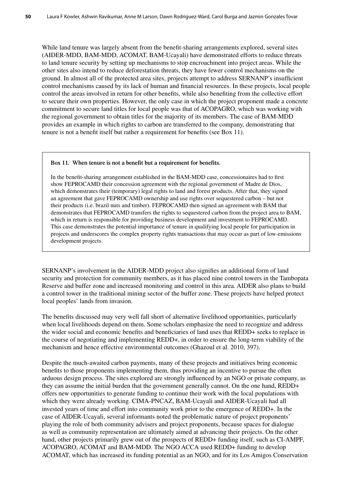While land tenure was largely absent from the benefit-sharing arrangements explored, several sites (AIDER-MDD, BAM-MDD, ACOMAT, BAM-Ucayali) have demonstrated efforts to reduce threats to land tenure security by setting up mechanisms to stop encroachment into project areas. While the other sites also intend to reduce deforestation threats, they have fewer control mechanisms on the ground. In almost all of the protected area sites, projects attempt to address SERNANP's insufficient control mechanisms caused by its lack of human and financial resources. In these projects, local people control the areas involved in return for other benefits, while also benefiting from the collective effort to secure their own properties. However, the only case in which the project proponent made a concrete commitment to secure land titles for local people was that of ACOPAGRO, which was working with the regional government to obtain titles for the majority of its members. The case of BAM-MDD provides an example in which rights to carbon are transferred to the company, demonstrating that tenure is not a benefit itself but rather a requirement for benefits (see Box 11).

#### **Box 11. When tenure is not a benefit but a requirement for benefits.**

In the benefit-sharing arrangement established in the BAM-MDD case, concessionaires had to first show FEPROCAMD their concession agreement with the regional government of Madre de Dios, which demonstrates their (temporary) legal rights to land and forest products. After that, they signed an agreement that gave FEPROCAMD ownership and use rights over sequestered carbon – but not their products (i.e. brazil nuts and timber). FEPROCAMD then signed an agreement with BAM that demonstrates that FEPROCAMD transfers the rights to sequestered carbon from the project area to BAM, which in return is responsible for providing business development and investment to FEPROCAMD. This case demonstrates the potential importance of tenure in qualifying local people for participation in projects and underscores the complex property rights transactions that may occur as part of low-emissions development projects.

SERNANP's involvement in the AIDER-MDD project also signifies an additional form of land security and protection for community members, as it has placed nine control towers in the Tambopata Reserve and buffer zone and increased monitoring and control in this area. AIDER also plans to build a control tower in the traditional mining sector of the buffer zone. These projects have helped protect local peoples' lands from invasion.

The benefits discussed may very well fall short of alternative livelihood opportunities, particularly when local livelihoods depend on them. Some scholars emphasize the need to recognize and address the wider social and economic benefits and beneficiaries of land uses that REDD+ seeks to replace in the course of negotiating and implementing REDD+, in order to ensure the long-term viability of the mechanism and hence effective environmental outcomes (Ghazoul et al. 2010, 397).

Despite the much-awaited carbon payments, many of these projects and initiatives bring economic benefits to those proponents implementing them, thus providing an incentive to pursue the often arduous design process. The sites explored are strongly influenced by an NGO or private company, as they can assume the initial burden that the government generally cannot. On the one hand, REDD+ offers new opportunities to generate funding to continue their work with the local populations with which they were already working. CIMA-PNCAZ, BAM-Ucayali and AIDER-Ucayali had all invested years of time and effort into community work prior to the emergence of REDD+. In the case of AIDER-Ucayali, several informants noted the problematic nature of project proponents' playing the role of both community advisers and project proponents, because spaces for dialogue as well as community representation are ultimately aimed at advancing their projects. On the other hand, other projects primarily grew out of the prospects of REDD+ funding itself, such as CI-AMPF, ACOPAGRO, ACOMAT and BAM-MDD. The NGO ACCA used REDD+ funding to develop ACOMAT, which has increased its funding potential as an NGO, and for its Los Amigos Conservation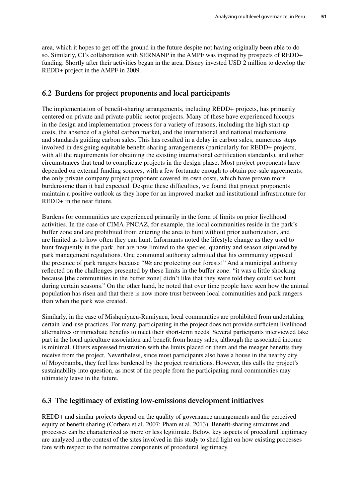area, which it hopes to get off the ground in the future despite not having originally been able to do so. Similarly, CI's collaboration with SERNANP in the AMPF was inspired by prospects of REDD+ funding. Shortly after their activities began in the area, Disney invested USD 2 million to develop the REDD+ project in the AMPF in 2009.

## **6.2 Burdens for project proponents and local participants**

The implementation of benefit-sharing arrangements, including REDD+ projects, has primarily centered on private and private-public sector projects. Many of these have experienced hiccups in the design and implementation process for a variety of reasons, including the high start-up costs, the absence of a global carbon market, and the international and national mechanisms and standards guiding carbon sales. This has resulted in a delay in carbon sales, numerous steps involved in designing equitable benefit-sharing arrangements (particularly for REDD+ projects, with all the requirements for obtaining the existing international certification standards), and other circumstances that tend to complicate projects in the design phase. Most project proponents have depended on external funding sources, with a few fortunate enough to obtain pre-sale agreements; the only private company project proponent covered its own costs, which have proven more burdensome than it had expected. Despite these difficulties, we found that project proponents maintain a positive outlook as they hope for an improved market and institutional infrastructure for REDD+ in the near future.

Burdens for communities are experienced primarily in the form of limits on prior livelihood activities. In the case of CIMA-PNCAZ, for example, the local communities reside in the park's buffer zone and are prohibited from entering the area to hunt without prior authorization, and are limited as to how often they can hunt. Informants noted the lifestyle change as they used to hunt frequently in the park, but are now limited to the species, quantity and season stipulated by park management regulations. One communal authority admitted that his community opposed the presence of park rangers because "*We* are protecting our forests!" And a municipal authority reflected on the challenges presented by these limits in the buffer zone: "it was a little shocking because [the communities in the buffer zone] didn't like that they were told they could *not* hunt during certain seasons." On the other hand, he noted that over time people have seen how the animal population has risen and that there is now more trust between local communities and park rangers than when the park was created.

Similarly, in the case of Mishquiyacu-Rumiyacu, local communities are prohibited from undertaking certain land-use practices. For many, participating in the project does not provide sufficient livelihood alternatives or immediate benefits to meet their short-term needs. Several participants interviewed take part in the local apiculture association and benefit from honey sales, although the associated income is minimal. Others expressed frustration with the limits placed on them and the meager benefits they receive from the project. Nevertheless, since most participants also have a house in the nearby city of Moyobamba, they feel less burdened by the project restrictions. However, this calls the project's sustainability into question, as most of the people from the participating rural communities may ultimately leave in the future.

## **6.3 The legitimacy of existing low-emissions development initiatives**

REDD+ and similar projects depend on the quality of governance arrangements and the perceived equity of benefit sharing (Corbera et al. 2007; Pham et al. 2013). Benefit-sharing structures and processes can be characterized as more or less legitimate. Below, key aspects of procedural legitimacy are analyzed in the context of the sites involved in this study to shed light on how existing processes fare with respect to the normative components of procedural legitimacy.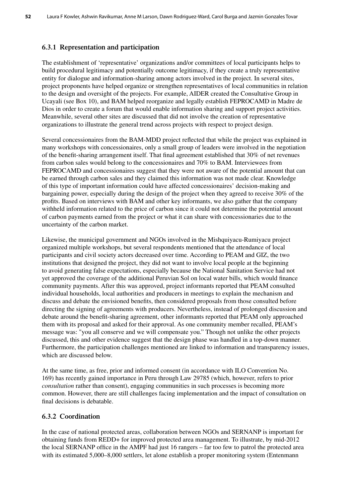## **6.3.1 Representation and participation**

The establishment of 'representative' organizations and/or committees of local participants helps to build procedural legitimacy and potentially outcome legitimacy, if they create a truly representative entity for dialogue and information-sharing among actors involved in the project. In several sites, project proponents have helped organize or strengthen representatives of local communities in relation to the design and oversight of the projects. For example, AIDER created the Consultative Group in Ucayali (see Box 10), and BAM helped reorganize and legally establish FEPROCAMD in Madre de Dios in order to create a forum that would enable information sharing and support project activities. Meanwhile, several other sites are discussed that did not involve the creation of representative organizations to illustrate the general trend across projects with respect to project design.

Several concessionaires from the BAM-MDD project reflected that while the project was explained in many workshops with concessionaires, only a small group of leaders were involved in the negotiation of the benefit-sharing arrangement itself. That final agreement established that 30% of net revenues from carbon sales would belong to the concessionaires and 70% to BAM. Interviewees from FEPROCAMD and concessionaires suggest that they were not aware of the potential amount that can be earned through carbon sales and they claimed this information was not made clear. Knowledge of this type of important information could have affected concessionaires' decision-making and bargaining power, especially during the design of the project when they agreed to receive 30% of the profits. Based on interviews with BAM and other key informants, we also gather that the company withheld information related to the price of carbon since it could not determine the potential amount of carbon payments earned from the project or what it can share with concessionaries due to the uncertainty of the carbon market.

Likewise, the municipal government and NGOs involved in the Mishquiyacu-Rumiyacu project organized multiple workshops, but several respondents mentioned that the attendance of local participants and civil society actors decreased over time. According to PEAM and GIZ, the two institutions that designed the project, they did not want to involve local people at the beginning to avoid generating false expectations, especially because the National Sanitation Service had not yet approved the coverage of the additional Peruvian Sol on local water bills, which would finance community payments. After this was approved, project informants reported that PEAM consulted individual households, local authorities and producers in meetings to explain the mechanism and discuss and debate the envisioned benefits, then considered proposals from those consulted before directing the signing of agreements with producers. Nevertheless, instead of prolonged discussion and debate around the benefit-sharing agreement, other informants reported that PEAM only approached them with its proposal and asked for their approval. As one community member recalled, PEAM's message was: "you all conserve and we will compensate you." Though not unlike the other projects discussed, this and other evidence suggest that the design phase was handled in a top-down manner. Furthermore, the participation challenges mentioned are linked to information and transparency issues, which are discussed below.

At the same time, as free, prior and informed consent (in accordance with ILO Convention No. 169) has recently gained importance in Peru through Law 29785 (which, however, refers to prior *consultation* rather than consent), engaging communities in such processes is becoming more common. However, there are still challenges facing implementation and the impact of consultation on final decisions is debatable.

## **6.3.2 Coordination**

In the case of national protected areas, collaboration between NGOs and SERNANP is important for obtaining funds from REDD+ for improved protected area management. To illustrate, by mid-2012 the local SERNANP office in the AMPF had just 16 rangers – far too few to patrol the protected area with its estimated 5,000–8,000 settlers, let alone establish a proper monitoring system (Entenmann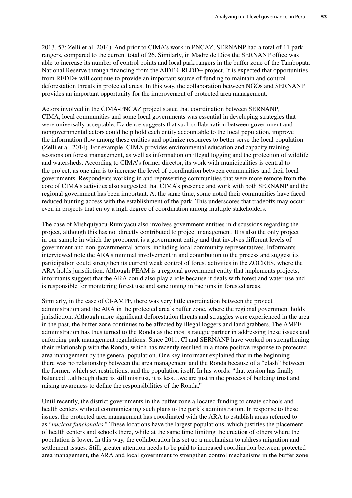2013, 57; Zelli et al. 2014). And prior to CIMA's work in PNCAZ, SERNANP had a total of 11 park rangers, compared to the current total of 26. Similarly, in Madre de Dios the SERNANP office was able to increase its number of control points and local park rangers in the buffer zone of the Tambopata National Reserve through financing from the AIDER-REDD+ project. It is expected that opportunities from REDD+ will continue to provide an important source of funding to maintain and control deforestation threats in protected areas. In this way, the collaboration between NGOs and SERNANP provides an important opportunity for the improvement of protected area management.

Actors involved in the CIMA-PNCAZ project stated that coordination between SERNANP, CIMA, local communities and some local governments was essential in developing strategies that were universally acceptable. Evidence suggests that such collaboration between government and nongovernmental actors could help hold each entity accountable to the local population, improve the information flow among these entities and optimize resources to better serve the local population (Zelli et al. 2014). For example, CIMA provides environmental education and capacity training sessions on forest management, as well as information on illegal logging and the protection of wildlife and watersheds. According to CIMA's former director, its work with municipalities is central to the project, as one aim is to increase the level of coordination between communities and their local governments. Respondents working in and representing communities that were more remote from the core of CIMA's activities also suggested that CIMA's presence and work with both SERNANP and the regional government has been important. At the same time, some noted their communities have faced reduced hunting access with the establishment of the park. This underscores that tradeoffs may occur even in projects that enjoy a high degree of coordination among multiple stakeholders.

The case of Mishquiyacu-Rumiyacu also involves government entities in discussions regarding the project, although this has not directly contributed to project management. It is also the only project in our sample in which the proponent is a government entity and that involves different levels of government and non-governmental actors, including local community representatives. Informants interviewed note the ARA's minimal involvement in and contribution to the process and suggest its participation could strengthen its current weak control of forest activities in the ZOCRES, where the ARA holds jurisdiction. Although PEAM is a regional government entity that implements projects, informants suggest that the ARA could also play a role because it deals with forest and water use and is responsible for monitoring forest use and sanctioning infractions in forested areas.

Similarly, in the case of CI-AMPF, there was very little coordination between the project administration and the ARA in the protected area's buffer zone, where the regional government holds jurisdiction. Although more significant deforestation threats and struggles were experienced in the area in the past, the buffer zone continues to be affected by illegal loggers and land grabbers. The AMPF administration has thus turned to the Ronda as the most strategic partner in addressing these issues and enforcing park management regulations. Since 2011, CI and SERNANP have worked on strengthening their relationship with the Ronda, which has recently resulted in a more positive response to protected area management by the general population. One key informant explained that in the beginning there was no relationship between the area management and the Ronda because of a "clash" between the former, which set restrictions, and the population itself. In his words, "that tension has finally balanced…although there is still mistrust, it is less…we are just in the process of building trust and raising awareness to define the responsibilities of the Ronda."

Until recently, the district governments in the buffer zone allocated funding to create schools and health centers without communicating such plans to the park's administration. In response to these issues, the protected area management has coordinated with the ARA to establish areas referred to as "*nucleos funcionales.*" These locations have the largest populations, which justifies the placement of health centers and schools there, while at the same time limiting the creation of others where the population is lower. In this way, the collaboration has set up a mechanism to address migration and settlement issues. Still, greater attention needs to be paid to increased coordination between protected area management, the ARA and local government to strengthen control mechanisms in the buffer zone.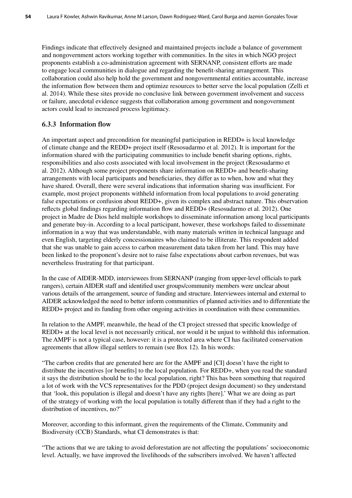Findings indicate that effectively designed and maintained projects include a balance of government and nongovernment actors working together with communities. In the sites in which NGO project proponents establish a co-administration agreement with SERNANP, consistent efforts are made to engage local communities in dialogue and regarding the benefit-sharing arrangement. This collaboration could also help hold the government and nongovernmental entities accountable, increase the information flow between them and optimize resources to better serve the local population (Zelli et al. 2014). While these sites provide no conclusive link between government involvement and success or failure, anecdotal evidence suggests that collaboration among government and nongovernment actors could lead to increased process legitimacy.

### **6.3.3 Information flow**

An important aspect and precondition for meaningful participation in REDD+ is local knowledge of climate change and the REDD+ project itself (Resosudarmo et al. 2012). It is important for the information shared with the participating communities to include benefit sharing options, rights, responsibilities and also costs associated with local involvement in the project (Resosudarmo et al. 2012). Although some project proponents share information on REDD+ and benefit-sharing arrangements with local participants and beneficiaries, they differ as to when, how and what they have shared. Overall, there were several indications that information sharing was insufficient. For example, most project proponents withheld information from local populations to avoid generating false expectations or confusion about REDD+, given its complex and abstract nature. This observation reflects global findings regarding information flow and REDD+ (Resosudarmo et al. 2012). One project in Madre de Dios held multiple workshops to disseminate information among local participants and generate buy-in. According to a local participant, however, these workshops failed to disseminate information in a way that was understandable, with many materials written in technical language and even English, targeting elderly concessionaires who claimed to be illiterate. This respondent added that she was unable to gain access to carbon measurement data taken from her land. This may have been linked to the proponent's desire not to raise false expectations about carbon revenues, but was nevertheless frustrating for that participant.

In the case of AIDER-MDD, interviewees from SERNANP (ranging from upper-level officials to park rangers), certain AIDER staff and identified user groups/community members were unclear about various details of the arrangement, source of funding and structure. Interviewees internal and external to AIDER acknowledged the need to better inform communities of planned activities and to differentiate the REDD+ project and its funding from other ongoing activities in coordination with these communities.

In relation to the AMPF, meanwhile, the head of the CI project stressed that specific knowledge of REDD+ at the local level is not necessarily critical, nor would it be unjust to withhold this information. The AMPF is not a typical case, however: it is a protected area where CI has facilitated conservation agreements that allow illegal settlers to remain (see Box 12). In his words:

"The carbon credits that are generated here are for the AMPF and [CI] doesn't have the right to distribute the incentives [or benefits] to the local population. For REDD+, when you read the standard it says the distribution should be to the local population, right? This has been something that required a lot of work with the VCS representatives for the PDD (project design document) so they understand that 'look, this population is illegal and doesn't have any rights [here].' What we are doing as part of the strategy of working with the local population is totally different than if they had a right to the distribution of incentives, no?"

Moreover, according to this informant, given the requirements of the Climate, Community and Biodiversity (CCB) Standards, what CI demonstrates is that:

"The actions that we are taking to avoid deforestation are not affecting the populations' socioeconomic level. Actually, we have improved the livelihoods of the subscribers involved. We haven't affected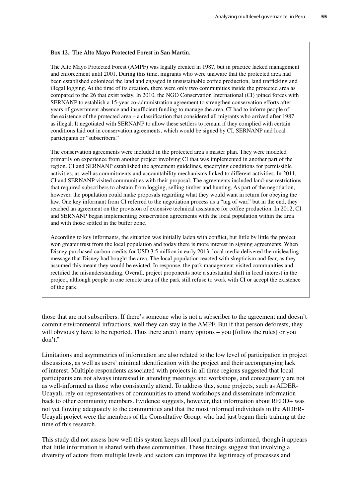#### **Box 12. The Alto Mayo Protected Forest in San Martin.**

The Alto Mayo Protected Forest (AMPF) was legally created in 1987, but in practice lacked management and enforcement until 2001. During this time, migrants who were unaware that the protected area had been established colonized the land and engaged in unsustainable coffee production, land trafficking and illegal logging. At the time of its creation, there were only two communities inside the protected area as compared to the 26 that exist today. In 2010, the NGO Conservation International (CI) joined forces with SERNANP to establish a 15-year co-administration agreement to strengthen conservation efforts after years of government absence and insufficient funding to manage the area. CI had to inform people of the existence of the protected area – a classification that considered all migrants who arrived after 1987 as illegal. It negotiated with SERNANP to allow these settlers to remain if they complied with certain conditions laid out in conservation agreements, which would be signed by CI, SERNANP and local participants or "subscribers."

The conservation agreements were included in the protected area's master plan. They were modeled primarily on experience from another project involving CI that was implemented in another part of the region. CI and SERNANP established the agreement guidelines, specifying conditions for permissible activities, as well as commitments and accountability mechanisms linked to different activities. In 2011, CI and SERNANP visited communities with their proposal. The agreements included land-use restrictions that required subscribers to abstain from logging, selling timber and hunting. As part of the negotiation, however, the population could make proposals regarding what they would want in return for obeying the law. One key informant from CI referred to the negotiation process as a "tug of war," but in the end, they reached an agreement on the provision of extensive technical assistance for coffee production. In 2012, CI and SERNANP began implementing conservation agreements with the local population within the area and with those settled in the buffer zone.

According to key informants, the situation was initially laden with conflict, but little by little the project won greater trust from the local population and today there is more interest in signing agreements. When Disney purchased carbon credits for USD 3.5 million in early 2013, local media delivered the misleading message that Disney had bought the area. The local population reacted with skepticism and fear, as they assumed this meant they would be evicted. In response, the park management visited communities and rectified the misunderstanding. Overall, project proponents note a substantial shift in local interest in the project, although people in one remote area of the park still refuse to work with CI or accept the existence of the park.

those that are not subscribers. If there's someone who is not a subscriber to the agreement and doesn't commit environmental infractions, well they can stay in the AMPF. But if that person deforests, they will obviously have to be reported. Thus there aren't many options – you [follow the rules] or you don't."

Limitations and asymmetries of information are also related to the low level of participation in project discussions, as well as users' minimal identification with the project and their accompanying lack of interest. Multiple respondents associated with projects in all three regions suggested that local participants are not always interested in attending meetings and workshops, and consequently are not as well-informed as those who consistently attend. To address this, some projects, such as AIDER-Ucayali, rely on representatives of communities to attend workshops and disseminate information back to other community members. Evidence suggests, however, that information about REDD+ was not yet flowing adequately to the communities and that the most informed individuals in the AIDER-Ucayali project were the members of the Consultative Group, who had just begun their training at the time of this research.

This study did not assess how well this system keeps all local participants informed, though it appears that little information is shared with these communities. These findings suggest that involving a diversity of actors from multiple levels and sectors can improve the legitimacy of processes and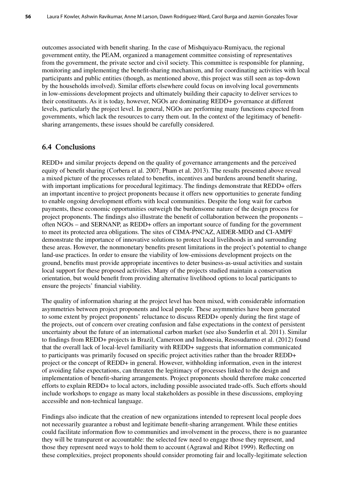outcomes associated with benefit sharing. In the case of Mishquiyacu-Rumiyacu, the regional government entity, the PEAM, organized a management committee consisting of representatives from the government, the private sector and civil society. This committee is responsible for planning, monitoring and implementing the benefit-sharing mechanism, and for coordinating activities with local participants and public entities (though, as mentioned above, this project was still seen as top-down by the households involved). Similar efforts elsewhere could focus on involving local governments in low-emissions development projects and ultimately building their capacity to deliver services to their constituents. As it is today, however, NGOs are dominating REDD+ governance at different levels, particularly the project level. In general, NGOs are performing many functions expected from governments, which lack the resources to carry them out. In the context of the legitimacy of benefitsharing arrangements, these issues should be carefully considered.

## **6.4 Conclusions**

REDD+ and similar projects depend on the quality of governance arrangements and the perceived equity of benefit sharing (Corbera et al. 2007; Pham et al. 2013). The results presented above reveal a mixed picture of the processes related to benefits, incentives and burdens around benefit sharing, with important implications for procedural legitimacy. The findings demonstrate that REDD+ offers an important incentive to project proponents because it offers new opportunities to generate funding to enable ongoing development efforts with local communities. Despite the long wait for carbon payments, these economic opportunities outweigh the burdensome nature of the design process for project proponents. The findings also illustrate the benefit of collaboration between the proponents – often NGOs – and SERNANP, as REDD+ offers an important source of funding for the government to meet its protected area obligations. The sites of CIMA-PNCAZ, AIDER-MDD and CI-AMPF demonstrate the importance of innovative solutions to protect local livelihoods in and surrounding these areas. However, the nonmonetary benefits present limitations in the project's potential to change land-use practices. In order to ensure the viability of low-emissions development projects on the ground, benefits must provide appropriate incentives to deter business-as-usual activities and sustain local support for these proposed activities. Many of the projects studied maintain a conservation orientation, but would benefit from providing alternative livelihood options to local participants to ensure the projects' financial viability.

The quality of information sharing at the project level has been mixed, with considerable information asymmetries between project proponents and local people. These asymmetries have been generated to some extent by project proponents' reluctance to discuss REDD+ openly during the first stage of the projects, out of concern over creating confusion and false expectations in the context of persistent uncertainty about the future of an international carbon market (see also Sunderlin et al. 2011). Similar to findings from REDD+ projects in Brazil, Cameroon and Indonesia, Resosudarmo et al. (2012) found that the overall lack of local-level familiarity with REDD+ suggests that information communicated to participants was primarily focused on specific project activities rather than the broader REDD+ project or the concept of REDD+ in general. However, withholding information, even in the interest of avoiding false expectations, can threaten the legitimacy of processes linked to the design and implementation of benefit-sharing arrangements. Project proponents should therefore make concerted efforts to explain REDD+ to local actors, including possible associated trade-offs. Such efforts should include workshops to engage as many local stakeholders as possible in these discussions, employing accessible and non-technical language.

Findings also indicate that the creation of new organizations intended to represent local people does not necessarily guarantee a robust and legitimate benefit-sharing arrangement. While these entities could facilitate information flow to communities and involvement in the process, there is no guarantee they will be transparent or accountable: the selected few need to engage those they represent, and those they represent need ways to hold them to account (Agrawal and Ribot 1999). Reflecting on these complexities, project proponents should consider promoting fair and locally-legitimate selection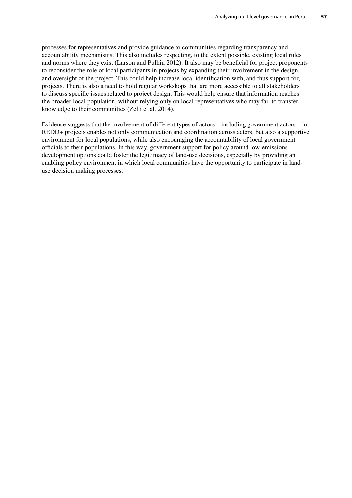processes for representatives and provide guidance to communities regarding transparency and accountability mechanisms. This also includes respecting, to the extent possible, existing local rules and norms where they exist (Larson and Pulhin 2012). It also may be beneficial for project proponents to reconsider the role of local participants in projects by expanding their involvement in the design and oversight of the project. This could help increase local identification with, and thus support for, projects. There is also a need to hold regular workshops that are more accessible to all stakeholders to discuss specific issues related to project design. This would help ensure that information reaches the broader local population, without relying only on local representatives who may fail to transfer knowledge to their communities (Zelli et al. 2014).

Evidence suggests that the involvement of different types of actors – including government actors – in REDD+ projects enables not only communication and coordination across actors, but also a supportive environment for local populations, while also encouraging the accountability of local government officials to their populations. In this way, government support for policy around low-emissions development options could foster the legitimacy of land-use decisions, especially by providing an enabling policy environment in which local communities have the opportunity to participate in landuse decision making processes.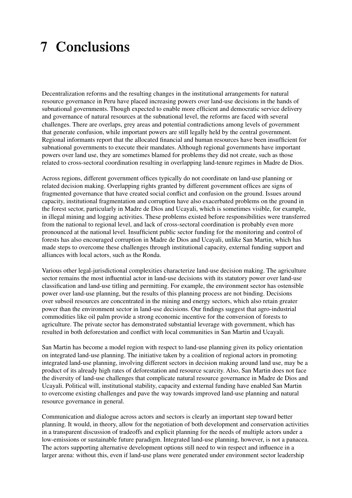# **7 Conclusions**

Decentralization reforms and the resulting changes in the institutional arrangements for natural resource governance in Peru have placed increasing powers over land-use decisions in the hands of subnational governments. Though expected to enable more efficient and democratic service delivery and governance of natural resources at the subnational level, the reforms are faced with several challenges. There are overlaps, grey areas and potential contradictions among levels of government that generate confusion, while important powers are still legally held by the central government. Regional informants report that the allocated financial and human resources have been insufficient for subnational governments to execute their mandates. Although regional governments have important powers over land use, they are sometimes blamed for problems they did not create, such as those related to cross-sectoral coordination resulting in overlapping land-tenure regimes in Madre de Dios.

Across regions, different government offices typically do not coordinate on land-use planning or related decision making. Overlapping rights granted by different government offices are signs of fragmented governance that have created social conflict and confusion on the ground. Issues around capacity, institutional fragmentation and corruption have also exacerbated problems on the ground in the forest sector, particularly in Madre de Dios and Ucayali, which is sometimes visible, for example, in illegal mining and logging activities. These problems existed before responsibilities were transferred from the national to regional level, and lack of cross-sectoral coordination is probably even more pronounced at the national level. Insufficient public sector funding for the monitoring and control of forests has also encouraged corruption in Madre de Dios and Ucayali, unlike San Martin, which has made steps to overcome these challenges through institutional capacity, external funding support and alliances with local actors, such as the Ronda.

Various other legal-jurisdictional complexities characterize land-use decision making. The agriculture sector remains the most influential actor in land-use decisions with its statutory power over land-use classification and land-use titling and permitting. For example, the environment sector has ostensible power over land-use planning, but the results of this planning process are not binding. Decisions over subsoil resources are concentrated in the mining and energy sectors, which also retain greater power than the environment sector in land-use decisions. Our findings suggest that agro-industrial commodities like oil palm provide a strong economic incentive for the conversion of forests to agriculture. The private sector has demonstrated substantial leverage with government, which has resulted in both deforestation and conflict with local communities in San Martin and Ucayali.

San Martin has become a model region with respect to land-use planning given its policy orientation on integrated land-use planning. The initiative taken by a coalition of regional actors in promoting integrated land-use planning, involving different sectors in decision making around land use, may be a product of its already high rates of deforestation and resource scarcity. Also, San Martin does not face the diversity of land-use challenges that complicate natural resource governance in Madre de Dios and Ucayali. Political will, institutional stability, capacity and external funding have enabled San Martin to overcome existing challenges and pave the way towards improved land-use planning and natural resource governance in general.

Communication and dialogue across actors and sectors is clearly an important step toward better planning. It would, in theory, allow for the negotiation of both development and conservation activities in a transparent discussion of tradeoffs and explicit planning for the needs of multiple actors under a low-emissions or sustainable future paradigm. Integrated land-use planning, however, is not a panacea. The actors supporting alternative development options still need to win respect and influence in a larger arena: without this, even if land-use plans were generated under environment sector leadership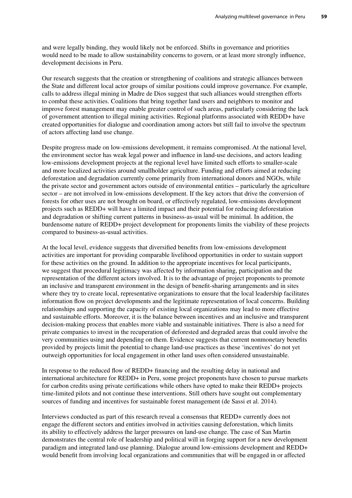and were legally binding, they would likely not be enforced. Shifts in governance and priorities would need to be made to allow sustainability concerns to govern, or at least more strongly influence, development decisions in Peru.

Our research suggests that the creation or strengthening of coalitions and strategic alliances between the State and different local actor groups of similar positions could improve governance. For example, calls to address illegal mining in Madre de Dios suggest that such alliances would strengthen efforts to combat these activities. Coalitions that bring together land users and neighbors to monitor and improve forest management may enable greater control of such areas, particularly considering the lack of government attention to illegal mining activities. Regional platforms associated with REDD+ have created opportunities for dialogue and coordination among actors but still fail to involve the spectrum of actors affecting land use change.

Despite progress made on low-emissions development, it remains compromised. At the national level, the environment sector has weak legal power and influence in land-use decisions, and actors leading low-emissions development projects at the regional level have limited such efforts to smaller-scale and more localized activities around smallholder agriculture. Funding and efforts aimed at reducing deforestation and degradation currently come primarily from international donors and NGOs, while the private sector and government actors outside of environmental entities – particularly the agriculture sector – are not involved in low-emissions development. If the key actors that drive the conversion of forests for other uses are not brought on board, or effectively regulated, low-emissions development projects such as REDD+ will have a limited impact and their potential for reducing deforestation and degradation or shifting current patterns in business-as-usual will be minimal. In addition, the burdensome nature of REDD+ project development for proponents limits the viability of these projects compared to business-as-usual activities.

At the local level, evidence suggests that diversified benefits from low-emissions development activities are important for providing comparable livelihood opportunities in order to sustain support for these activities on the ground. In addition to the appropriate incentives for local participants, we suggest that procedural legitimacy was affected by information sharing, participation and the representation of the different actors involved. It is to the advantage of project proponents to promote an inclusive and transparent environment in the design of benefit-sharing arrangements and in sites where they try to create local, representative organizations to ensure that the local leadership facilitates information flow on project developments and the legitimate representation of local concerns. Building relationships and supporting the capacity of existing local organizations may lead to more effective and sustainable efforts. Moreover, it is the balance between incentives and an inclusive and transparent decision-making process that enables more viable and sustainable initiatives. There is also a need for private companies to invest in the recuperation of deforested and degraded areas that could involve the very communities using and depending on them. Evidence suggests that current nonmonetary benefits provided by projects limit the potential to change land-use practices as these 'incentives' do not yet outweigh opportunities for local engagement in other land uses often considered unsustainable.

In response to the reduced flow of REDD+ financing and the resulting delay in national and international architecture for REDD+ in Peru, some project proponents have chosen to pursue markets for carbon credits using private certifications while others have opted to make their REDD+ projects time-limited pilots and not continue these interventions. Still others have sought out complementary sources of funding and incentives for sustainable forest management (de Sassi et al. 2014).

Interviews conducted as part of this research reveal a consensus that REDD+ currently does not engage the different sectors and entities involved in activities causing deforestation, which limits its ability to effectively address the larger pressures on land-use change. The case of San Martin demonstrates the central role of leadership and political will in forging support for a new development paradigm and integrated land-use planning. Dialogue around low-emissions development and REDD+ would benefit from involving local organizations and communities that will be engaged in or affected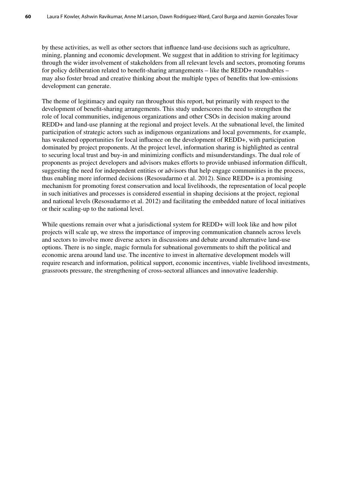by these activities, as well as other sectors that influence land-use decisions such as agriculture, mining, planning and economic development. We suggest that in addition to striving for legitimacy through the wider involvement of stakeholders from all relevant levels and sectors, promoting forums for policy deliberation related to benefit-sharing arrangements – like the REDD+ roundtables – may also foster broad and creative thinking about the multiple types of benefits that low-emissions development can generate.

The theme of legitimacy and equity ran throughout this report, but primarily with respect to the development of benefit-sharing arrangements. This study underscores the need to strengthen the role of local communities, indigenous organizations and other CSOs in decision making around REDD+ and land-use planning at the regional and project levels. At the subnational level, the limited participation of strategic actors such as indigenous organizations and local governments, for example, has weakened opportunities for local influence on the development of REDD+, with participation dominated by project proponents. At the project level, information sharing is highlighted as central to securing local trust and buy-in and minimizing conflicts and misunderstandings. The dual role of proponents as project developers and advisors makes efforts to provide unbiased information difficult, suggesting the need for independent entities or advisors that help engage communities in the process, thus enabling more informed decisions (Resosudarmo et al. 2012). Since REDD+ is a promising mechanism for promoting forest conservation and local livelihoods, the representation of local people in such initiatives and processes is considered essential in shaping decisions at the project, regional and national levels (Resosudarmo et al. 2012) and facilitating the embedded nature of local initiatives or their scaling-up to the national level.

While questions remain over what a jurisdictional system for REDD+ will look like and how pilot projects will scale up, we stress the importance of improving communication channels across levels and sectors to involve more diverse actors in discussions and debate around alternative land-use options. There is no single, magic formula for subnational governments to shift the political and economic arena around land use. The incentive to invest in alternative development models will require research and information, political support, economic incentives, viable livelihood investments, grassroots pressure, the strengthening of cross-sectoral alliances and innovative leadership.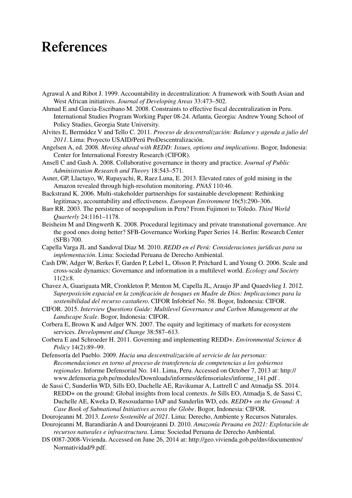# **References**

- Agrawal A and Ribot J. 1999. Accountability in decentralization: A framework with South Asian and West African initiatives. *Journal of Developing Areas* 33:473–502.
- Ahmad E and Garcia-Escribano M. 2008. Constraints to effective fiscal decentralization in Peru. International Studies Program Working Paper 08-24. Atlanta, Georgia: Andrew Young School of Policy Studies, Georgia State University.
- Alvites E, Bermúdez V and Tello C. 2011. *Proceso de descentralización: Balance y agenda a julio del 2011*. Lima: Proyecto USAID/Perú ProDescentralización.
- Angelsen A, ed. 2008. *Moving ahead with REDD: Issues, options and implications*. Bogor, Indonesia: Center for International Forestry Research (CIFOR).
- Ansell C and Gash A. 2008. Collaborative governance in theory and practice. *Journal of Public Administration Research and Theory* 18:543–571.
- Asner, GP, Llactayo, W, Rupayachi, R, Raez Luna, E. 2013. Elevated rates of gold mining in the Amazon revealed through high-resolution monitoring. *PNAS* 110:46.
- Backstrand K. 2006. Multi‐stakeholder partnerships for sustainable development: Rethinking legitimacy, accountability and effectiveness. *European Environment* 16(5):290–306.
- Barr RR. 2003. The persistence of neopopulism in Peru? From Fujimori to Toledo. *Third World Quarterly* 24:1161–1178.
- Beisheim M and Dingwerth K. 2008. Procedural legitimacy and private transnational governance. Are the good ones doing better? SFB-Governance Working Paper Series 14. Berlin: Research Center (SFB) 700.
- Capella Varga JL and Sandoval Diaz M. 2010. *REDD en el Perú: Consideraciones jurídicas para su implementación*. Lima: Sociedad Peruana de Derecho Ambiental.
- Cash DW, Adger W, Berkes F, Garden P, Lebel L, Olsson P, Pritchard L and Young O. 2006. Scale and cross-scale dynamics: Governance and information in a multilevel world. *Ecology and Society* 11(2):8.
- Chavez A, Guariguata MR, Cronkleton P, Menton M, Capella JL, Araujo JP and Quaedvlieg J. 2012. *Superposición espacial en la zonificación de bosques en Madre de Dios: Implicaciones para la sostenibilidad del recurso castañero*. CIFOR Infobrief No. 58. Bogor, Indonesia: CIFOR.
- CIFOR. 2015. *Interview Questions Guide: Multilevel Governance and Carbon Management at the Landscape Scale*. Bogor, Indonesia: CIFOR.
- Corbera E, Brown K and Adger WN. 2007. The equity and legitimacy of markets for ecosystem services. *Development and Change* 38:587–613.
- Corbera E and Schroeder H. 2011. Governing and implementing REDD+. *Environmental Science & Policy* 14(2):89–99.
- Defensoría del Pueblo. 2009. *Hacia una descentralización al servicio de las personas: Recomendaciones en torno al proceso de transferencia de competencias a los gobiernos regionales*. Informe Defensorial No. 141. Lima, Peru. Accessed on October 7, 2013 at: http:// www.defensoria.gob.pe/modules/Downloads/informes/defensoriales/informe\_141.pdf .
- de Sassi C, Sunderlin WD, Sills EO, Duchelle AE, Ravikumar A, Luttrell C and Atmadja SS. 2014. REDD+ on the ground: Global insights from local contexts. *In* Sills EO, Atmadja S, de Sassi C, Duchelle AE, Kweka D, Resosudarmo IAP and Sunderlin WD, eds. *REDD+ on the Ground: A Case Book of Subnational Initiatives across the Globe*. Bogor, Indonesia: CIFOR.
- Dourojeanni M. 2013. *Loreto Sostenible al 2021*. Lima: Derecho, Ambiente y Recursos Naturales.
- Dourojeanni M, Barandiarán A and Dourojeanni D. 2010. *Amazonía Peruana en 2021: Explotación de recursos naturales e infraestructura*. Lima: Sociedad Peruana de Derecho Ambiental.
- DS 0087-2008-Vivienda. Accessed on June 26, 2014 at: http://geo.vivienda.gob.pe/dnv/documentos/ Normatividad/9.pdf.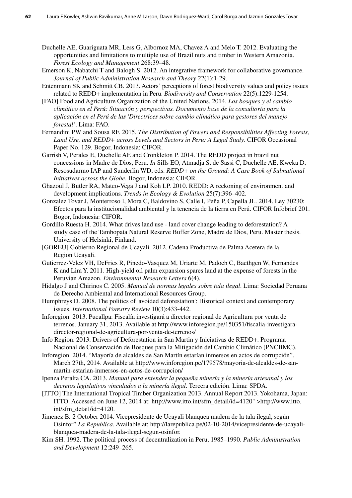- Duchelle AE, Guariguata MR, Less G, Albornoz MA, Chavez A and Melo T. 2012. Evaluating the opportunities and limitations to multiple use of Brazil nuts and timber in Western Amazonia. *Forest Ecology and Management* 268:39–48.
- Emerson K, Nabatchi T and Balogh S. 2012. An integrative framework for collaborative governance. *Journal of Public Administration Research and Theory* 22(1):1-29.
- Entenmann SK and Schmitt CB. 2013. Actors' perceptions of forest biodiversity values and policy issues related to REDD+ implementation in Peru. *Biodiversity and Conservation* 22(5):1229-1254.
- [FAO] Food and Agriculture Organization of the United Nations. 2014. *Los bosques y el cambio climático en el Perú: Situación y perspectivas. Documento base de la consultoría para la aplicación en el Perú de las 'Directrices sobre cambio climático para gestores del manejo forestal'*. Lima: FAO.
- Fernandini PW and Sousa RF. 2015. *The Distribution of Powers and Responsibilities Affecting Forests, Land Use, and REDD+ across Levels and Sectors in Peru: A Legal Study*. CIFOR Occasional Paper No. 129. Bogor, Indonesia: CIFOR.
- Garrish V, Perales E, Duchelle AE and Cronkleton P. 2014. The REDD project in brazil nut concessions in Madre de Dios, Peru. *In* Sills EO, Atmadja S, de Sassi C, Duchelle AE, Kweka D, Resosudarmo IAP and Sunderlin WD, eds. *REDD+ on the Ground: A Case Book of Subnational Initiatives across the Globe*. Bogor, Indonesia: CIFOR.
- Ghazoul J, Butler RA, Mateo-Vega J and Koh LP. 2010. REDD: A reckoning of environment and development implications. *Trends in Ecology & Evolution* 25(7):396–402.
- Gonzalez Tovar J, Monterroso I, Mora C, Baldovino S, Calle I, Peña P, Capella JL. 2014. Ley 30230: Efectos para la institucionalidad ambiental y la tenencia de la tierra en Perú. CIFOR Infobrief 201. Bogor, Indonesia: CIFOR.
- Gordillo Ruesta H. 2014. What drives land use land cover change leading to deforestation? A study case of the Tambopata Natural Reserve Buffer Zone, Madre de Dios, Peru. Master thesis. University of Helsinki, Finland.
- [GOREU] Gobierno Regional de Ucayali. 2012. Cadena Productiva de Palma Acetera de la Region Ucayali.
- Gutierrez-Velez VH, DeFries R, Pinedo-Vasquez M, Uriarte M, Padoch C, Baethgen W, Fernandes K and Lim Y. 2011. High-yield oil palm expansion spares land at the expense of forests in the Peruvian Amazon. *Environmental Research Letters* 6(4).
- Hidalgo J and Chirinos C. 2005. *Manual de normas legales sobre tala ilegal*. Lima: Sociedad Peruana de Derecho Ambiental and International Resources Group.
- Humphreys D. 2008. The politics of 'avoided deforestation': Historical context and contemporary issues. *International Forestry Review* 10(3):433-442.
- Inforegion. 2013. Pucallpa: Fiscalía investigará a director regional de Agricultura por venta de terrenos. January 31, 2013. Available at http://www.inforegion.pe/150351/fiscalia-investigaradirector-regional-de-agricultura-por-venta-de-terrenos/
- Info Region. 2013. Drivers of Deforestation in San Martin y Iniciativas de REDD+. Programa Nacional de Conservación de Bosques para la Mitigación del Cambio Climático (PNCBMC).
- Inforegion. 2014. "Mayoría de alcaldes de San Martín estarían inmersos en actos de corrupción". March 27th, 2014. Available at http://www.inforegion.pe/179578/mayoria-de-alcaldes-de-sanmartin-estarian-inmersos-en-actos-de-corrupcion/
- Ipenza Peralta CA. 2013. *Manual para entender la pequeña minería y la minería artesanal y los decretos legislativos vinculados a la minería ilegal*. Tercera edición. Lima: SPDA.
- [ITTO] The International Tropical Timber Organization 2013. Annual Report 2013. Yokohama, Japan: ITTO. Accessed on June 12, 2014 at: http://www.itto.int/sfm\_detail/id=4120" >http://www.itto. int/sfm\_detail/id=4120.
- Jimenez B*.* 2 October 2014. Vicepresidente de Ucayali blanquea madera de la tala ilegal, según Osinfor" *La Republica*. Available at: http://larepublica.pe/02-10-2014/vicepresidente-de-ucayaliblanquea-madera-de-la-tala-ilegal-segun-osinfor.
- Kim SH. 1992. The political process of decentralization in Peru, 1985–1990. *Public Administration and Development* 12:249–265.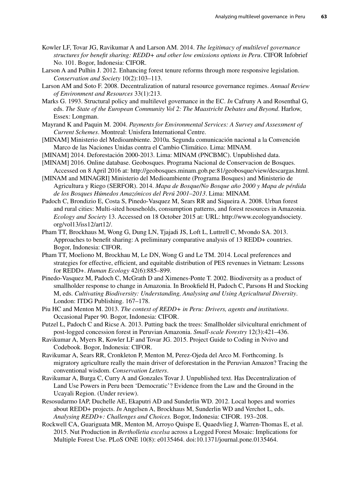- Kowler LF, Tovar JG, Ravikumar A and Larson AM. 2014. *The legitimacy of multilevel governance structures for benefit sharing: REDD+ and other low emissions options in Peru*. CIFOR Infobrief No. 101. Bogor, Indonesia: CIFOR.
- Larson A and Pulhin J. 2012. Enhancing forest tenure reforms through more responsive legislation. *Conservation and Society* 10(2):103–113.
- Larson AM and Soto F. 2008. Decentralization of natural resource governance regimes. *Annual Review of Environment and Resources* 33(1):213.
- Marks G. 1993. Structural policy and multilevel governance in the EC. *In* Cafruny A and Rosenthal G, eds. *The State of the European Community Vol 2: The Maastricht Debates and Beyond*. Harlow, Essex: Longman.
- Mayrand K and Paquin M. 2004. *Payments for Environmental Services: A Survey and Assessment of Current Schemes*. Montreal: Unisfera International Centre.
- [MINAM] Ministerio del Medioambiente. 2010a. Segunda comunicación nacional a la Convención Marco de las Naciones Unidas contra el Cambio Climático. Lima: MINAM.
- [MINAM] 2014. Deforestación 2000-2013. Lima: MINAM (PNCBMC). Unpublished data.
- [MINAM] 2016. Online database. Geobosques. Programa Nacional de Conservacion de Bosques. Accessed on 8 April 2016 at: http://geobosques.minam.gob.pe:81/geobosque/view/descargas.html.
- [MINAM and MINAGRI] Ministerio del Medioambiente (Programa Bosques) and Ministerio de Agricultura y Riego (SERFOR). 2014. *Mapa de Bosque/No Bosque año 2000 y Mapa de pérdida de los Bosques Húmedos Amazónicos del Perú 2001–2013*. Lima: MINAM.
- Padoch C, Brondizio E, Costa S, Pinedo-Vasquez M, Sears RR and Siqueira A. 2008. Urban forest and rural cities: Multi-sited households, consumption patterns, and forest resources in Amazonia. *Ecology and Society* 13. Accessed on 18 October 2015 at: URL: http://www.ecologyandsociety. org/vol13/iss12/art12/.
- Pham TT, Brockhaus M, Wong G, Dung LN, Tjajadi JS, Loft L, Luttrell C, Mvondo SA. 2013. Approaches to benefit sharing: A preliminary comparative analysis of 13 REDD+ countries. Bogor, Indonesia: CIFOR.
- Pham TT, Moeliono M, Brockhau M, Le DN, Wong G and Le TM. 2014. Local preferences and strategies for effective, efficient, and equitable distribution of PES revenues in Vietnam: Lessons for REDD+. *Human Ecology* 42(6):885–899.
- Pinedo-Vasquez M, Padoch C, McGrath D and Ximenes-Ponte T. 2002. Biodiversity as a product of smallholder response to change in Amazonia. In Brookfield H, Padoch C, Parsons H and Stocking M, eds. *Cultivating Biodiversity: Understanding, Analysing and Using Agricultural Diversity*. London: ITDG Publishing. 167–178.
- Piu HC and Menton M. 2013. *The context of REDD+ in Peru: Drivers, agents and institutions*. Occasional Paper 90. Bogor, Indonesia: CIFOR.
- Putzel L, Padoch C and Ricse A. 2013. Putting back the trees: Smallholder silvicultural enrichment of post-logged concession forest in Peruvian Amazonia. *Small-scale Forestry* 12(3):421–436.
- Ravikumar A, Myers R, Kowler LF and Tovar JG. 2015. Project Guide to Coding in Nvivo and Codebook. Bogor, Indonesia: CIFOR.
- Ravikumar A, Sears RR, Cronkleton P, Menton M, Perez-Ojeda del Arco M. Forthcoming. Is migratory agriculture really the main driver of deforestation in the Peruvian Amazon? Tracing the conventional wisdom. *Conservation Letters*.
- Ravikumar A, Burga C, Curry A and Gonzales Tovar J. Unpublished text. Has Decentralization of Land Use Powers in Peru been 'Democratic'? Evidence from the Law and the Ground in the Ucayali Region. (Under review).
- Resosudarmo IAP, Duchelle AE, Ekaputri AD and Sunderlin WD. 2012. Local hopes and worries about REDD+ projects. *In* Angelsen A, Brockhaus M, Sunderlin WD and Verchot L, eds. *Analysing REDD+: Challenges and Choices.* Bogor, Indonesia: CIFOR. 193–208.
- Rockwell CA, Guariguata MR, Menton M, Arroyo Quispe E, Quaedvlieg J, Warren-Thomas E, et al. 2015. Nut Production in *Bertholletia excelsa* across a Logged Forest Mosaic: Implications for Multiple Forest Use. PLoS ONE 10(8): e0135464. doi:10.1371/journal.pone.0135464.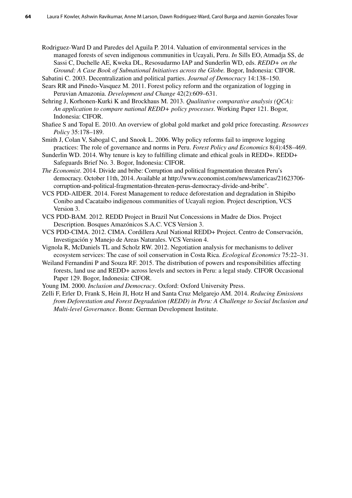- Rodriguez-Ward D and Paredes del Aguila P. 2014. Valuation of environmental services in the managed forests of seven indigenous communities in Ucayali, Peru. *In* Sills EO, Atmadja SS, de Sassi C, Duchelle AE, Kweka DL, Resosudarmo IAP and Sunderlin WD, eds. *REDD+ on the Ground: A Case Book of Subnational Initiatives across the Globe.* Bogor, Indonesia: CIFOR.
- Sabatini C. 2003. Decentralization and political parties. *Journal of Democracy* 14:138–150. Sears RR and Pinedo‐Vasquez M. 2011. Forest policy reform and the organization of logging in
- Peruvian Amazonia. *Development and Change* 42(2):609–631.
- Sehring J, Korhonen-Kurki K and Brockhaus M. 2013. *Qualitative comparative analysis (QCA): An application to compare national REDD+ policy processes*. Working Paper 121. Bogor, Indonesia: CIFOR.
- Shafiee S and Topal E. 2010. An overview of global gold market and gold price forecasting. *Resources Policy* 35:178–189.
- Smith J, Colan V, Sabogal C, and Snook L. 2006. Why policy reforms fail to improve logging practices: The role of governance and norms in Peru. *Forest Policy and Economics* 8(4):458–469.
- Sunderlin WD. 2014. Why tenure is key to fulfilling climate and ethical goals in REDD+. REDD+ Safeguards Brief No. 3. Bogor, Indonesia: CIFOR.
- *The Economist*. 2014. Divide and bribe: Corruption and political fragmentation threaten Peru's democracy. October 11th, 2014. Available at http://www.economist.com/news/americas/21623706 corruption-and-political-fragmentation-threaten-perus-democracy-divide-and-bribe".
- VCS PDD-AIDER. 2014. Forest Management to reduce deforestation and degradation in Shipibo Conibo and Cacataibo indigenous communities of Ucayali region. Project description, VCS Version 3.
- VCS PDD-BAM. 2012. REDD Project in Brazil Nut Concessions in Madre de Dios. Project Description. Bosques Amazónicos S.A.C. VCS Version 3.
- VCS PDD-CIMA. 2012. CIMA. Cordillera Azul National REDD+ Project. Centro de Conservación, Investigación y Manejo de Areas Naturales. VCS Version 4.
- Vignola R, McDaniels TL and Scholz RW. 2012. Negotiation analysis for mechanisms to deliver ecosystem services: The case of soil conservation in Costa Rica. *Ecological Economics* 75:22–31.
- Weiland Fernandini P and Souza RF. 2015. The distribution of powers and responsibilities affecting forests, land use and REDD+ across levels and sectors in Peru: a legal study. CIFOR Occasional Paper 129. Bogor, Indonesia: CIFOR.
- Young IM. 2000. *Inclusion and Democracy*. Oxford: Oxford University Press.
- Zelli F, Erler D, Frank S, Hein JI, Hotz H and Santa Cruz Melgarejo AM. 2014. *Reducing Emissions from Deforestation and Forest Degradation (REDD) in Peru: A Challenge to Social Inclusion and Multi-level Governance*. Bonn: German Development Institute.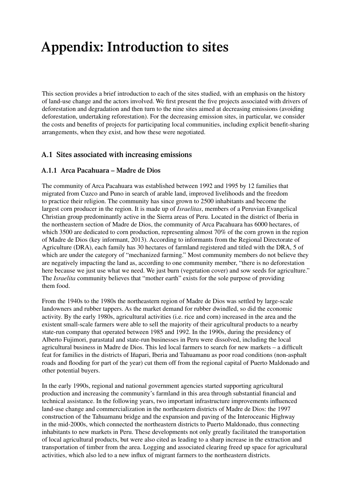# **Appendix: Introduction to sites**

This section provides a brief introduction to each of the sites studied, with an emphasis on the history of land-use change and the actors involved. We first present the five projects associated with drivers of deforestation and degradation and then turn to the nine sites aimed at decreasing emissions (avoiding deforestation, undertaking reforestation). For the decreasing emission sites, in particular, we consider the costs and benefits of projects for participating local communities, including explicit benefit-sharing arrangements, when they exist, and how these were negotiated.

### **A.1 Sites associated with increasing emissions**

#### **A.1.1 Arca Pacahuara – Madre de Dios**

The community of Arca Pacahuara was established between 1992 and 1995 by 12 families that migrated from Cuzco and Puno in search of arable land, improved livelihoods and the freedom to practice their religion. The community has since grown to 2500 inhabitants and become the largest corn producer in the region. It is made up of *Israelitas*, members of a Peruvian Evangelical Christian group predominantly active in the Sierra areas of Peru. Located in the district of Iberia in the northeastern section of Madre de Dios, the community of Arca Pacahuara has 6000 hectares, of which 3500 are dedicated to corn production, representing almost 70% of the corn grown in the region of Madre de Dios (key informant, 2013). According to informants from the Regional Directorate of Agriculture (DRA), each family has 30 hectares of farmland registered and titled with the DRA, 5 of which are under the category of "mechanized farming." Most community members do not believe they are negatively impacting the land as, according to one community member, "there is no deforestation here because we just use what we need. We just burn (vegetation cover) and sow seeds for agriculture." The *Israelita* community believes that "mother earth" exists for the sole purpose of providing them food.

From the 1940s to the 1980s the northeastern region of Madre de Dios was settled by large-scale landowners and rubber tappers. As the market demand for rubber dwindled, so did the economic activity. By the early 1980s, agricultural activities (i.e. rice and corn) increased in the area and the existent small-scale farmers were able to sell the majority of their agricultural products to a nearby state-run company that operated between 1985 and 1992. In the 1990s, during the presidency of Alberto Fujimori, parastatal and state-run businesses in Peru were dissolved, including the local agricultural business in Madre de Dios. This led local farmers to search for new markets – a difficult feat for families in the districts of Iñapari, Iberia and Tahuamanu as poor road conditions (non-asphalt roads and flooding for part of the year) cut them off from the regional capital of Puerto Maldonado and other potential buyers.

In the early 1990s, regional and national government agencies started supporting agricultural production and increasing the community's farmland in this area through substantial financial and technical assistance. In the following years, two important infrastructure improvements influenced land-use change and commercialization in the northeastern districts of Madre de Dios: the 1997 construction of the Tahuamanu bridge and the expansion and paving of the Interoceanic Highway in the mid-2000s, which connected the northeastern districts to Puerto Maldonado, thus connecting inhabitants to new markets in Peru. These developments not only greatly facilitated the transportation of local agricultural products, but were also cited as leading to a sharp increase in the extraction and transportation of timber from the area. Logging and associated clearing freed up space for agricultural activities, which also led to a new influx of migrant farmers to the northeastern districts.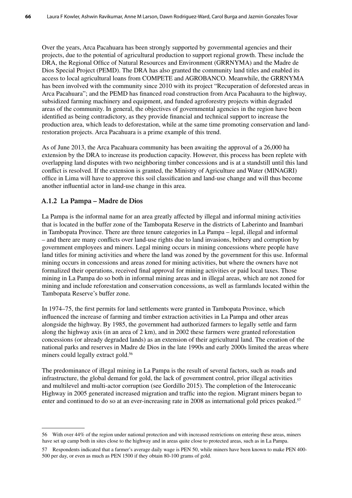Over the years, Arca Pacahuara has been strongly supported by governmental agencies and their projects, due to the potential of agricultural production to support regional growth. These include the DRA, the Regional Office of Natural Resources and Environment (GRRNYMA) and the Madre de Dios Special Project (PEMD). The DRA has also granted the community land titles and enabled its access to local agricultural loans from COMPETE and AGROBANCO. Meanwhile, the GRRNYMA has been involved with the community since 2010 with its project "Recuperation of deforested areas in Arca Pacahuara"; and the PEMD has financed road construction from Arca Pacahaura to the highway, subsidized farming machinery and equipment, and funded agroforestry projects within degraded areas of the community. In general, the objectives of governmental agencies in the region have been identified as being contradictory, as they provide financial and technical support to increase the production area, which leads to deforestation, while at the same time promoting conservation and landrestoration projects. Arca Pacahuara is a prime example of this trend.

As of June 2013, the Arca Pacahuara community has been awaiting the approval of a 26,000 ha extension by the DRA to increase its production capacity. However, this process has been replete with overlapping land disputes with two neighboring timber concessions and is at a standstill until this land conflict is resolved. If the extension is granted, the Ministry of Agriculture and Water (MINAGRI) office in Lima will have to approve this soil classification and land-use change and will thus become another influential actor in land-use change in this area.

#### **A.1.2 La Pampa – Madre de Dios**

La Pampa is the informal name for an area greatly affected by illegal and informal mining activities that is located in the buffer zone of the Tambopata Reserve in the districts of Laberinto and Inambari in Tambopata Province. There are three tenure categories in La Pampa – legal, illegal and informal – and there are many conflicts over land-use rights due to land invasions, bribery and corruption by government employees and miners. Legal mining occurs in mining concessions where people have land titles for mining activities and where the land was zoned by the government for this use. Informal mining occurs in concessions and areas zoned for mining activities, but where the owners have not formalized their operations, received final approval for mining activities or paid local taxes. Those mining in La Pampa do so both in informal mining areas and in illegal areas, which are not zoned for mining and include reforestation and conservation concessions, as well as farmlands located within the Tambopata Reserve's buffer zone.

In 1974–75, the first permits for land settlements were granted in Tambopata Province, which influenced the increase of farming and timber extraction activities in La Pampa and other areas alongside the highway. By 1985, the government had authorized farmers to legally settle and farm along the highway axis (in an area of 2 km), and in 2002 these farmers were granted reforestation concessions (or already degraded lands) as an extension of their agricultural land. The creation of the national parks and reserves in Madre de Dios in the late 1990s and early 2000s limited the areas where miners could legally extract gold.<sup>56</sup>

The predominance of illegal mining in La Pampa is the result of several factors, such as roads and infrastructure, the global demand for gold, the lack of government control, prior illegal activities and multilevel and multi-actor corruption (see Gordillo 2015). The completion of the Interoceanic Highway in 2005 generated increased migration and traffic into the region. Migrant miners began to enter and continued to do so at an ever-increasing rate in 2008 as international gold prices peaked.<sup>57</sup>

<sup>56</sup> With over 44% of the region under national protection and with increased restrictions on entering these areas, miners have set up camp both in sites close to the highway and in areas quite close to protected areas, such as in La Pampa.

<sup>57</sup> Respondents indicated that a farmer's average daily wage is PEN 50, while miners have been known to make PEN 400- 500 per day, or even as much as PEN 1500 if they obtain 80-100 grams of gold.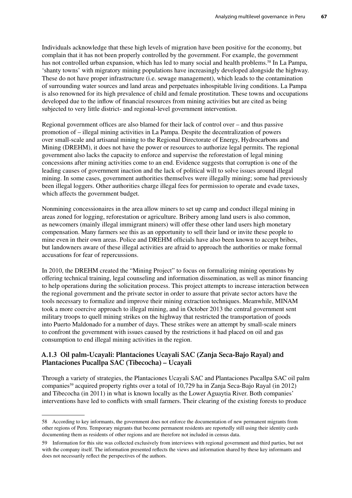Individuals acknowledge that these high levels of migration have been positive for the economy, but complain that it has not been properly controlled by the government. For example, the government has not controlled urban expansion, which has led to many social and health problems.<sup>58</sup> In La Pampa, 'shanty towns' with migratory mining populations have increasingly developed alongside the highway. These do not have proper infrastructure (i.e. sewage management), which leads to the contamination of surrounding water sources and land areas and perpetuates inhospitable living conditions. La Pampa is also renowned for its high prevalence of child and female prostitution. These towns and occupations developed due to the inflow of financial resources from mining activities but are cited as being subjected to very little district- and regional-level government intervention.

Regional government offices are also blamed for their lack of control over – and thus passive promotion of – illegal mining activities in La Pampa. Despite the decentralization of powers over small-scale and artisanal mining to the Regional Directorate of Energy, Hydrocarbons and Mining (DREHM), it does not have the power or resources to authorize legal permits. The regional government also lacks the capacity to enforce and supervise the reforestation of legal mining concessions after mining activities come to an end. Evidence suggests that corruption is one of the leading causes of government inaction and the lack of political will to solve issues around illegal mining. In some cases, government authorities themselves were illegally mining; some had previously been illegal loggers. Other authorities charge illegal fees for permission to operate and evade taxes, which affects the government budget.

Nonmining concessionaires in the area allow miners to set up camp and conduct illegal mining in areas zoned for logging, reforestation or agriculture. Bribery among land users is also common, as newcomers (mainly illegal immigrant miners) will offer these other land users high monetary compensation. Many farmers see this as an opportunity to sell their land or invite these people to mine even in their own areas. Police and DREHM officials have also been known to accept bribes, but landowners aware of these illegal activities are afraid to approach the authorities or make formal accusations for fear of repercussions.

In 2010, the DREHM created the "Mining Project" to focus on formalizing mining operations by offering technical training, legal counseling and information dissemination, as well as minor financing to help operations during the solicitation process. This project attempts to increase interaction between the regional government and the private sector in order to assure that private sector actors have the tools necessary to formalize and improve their mining extraction techniques. Meanwhile, MINAM took a more coercive approach to illegal mining, and in October 2013 the central government sent military troops to quell mining strikes on the highway that restricted the transportation of goods into Puerto Maldonado for a number of days. These strikes were an attempt by small-scale miners to confront the government with issues caused by the restrictions it had placed on oil and gas consumption to end illegal mining activities in the region.

#### **A.1.3 Oil palm-Ucayali: Plantaciones Ucayali SAC (Zanja Seca-Bajo Rayal) and Plantaciones Pucallpa SAC (Tibecocha) – Ucayali**

Through a variety of strategies, the Plantaciones Ucayali SAC and Plantaciones Pucallpa SAC oil palm companies<sup>59</sup> acquired property rights over a total of 10,729 ha in Zanja Seca-Bajo Rayal (in 2012) and Tibecocha (in 2011) in what is known locally as the Lower Aguaytia River. Both companies' interventions have led to conflicts with small farmers. Their clearing of the existing forests to produce

<sup>58</sup> According to key informants, the government does not enforce the documentation of new permanent migrants from other regions of Peru. Temporary migrants that become permanent residents are reportedly still using their identity cards documenting them as residents of other regions and are therefore not included in census data.

<sup>59</sup> Information for this site was collected exclusively from interviews with regional government and third parties, but not with the company itself. The information presented reflects the views and information shared by these key informants and does not necessarily reflect the perspectives of the authors.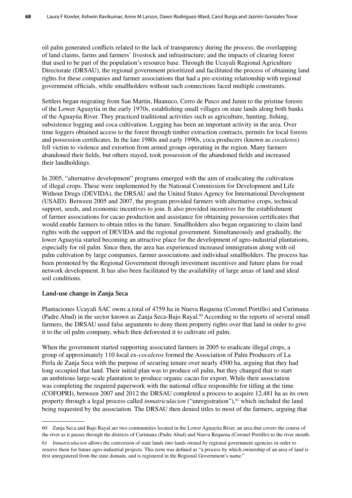oil palm generated conflicts related to the lack of transparency during the process; the overlapping of land claims, farms and farmers' livestock and infrastructure; and the impacts of clearing forest that used to be part of the population's resource base. Through the Ucayali Regional Agriculture Directorate (DRSAU), the regional government prioritized and facilitated the process of obtaining land rights for these companies and farmer associations that had a pre-existing relationship with regional government officials, while smallholders without such connections faced multiple constraints.

Settlers began migrating from San Martin, Huanuco, Cerro de Pasco and Junin to the pristine forests of the Lower Aguaytia in the early 1970s, establishing small villages on state lands along both banks of the Aguaytia River. They practiced traditional activities such as agriculture, hunting, fishing, subsistence logging and coca cultivation. Logging has been an important activity in the area. Over time loggers obtained access to the forest through timber extraction contracts, permits for local forests and possession certificates. In the late 1980s and early 1990s, coca producers (known as *cocaleros*) fell victim to violence and extortion from armed groups operating in the region. Many farmers abandoned their fields, but others stayed, took possession of the abandoned fields and increased their landholdings.

In 2005, "alternative development" programs emerged with the aim of eradicating the cultivation of illegal crops. These were implemented by the National Commission for Development and Life Without Drugs (DEVIDA), the DRSAU and the United States Agency for International Development (USAID). Between 2005 and 2007, the program provided farmers with alternative crops, technical support, seeds, and economic incentives to join. It also provided incentives for the establishment of farmer associations for cacao production and assistance for obtaining possession certificates that would enable farmers to obtain titles in the future. Smallholders also began organizing to claim land rights with the support of DEVIDA and the regional government. Simultaneously and gradually, the lower Aguaytia started becoming an attractive place for the development of agro-industrial plantations, especially for oil palm. Since then, the area has experienced increased immigration along with oil palm cultivation by large companies, farmer associations and individual smallholders. The process has been promoted by the Regional Government through investment incentives and future plans for road network development. It has also been facilitated by the availability of large areas of land and ideal soil conditions.

#### **Land-use change in Zanja Seca**

Plantaciones Ucayali SAC owns a total of 4759 ha in Nueva Requena (Coronel Portillo) and Curimana (Padre Abad) in the sector known as Zanja Seca-Bajo Rayal.<sup>60</sup> According to the reports of several small farmers, the DRSAU used false arguments to deny them property rights over that land in order to give it to the oil palm company, which then deforested it to cultivate oil palm.

When the government started supporting associated farmers in 2005 to eradicate illegal crops, a group of approximately 110 local ex-*cocaleros* formed the Association of Palm Producers of La Perla de Zanja Seca with the purpose of securing tenure over nearly 4500 ha, arguing that they had long occupied that land. Their initial plan was to produce oil palm, but they changed that to start an ambitious large-scale plantation to produce organic cacao for export. While their association was completing the required paperwork with the national office responsible for titling at the time (COFOPRI), between 2007 and 2012 the DRSAU completed a process to acquire 12,481 ha as its own property through a legal process called *inmatriculacion* ("unregistration"),<sup>61</sup> which included the land being requested by the association. The DRSAU then denied titles to most of the farmers, arguing that

<sup>60</sup> Zanja Seca and Bajo Rayal are two communities located in the Lower Aguaytia River, an area that covers the course of the river as it passes through the districts of Curimana (Padre Abad) and Nueva Requena (Coronel Portillo) to the river mouth.

<sup>61</sup> *Inmatriculacion* allows the conversion of state lands into lands owned by regional government agencies in order to reserve them for future agro-industrial projects. This term was defined as "a process by which ownership of an area of land is first unregistered from the state domain, and is registered in the Regional Government's name."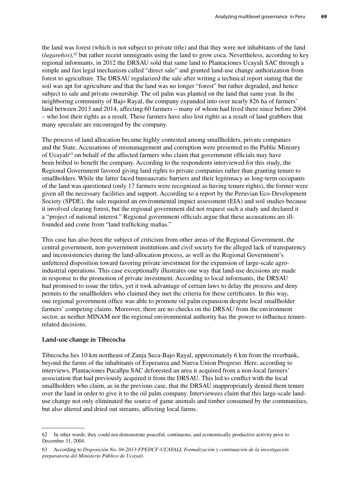the land was forest (which is not subject to private title) and that they were not inhabitants of the land (*lugareños*),62 but rather recent immigrants using the land to grow coca. Nevertheless, according to key regional informants, in 2012 the DRSAU sold that same land to Plantaciones Ucayali SAC through a simple and fast legal mechanism called "direct sale" and granted land-use change authorization from forest to agriculture. The DRSAU regularized the sale after writing a technical report stating that the soil was apt for agriculture and that the land was no longer "forest" but rather degraded, and hence subject to sale and private ownership. The oil palm was planted on the land that same year. In the neighboring community of Bajo Rayal, the company expanded into over nearly 826 ha of farmers' land between 2013 and 2014, affecting 60 farmers – many of whom had lived there since before 2004 – who lost their rights as a result. These farmers have also lost rights as a result of land grabbers that many speculate are encouraged by the company.

The process of land allocation became highly contested among smallholders, private companies and the State. Accusations of mismanagement and corruption were presented to the Public Ministry of Ucayali63 on behalf of the affected farmers who claim that government officials may have been bribed to benefit the company. According to the respondents interviewed for this study, the Regional Government favored giving land rights to private companies rather than granting tenure to smallholders. While the latter faced bureaucratic barriers and their legitimacy as long-term occupants of the land was questioned (only 17 farmers were recognized as having tenure rights), the former were given all the necessary facilities and support. According to a report by the Peruvian Eco-Development Society (SPDE), the sale required an environmental impact assessment (EIA) and soil studies because it involved clearing forest, but the regional government did not request such a study and declared it a "project of national interest." Regional government officials argue that these accusations are illfounded and come from "land trafficking mafias."

This case has also been the subject of criticism from other areas of the Regional Government, the central government, non-government institutions and civil society for the alleged lack of transparency and inconsistencies during the land-allocation process, as well as the Regional Government's unfettered disposition toward favoring private investment for the expansion of large-scale agroindustrial operations. This case exceptionally illustrates one way that land-use decisions are made in response to the promotion of private investment. According to local informants, the DRSAU had promised to issue the titles, yet it took advantage of certain laws to delay the process and deny permits to the smallholders who claimed they met the criteria for these certificates. In this way, one regional government office was able to promote oil palm expansion despite local smallholder farmers' competing claims. Moreover, there are no checks on the DRSAU from the environment sector, as neither MINAM nor the regional environmental authority has the power to influence tenurerelated decisions.

#### **Land-use change in Tibecocha**

Tibecocha lies 10 km northeast of Zanja Seca-Bajo Rayal, approximately 6 km from the riverbank, beyond the farms of the inhabitants of Esperanza and Nueva Union Progreso. Here, according to interviews, Plantaciones Pucallpa SAC deforested an area it acquired from a non-local farmers' association that had previously acquired it from the DRSAU. This led to conflict with the local smallholders who claim, as in the previous case, that the DRSAU inappropriately denied them tenure over the land in order to give it to the oil palm company. Interviewees claim that this large-scale landuse change not only eliminated the source of game animals and timber consumed by the communities, but also altered and dried out streams, affecting local farms.

<sup>62</sup> In other words, they could not demonstrate peaceful, continuous, and economically productive activity prior to December 31, 2004.

<sup>63</sup> According to *Disposición No. 04-2013-FPEDCF-UCAYALI, Formalización y continuación de la investigación preparatoria del Ministerio Público de Ucayali*.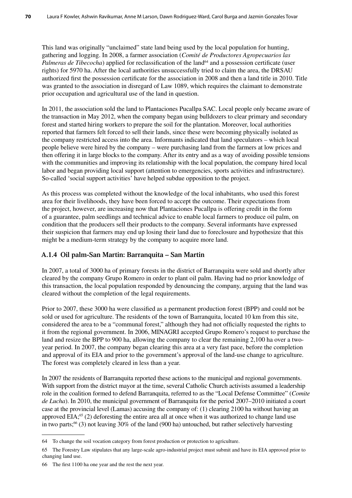This land was originally "unclaimed" state land being used by the local population for hunting, gathering and logging. In 2008, a farmer association (*Comité de Productores Agropecuarios las Palmeras de Tibecocha*) applied for reclassification of the land<sup>64</sup> and a possession certificate (user rights) for 5970 ha. After the local authorities unsuccessfully tried to claim the area, the DRSAU authorized first the possession certificate for the association in 2008 and then a land title in 2010. Title was granted to the association in disregard of Law 1089, which requires the claimant to demonstrate prior occupation and agricultural use of the land in question.

In 2011, the association sold the land to Plantaciones Pucallpa SAC. Local people only became aware of the transaction in May 2012, when the company began using bulldozers to clear primary and secondary forest and started hiring workers to prepare the soil for the plantation. Moreover, local authorities reported that farmers felt forced to sell their lands, since these were becoming physically isolated as the company restricted access into the area. Informants indicated that land speculators – which local people believe were hired by the company – were purchasing land from the farmers at low prices and then offering it in large blocks to the company. After its entry and as a way of avoiding possible tensions with the communities and improving its relationship with the local population, the company hired local labor and began providing local support (attention to emergencies, sports activities and infrastructure). So-called 'social support activities' have helped subdue opposition to the project.

As this process was completed without the knowledge of the local inhabitants, who used this forest area for their livelihoods, they have been forced to accept the outcome. Their expectations from the project, however, are increasing now that Plantaciones Pucallpa is offering credit in the form of a guarantee, palm seedlings and technical advice to enable local farmers to produce oil palm, on condition that the producers sell their products to the company. Several informants have expressed their suspicion that farmers may end up losing their land due to foreclosure and hypothesize that this might be a medium-term strategy by the company to acquire more land.

#### **A.1.4 Oil palm-San Martin: Barranquita – San Martin**

In 2007, a total of 3000 ha of primary forests in the district of Barranquita were sold and shortly after cleared by the company Grupo Romero in order to plant oil palm. Having had no prior knowledge of this transaction, the local population responded by denouncing the company, arguing that the land was cleared without the completion of the legal requirements.

Prior to 2007, these 3000 ha were classified as a permanent production forest (BPP) and could not be sold or used for agriculture. The residents of the town of Barranquita, located 10 km from this site, considered the area to be a "communal forest," although they had not officially requested the rights to it from the regional government. In 2006, MINAGRI accepted Grupo Romero's request to purchase the land and resize the BPP to 900 ha, allowing the company to clear the remaining 2,100 ha over a twoyear period. In 2007, the company began clearing this area at a very fast pace, before the completion and approval of its EIA and prior to the government's approval of the land-use change to agriculture. The forest was completely cleared in less than a year.

In 2007 the residents of Barranquita reported these actions to the municipal and regional governments. With support from the district mayor at the time, several Catholic Church activists assumed a leadership role in the coalition formed to defend Barranquita, referred to as the "Local Defense Committee" (*Comite de Lucha*). In 2010, the municipal government of Barranquita for the period 2007–2010 initiated a court case at the provincial level (Lamas) accusing the company of: (1) clearing 2100 ha without having an approved EIA;<sup>65</sup> (2) deforesting the entire area all at once when it was authorized to change land use in two parts;<sup>66</sup> (3) not leaving 30% of the land (900 ha) untouched, but rather selectively harvesting

<sup>64</sup> To change the soil vocation category from forest production or protection to agriculture.

<sup>65</sup> The Forestry Law stipulates that any large-scale agro-industrial project must submit and have its EIA approved prior to changing land use.

<sup>66</sup> The first 1100 ha one year and the rest the next year.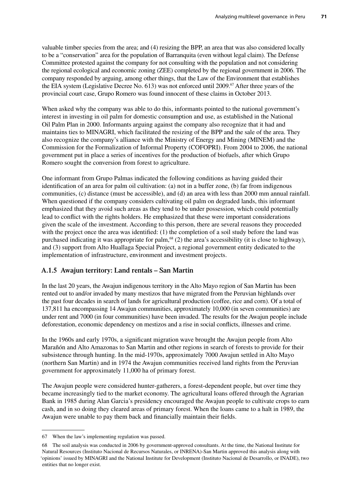valuable timber species from the area; and (4) resizing the BPP, an area that was also considered locally to be a "conservation" area for the population of Barranquita (even without legal claim). The Defense Committee protested against the company for not consulting with the population and not considering the regional ecological and economic zoning (ZEE) completed by the regional government in 2006. The company responded by arguing, among other things, that the Law of the Environment that establishes the EIA system (Legislative Decree No. 613) was not enforced until 2009.<sup>67</sup> After three years of the provincial court case, Grupo Romero was found innocent of these claims in October 2013.

When asked why the company was able to do this, informants pointed to the national government's interest in investing in oil palm for domestic consumption and use, as established in the National Oil Palm Plan in 2000. Informants arguing against the company also recognize that it had and maintains ties to MINAGRI, which facilitated the resizing of the BPP and the sale of the area. They also recognize the company's alliance with the Ministry of Energy and Mining (MINEM) and the Commission for the Formalization of Informal Property (COFOPRI). From 2004 to 2006, the national government put in place a series of incentives for the production of biofuels, after which Grupo Romero sought the conversion from forest to agriculture.

One informant from Grupo Palmas indicated the following conditions as having guided their identification of an area for palm oil cultivation: (a) not in a buffer zone, (b) far from indigenous communities, (c) distance (must be accessible), and (d) an area with less than 2000 mm annual rainfall. When questioned if the company considers cultivating oil palm on degraded lands, this informant emphasized that they avoid such areas as they tend to be under possession, which could potentially lead to conflict with the rights holders. He emphasized that these were important considerations given the scale of the investment. According to this person, there are several reasons they proceeded with the project once the area was identified: (1) the completion of a soil study before the land was purchased indicating it was appropriate for palm,<sup>68</sup> (2) the area's accessibility (it is close to highway), and (3) support from Alto Huallaga Special Project, a regional government entity dedicated to the implementation of infrastructure, environment and investment projects.

#### **A.1.5 Awajun territory: Land rentals – San Martin**

In the last 20 years, the Awajun indigenous territory in the Alto Mayo region of San Martin has been rented out to and/or invaded by many mestizos that have migrated from the Peruvian highlands over the past four decades in search of lands for agricultural production (coffee, rice and corn). Of a total of 137,811 ha encompassing 14 Awajun communities, approximately 10,000 (in seven communities) are under rent and 7000 (in four communities) have been invaded. The results for the Awajun people include deforestation, economic dependency on mestizos and a rise in social conflicts, illnesses and crime.

In the 1960s and early 1970s, a significant migration wave brought the Awajun people from Alto Marañón and Alto Amazonas to San Martin and other regions in search of forests to provide for their subsistence through hunting. In the mid-1970s, approximately 7000 Awajun settled in Alto Mayo (northern San Martin) and in 1974 the Awajun communities received land rights from the Peruvian government for approximately 11,000 ha of primary forest.

The Awajun people were considered hunter-gatherers, a forest-dependent people, but over time they became increasingly tied to the market economy. The agricultural loans offered through the Agrarian Bank in 1985 during Alan Garcia's presidency encouraged the Awajun people to cultivate crops to earn cash, and in so doing they cleared areas of primary forest. When the loans came to a halt in 1989, the Awajun were unable to pay them back and financially maintain their fields.

<sup>67</sup> When the law's implementing regulation was passed.

<sup>68</sup> The soil analysis was conducted in 2006 by government-approved consultants. At the time, the National Institute for Natural Resources (Instituto Nacional de Recursos Naturales, or INRENA)-San Martin approved this analysis along with 'opinions' issued by MINAGRI and the National Institute for Development (Instituto Nacional de Desarrollo, or INADE), two entities that no longer exist.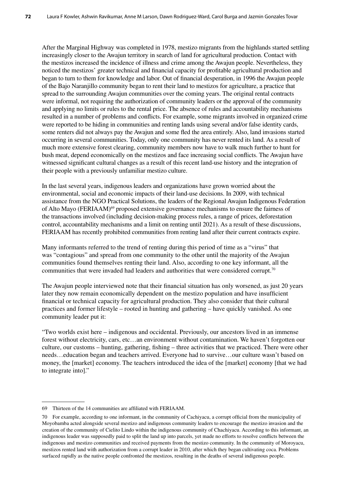After the Marginal Highway was completed in 1978, mestizo migrants from the highlands started settling increasingly closer to the Awajun territory in search of land for agricultural production. Contact with the mestizos increased the incidence of illness and crime among the Awajun people. Nevertheless, they noticed the mestizos' greater technical and financial capacity for profitable agricultural production and began to turn to them for knowledge and labor. Out of financial desperation, in 1996 the Awajun people of the Bajo Naranjillo community began to rent their land to mestizos for agriculture, a practice that spread to the surrounding Awajun communities over the coming years. The original rental contracts were informal, not requiring the authorization of community leaders or the approval of the community and applying no limits or rules to the rental price. The absence of rules and accountability mechanisms resulted in a number of problems and conflicts. For example, some migrants involved in organized crime were reported to be hiding in communities and renting lands using several and/or false identity cards, some renters did not always pay the Awajun and some fled the area entirely. Also, land invasions started occurring in several communities. Today, only one community has never rented its land. As a result of much more extensive forest clearing, community members now have to walk much further to hunt for bush meat, depend economically on the mestizos and face increasing social conflicts. The Awajun have witnessed significant cultural changes as a result of this recent land-use history and the integration of their people with a previously unfamiliar mestizo culture.

In the last several years, indigenous leaders and organizations have grown worried about the environmental, social and economic impacts of their land-use decisions. In 2009, with technical assistance from the NGO Practical Solutions, the leaders of the Regional Awajun Indigenous Federation of Alto Mayo (FERIAAM)<sup>69</sup> proposed extensive governance mechanisms to ensure the fairness of the transactions involved (including decision-making process rules, a range of prices, deforestation control, accountability mechanisms and a limit on renting until 2021). As a result of these discussions, FERIAAM has recently prohibited communities from renting land after their current contracts expire.

Many informants referred to the trend of renting during this period of time as a "virus" that was "contagious" and spread from one community to the other until the majority of the Awajun communities found themselves renting their land. Also, according to one key informant, all the communities that were invaded had leaders and authorities that were considered corrupt.70

The Awajun people interviewed note that their financial situation has only worsened, as just 20 years later they now remain economically dependent on the mestizo population and have insufficient financial or technical capacity for agricultural production. They also consider that their cultural practices and former lifestyle – rooted in hunting and gathering – have quickly vanished. As one community leader put it:

"Two worlds exist here – indigenous and occidental. Previously, our ancestors lived in an immense forest without electricity, cars, etc…an environment without contamination. We haven't forgotten our culture, our customs – hunting, gathering, fishing – three activities that we practiced. There were other needs…education began and teachers arrived. Everyone had to survive…our culture wasn't based on money, the [market] economy. The teachers introduced the idea of the [market] economy [that we had to integrate into]."

<sup>69</sup> Thirteen of the 14 communities are affiliated with FERIAAM.

<sup>70</sup> For example, according to one informant, in the community of Cachiyacu, a corrupt official from the municipality of Moyobamba acted alongside several mestizo and indigenous community leaders to encourage the mestizo invasion and the creation of the community of Cielito Lindo within the indigenous community of Chachiyacu. According to this informant, an indigenous leader was supposedly paid to split the land up into parcels, yet made no efforts to resolve conflicts between the indigenous and mestizo communities and received payments from the mestizo community. In the community of Moroyacu, mestizos rented land with authorization from a corrupt leader in 2010, after which they began cultivating coca. Problems surfaced rapidly as the native people confronted the mestizos, resulting in the deaths of several indigenous people.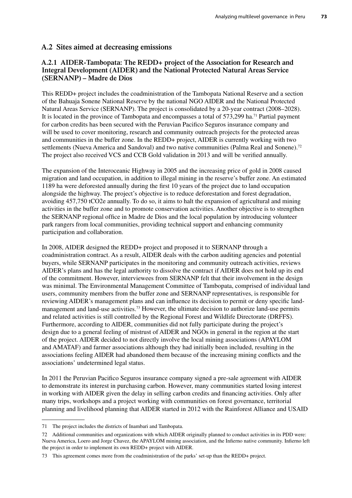#### **A.2 Sites aimed at decreasing emissions**

#### **A.2.1 AIDER-Tambopata: The REDD+ project of the Association for Research and Integral Development (AIDER) and the National Protected Natural Areas Service (SERNANP) – Madre de Dios**

This REDD+ project includes the coadministration of the Tambopata National Reserve and a section of the Bahuaja Sonene National Reserve by the national NGO AIDER and the National Protected Natural Areas Service (SERNANP). The project is consolidated by a 20-year contract (2008–2028). It is located in the province of Tambopata and encompasses a total of 573,299 ha.<sup>71</sup> Partial payment for carbon credits has been secured with the Peruvian Pacifico Seguros insurance company and will be used to cover monitoring, research and community outreach projects for the protected areas and communities in the buffer zone. In the REDD+ project, AIDER is currently working with two settlements (Nueva America and Sandoval) and two native communities (Palma Real and Sonene).<sup>72</sup> The project also received VCS and CCB Gold validation in 2013 and will be verified annually.

The expansion of the Interoceanic Highway in 2005 and the increasing price of gold in 2008 caused migration and land occupation, in addition to illegal mining in the reserve's buffer zone. An estimated 1189 ha were deforested annually during the first 10 years of the project due to land occupation alongside the highway. The project's objective is to reduce deforestation and forest degradation, avoiding 457,750 tCO2e annually. To do so, it aims to halt the expansion of agricultural and mining activities in the buffer zone and to promote conservation activities. Another objective is to strengthen the SERNANP regional office in Madre de Dios and the local population by introducing volunteer park rangers from local communities, providing technical support and enhancing community participation and collaboration.

In 2008, AIDER designed the REDD+ project and proposed it to SERNANP through a coadministration contract. As a result, AIDER deals with the carbon auditing agencies and potential buyers, while SERNANP participates in the monitoring and community outreach activities, reviews AIDER's plans and has the legal authority to dissolve the contract if AIDER does not hold up its end of the commitment. However, interviewees from SERNANP felt that their involvement in the design was minimal. The Environmental Management Committee of Tambopata, comprised of individual land users, community members from the buffer zone and SERNANP representatives, is responsible for reviewing AIDER's management plans and can influence its decision to permit or deny specific landmanagement and land-use activities.<sup>73</sup> However, the ultimate decision to authorize land-use permits and related activities is still controlled by the Regional Forest and Wildlife Directorate (DRFFS). Furthermore, according to AIDER, communities did not fully participate during the project's design due to a general feeling of mistrust of AIDER and NGOs in general in the region at the start of the project. AIDER decided to not directly involve the local mining associations (APAYLOM and AMATAF) and farmer associations although they had initially been included, resulting in the associations feeling AIDER had abandoned them because of the increasing mining conflicts and the associations' undetermined legal status.

In 2011 the Peruvian Pacifico Seguros insurance company signed a pre-sale agreement with AIDER to demonstrate its interest in purchasing carbon. However, many communities started losing interest in working with AIDER given the delay in selling carbon credits and financing activities. Only after many trips, workshops and a project working with communities on forest governance, territorial planning and livelihood planning that AIDER started in 2012 with the Rainforest Alliance and USAID

<sup>71</sup> The project includes the districts of Inambari and Tambopata.

<sup>72</sup> Additional communities and organizations with which AIDER originally planned to conduct activities in its PDD were: Nueva America, Loero and Jorge Chavez, the APAYLOM mining association, and the Infierno native community. Infierno left the project in order to implement its own REDD+ project with AIDER.

<sup>73</sup> This agreement comes more from the coadministration of the parks' set-up than the REDD+ project.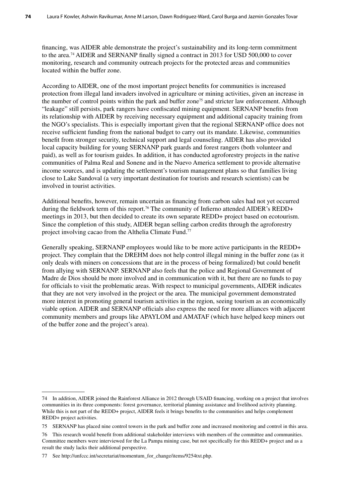financing, was AIDER able demonstrate the project's sustainability and its long-term commitment to the area.<sup>74</sup> AIDER and SERNANP finally signed a contract in 2013 for USD 500,000 to cover monitoring, research and community outreach projects for the protected areas and communities located within the buffer zone.

According to AIDER, one of the most important project benefits for communities is increased protection from illegal land invaders involved in agriculture or mining activities, given an increase in the number of control points within the park and buffer zone<sup>75</sup> and stricter law enforcement. Although "leakage" still persists, park rangers have confiscated mining equipment. SERNANP benefits from its relationship with AIDER by receiving necessary equipment and additional capacity training from the NGO's specialists. This is especially important given that the regional SERNANP office does not receive sufficient funding from the national budget to carry out its mandate. Likewise, communities benefit from stronger security, technical support and legal counseling. AIDER has also provided local capacity building for young SERNANP park guards and forest rangers (both volunteer and paid), as well as for tourism guides. In addition, it has conducted agroforestry projects in the native communities of Palma Real and Sonene and in the Nuevo America settlement to provide alternative income sources, and is updating the settlement's tourism management plans so that families living close to Lake Sandoval (a very important destination for tourists and research scientists) can be involved in tourist activities.

Additional benefits, however, remain uncertain as financing from carbon sales had not yet occurred during the fieldwork term of this report.<sup>76</sup> The community of Infierno attended AIDER's REDD+ meetings in 2013, but then decided to create its own separate REDD+ project based on ecotourism. Since the completion of this study, AIDER began selling carbon credits through the agroforestry project involving cacao from the Althelia Climate Fund.77

Generally speaking, SERNANP employees would like to be more active participants in the REDD+ project. They complain that the DREHM does not help control illegal mining in the buffer zone (as it only deals with miners on concessions that are in the process of being formalized) but could benefit from allying with SERNANP. SERNANP also feels that the police and Regional Government of Madre de Dios should be more involved and in communication with it, but there are no funds to pay for officials to visit the problematic areas. With respect to municipal governments, AIDER indicates that they are not very involved in the project or the area. The municipal government demonstrated more interest in promoting general tourism activities in the region, seeing tourism as an economically viable option. AIDER and SERNANP officials also express the need for more alliances with adjacent community members and groups like APAYLOM and AMATAF (which have helped keep miners out of the buffer zone and the project's area).

<sup>74</sup> In addition, AIDER joined the Rainforest Alliance in 2012 through USAID financing, working on a project that involves communities in its three components: forest governance, territorial planning assistance and livelihood activity planning. While this is not part of the REDD+ project, AIDER feels it brings benefits to the communities and helps complement REDD+ project activities.

<sup>75</sup> SERNANP has placed nine control towers in the park and buffer zone and increased monitoring and control in this area.

<sup>76</sup> This research would benefit from additional stakeholder interviews with members of the committee and communities. Committee members were interviewed for the La Pampa mining case, but not specifically for this REDD+ project and as a result the study lacks their additional perspective.

<sup>77</sup> See http://unfccc.int/secretariat/momentum\_for\_change/items/9254txt.php.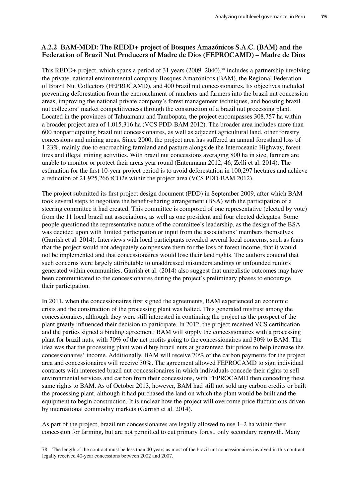#### **A.2.2 BAM-MDD: The REDD+ project of Bosques Amazónicos S.A.C. (BAM) and the Federation of Brazil Nut Producers of Madre de Dios (FEPROCAMD) – Madre de Dios**

This REDD+ project, which spans a period of 31 years (2009–2040),<sup>78</sup> includes a partnership involving the private, national environmental company Bosques Amazónicos (BAM), the Regional Federation of Brazil Nut Collectors (FEPROCAMD), and 400 brazil nut concessionaires. Its objectives included preventing deforestation from the encroachment of ranchers and farmers into the brazil nut concession areas, improving the national private company's forest management techniques, and boosting brazil nut collectors' market competitiveness through the construction of a brazil nut processing plant. Located in the provinces of Tahuamanu and Tambopata, the project encompasses 308,757 ha within a broader project area of 1,015,316 ha (VCS PDD-BAM 2012). The broader area includes more than 600 nonparticipating brazil nut concessionaires, as well as adjacent agricultural land, other forestry concessions and mining areas. Since 2000, the project area has suffered an annual forestland loss of 1.23%, mainly due to encroaching farmland and pasture alongside the Interoceanic Highway, forest fires and illegal mining activities. With brazil nut concessions averaging 800 ha in size, farmers are unable to monitor or protect their areas year round (Entenmann 2012, 46; Zelli et al. 2014). The estimation for the first 10-year project period is to avoid deforestation in 100,297 hectares and achieve a reduction of 21,925,266 tCO2e within the project area (VCS PDD-BAM 2012).

The project submitted its first project design document (PDD) in September 2009, after which BAM took several steps to negotiate the benefit-sharing arrangement (BSA) with the participation of a steering committee it had created. This committee is composed of one representative (elected by vote) from the 11 local brazil nut associations, as well as one president and four elected delegates. Some people questioned the representative nature of the committee's leadership, as the design of the BSA was decided upon with limited participation or input from the associations' members themselves (Garrish et al. 2014). Interviews with local participants revealed several local concerns, such as fears that the project would not adequately compensate them for the loss of forest income, that it would not be implemented and that concessionaires would lose their land rights. The authors contend that such concerns were largely attributable to unaddressed misunderstandings or unfounded rumors generated within communities. Garrish et al. (2014) also suggest that unrealistic outcomes may have been communicated to the concessionaires during the project's preliminary phases to encourage their participation.

In 2011, when the concessionaires first signed the agreements, BAM experienced an economic crisis and the construction of the processing plant was halted. This generated mistrust among the concessionaires, although they were still interested in continuing the project as the prospect of the plant greatly influenced their decision to participate. In 2012, the project received VCS certification and the parties signed a binding agreement: BAM will supply the concessionaires with a processing plant for brazil nuts, with 70% of the net profits going to the concessionaires and 30% to BAM. The idea was that the processing plant would buy brazil nuts at guaranteed fair prices to help increase the concessionaires' income. Additionally, BAM will receive 70% of the carbon payments for the project area and concessionaires will receive 30%. The agreement allowed FEPROCAMD to sign individual contracts with interested brazil nut concessionaires in which individuals concede their rights to sell environmental services and carbon from their concessions, with FEPROCAMD then conceding these same rights to BAM. As of October 2013, however, BAM had still not sold any carbon credits or built the processing plant, although it had purchased the land on which the plant would be built and the equipment to begin construction. It is unclear how the project will overcome price fluctuations driven by international commodity markets (Garrish et al. 2014).

As part of the project, brazil nut concessionaires are legally allowed to use 1–2 ha within their concession for farming, but are not permitted to cut primary forest, only secondary regrowth. Many

<sup>78</sup> The length of the contract must be less than 40 years as most of the brazil nut concessionaires involved in this contract legally received 40-year concessions between 2002 and 2007.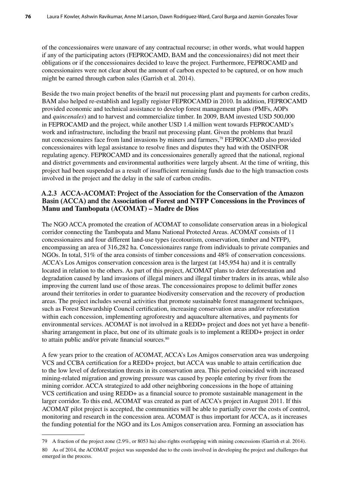of the concessionaires were unaware of any contractual recourse; in other words, what would happen if any of the participating actors (FEPROCAMD, BAM and the concessionaires) did not meet their obligations or if the concessionaires decided to leave the project. Furthermore, FEPROCAMD and concessionaires were not clear about the amount of carbon expected to be captured, or on how much might be earned through carbon sales (Garrish et al. 2014).

Beside the two main project benefits of the brazil nut processing plant and payments for carbon credits, BAM also helped re-establish and legally register FEPROCAMD in 2010. In addition, FEPROCAMD provided economic and technical assistance to develop forest management plans (PMFs, AOPs and *quincenales*) and to harvest and commercialize timber. In 2009, BAM invested USD 500,000 in FEPROCAMD and the project, while another USD 1.4 million went towards FEPROCAMD's work and infrastructure, including the brazil nut processing plant. Given the problems that brazil nut concessionaires face from land invasions by miners and farmers,<sup>79</sup> FEPROCAMD also provided concessionaires with legal assistance to resolve fines and disputes they had with the OSINFOR regulating agency. FEPROCAMD and its concessionaires generally agreed that the national, regional and district governments and environmental authorities were largely absent. At the time of writing, this project had been suspended as a result of insufficient remaining funds due to the high transaction costs involved in the project and the delay in the sale of carbon credits.

#### **A.2.3 ACCA-ACOMAT: Project of the Association for the Conservation of the Amazon Basin (ACCA) and the Association of Forest and NTFP Concessions in the Provinces of Manu and Tambopata (ACOMAT) – Madre de Dios**

The NGO ACCA promoted the creation of ACOMAT to consolidate conservation areas in a biological corridor connecting the Tambopata and Manu National Protected Areas. ACOMAT consists of 11 concessionaires and four different land-use types (ecotourism, conservation, timber and NTFP), encompassing an area of 316,282 ha. Concessionaires range from individuals to private companies and NGOs. In total, 51% of the area consists of timber concessions and 48% of conservation concessions. ACCA's Los Amigos conservation concession area is the largest (at 145,954 ha) and it is centrally located in relation to the others. As part of this project, ACOMAT plans to deter deforestation and degradation caused by land invasions of illegal miners and illegal timber traders in its areas, while also improving the current land use of those areas. The concessionaires propose to delimit buffer zones around their territories in order to guarantee biodiversity conservation and the recovery of production areas. The project includes several activities that promote sustainable forest management techniques, such as Forest Stewardship Council certification, increasing conservation areas and/or reforestation within each concession, implementing agroforestry and aquaculture alternatives, and payments for environmental services. ACOMAT is not involved in a REDD+ project and does not yet have a benefitsharing arrangement in place, but one of its ultimate goals is to implement a REDD+ project in order to attain public and/or private financial sources.<sup>80</sup>

A few years prior to the creation of ACOMAT, ACCA's Los Amigos conservation area was undergoing VCS and CCBA certification for a REDD+ project, but ACCA was unable to attain certification due to the low level of deforestation threats in its conservation area. This period coincided with increased mining-related migration and growing pressure was caused by people entering by river from the mining corridor. ACCA strategized to add other neighboring concessions in the hope of attaining VCS certification and using REDD+ as a financial source to promote sustainable management in the larger corridor. To this end, ACOMAT was created as part of ACCA's project in August 2011. If this ACOMAT pilot project is accepted, the communities will be able to partially cover the costs of control, monitoring and research in the concession area. ACOMAT is thus important for ACCA, as it increases the funding potential for the NGO and its Los Amigos conservation area. Forming an association has

<sup>79</sup> A fraction of the project zone (2.9%, or 8053 ha) also rights overlapping with mining concessions (Garrish et al. 2014).

<sup>80</sup> As of 2014, the ACOMAT project was suspended due to the costs involved in developing the project and challenges that emerged in the process.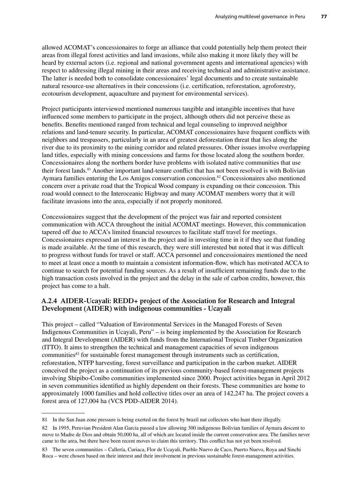allowed ACOMAT's concessionaires to forge an alliance that could potentially help them protect their areas from illegal forest activities and land invasions, while also making it more likely they will be heard by external actors (i.e. regional and national government agents and international agencies) with respect to addressing illegal mining in their areas and receiving technical and administrative assistance. The latter is needed both to consolidate concessionaires' legal documents and to create sustainable natural resource-use alternatives in their concessions (i.e. certification, reforestation, agroforestry, ecotourism development, aquaculture and payment for environmental services).

Project participants interviewed mentioned numerous tangible and intangible incentives that have influenced some members to participate in the project, although others did not perceive these as benefits. Benefits mentioned ranged from technical and legal counseling to improved neighbor relations and land-tenure security. In particular, ACOMAT concessionaires have frequent conflicts with neighbors and trespassers, particularly in an area of greatest deforestation threat that lies along the river due to its proximity to the mining corridor and related pressures. Other issues involve overlapping land titles, especially with mining concessions and farms for those located along the southern border. Concessionaires along the northern border have problems with isolated native communities that use their forest lands.81 Another important land-tenure conflict that has not been resolved is with Bolivian Aymara families entering the Los Amigos conservation concession.82 Concessionaires also mentioned concern over a private road that the Tropical Wood company is expanding on their concession. This road would connect to the Interoceanic Highway and many ACOMAT members worry that it will facilitate invasions into the area, especially if not properly monitored.

Concessionaires suggest that the development of the project was fair and reported consistent communication with ACCA throughout the initial ACOMAT meetings. However, this communication tapered off due to ACCA's limited financial resources to facilitate staff travel for meetings. Concessionaires expressed an interest in the project and in investing time in it if they see that funding is made available. At the time of this research, they were still interested but noted that it was difficult to progress without funds for travel or staff. ACCA personnel and concessionaires mentioned the need to meet at least once a month to maintain a consistent information-flow, which has motivated ACCA to continue to search for potential funding sources. As a result of insufficient remaining funds due to the high transaction costs involved in the project and the delay in the sale of carbon credits, however, this project has come to a halt.

#### **A.2.4 AIDER-Ucayali: REDD+ project of the Association for Research and Integral Development (AIDER) with indigenous communities - Ucayali**

This project – called "Valuation of Environmental Services in the Managed Forests of Seven Indigenous Communities in Ucayali, Peru" – is being implemented by the Association for Research and Integral Development (AIDER) with funds from the International Tropical Timber Organization (ITTO). It aims to strengthen the technical and management capacities of seven indigenous communities83 for sustainable forest management through instruments such as certification, reforestation, NTFP harvesting, forest surveillance and participation in the carbon market. AIDER conceived the project as a continuation of its previous community-based forest-management projects involving Shipibo-Conibo communities implemented since 2000. Project activities began in April 2012 in seven communities identified as highly dependent on their forests. These communities are home to approximately 1000 families and hold collective titles over an area of 142,247 ha. The project covers a forest area of 127,004 ha (VCS PDD-AIDER 2014).

<sup>81</sup> In the San Juan zone pressure is being exerted on the forest by brazil nut collectors who hunt there illegally.

<sup>82</sup> In 1995, Peruvian President Alan Garcia passed a law allowing 300 indigenous Bolivian families of Aymara descent to move to Madre de Dios and obtain 50,000 ha, all of which are located inside the current conservation area. The families never came to the area, but there have been recent moves to claim this territory. This conflict has not yet been resolved.

<sup>83</sup> The seven communities – Callería, Curiaca, Flor de Ucayali, Pueblo Nuevo de Caco, Puerto Nuevo, Roya and Sinchi Roca – were chosen based on their interest and their involvement in previous sustainable forest-management activities.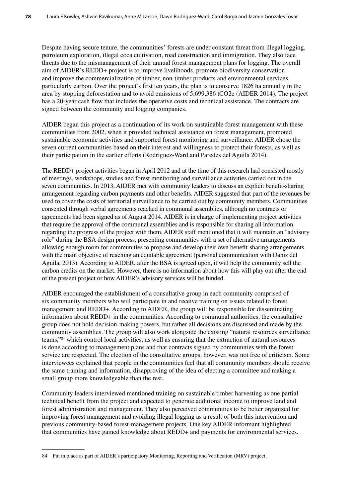Despite having secure tenure, the communities' forests are under constant threat from illegal logging, petroleum exploration, illegal coca cultivation, road construction and immigration. They also face threats due to the mismanagement of their annual forest management plans for logging. The overall aim of AIDER's REDD+ project is to improve livelihoods, promote biodiversity conservation and improve the commercialization of timber, non-timber products and environmental services, particularly carbon. Over the project's first ten years, the plan is to conserve 1826 ha annually in the area by stopping deforestation and to avoid emissions of 5,699,386 tCO2e (AIDER 2014). The project has a 20-year cash flow that includes the operative costs and technical assistance. The contracts are signed between the community and logging companies.

AIDER began this project as a continuation of its work on sustainable forest management with these communities from 2002, when it provided technical assistance on forest management, promoted sustainable economic activities and supported forest monitoring and surveillance. AIDER chose the seven current communities based on their interest and willingness to protect their forests, as well as their participation in the earlier efforts (Rodriguez-Ward and Paredes del Aguila 2014).

The REDD+ project activities began in April 2012 and at the time of this research had consisted mostly of meetings, workshops, studies and forest monitoring and surveillance activities carried out in the seven communities. In 2013, AIDER met with community leaders to discuss an explicit benefit-sharing arrangement regarding carbon payments and other benefits. AIDER suggested that part of the revenues be used to cover the costs of territorial surveillance to be carried out by community members. Communities consented through verbal agreements reached in communal assemblies, although no contracts or agreements had been signed as of August 2014. AIDER is in charge of implementing project activities that require the approval of the communal assemblies and is responsible for sharing all information regarding the progress of the project with them. AIDER staff mentioned that it will maintain an "advisory role" during the BSA design process, presenting communities with a set of alternative arrangements allowing enough room for communities to propose and develop their own benefit-sharing arrangements with the main objective of reaching an equitable agreement (personal communication with Daniz del Aguila, 2013). According to AIDER, after the BSA is agreed upon, it will help the community sell the carbon credits on the market. However, there is no information about how this will play out after the end of the present project or how AIDER's advisory services will be funded.

AIDER encouraged the establishment of a consultative group in each community comprised of six community members who will participate in and receive training on issues related to forest management and REDD+. According to AIDER, the group will be responsible for disseminating information about REDD+ in the communities. According to communal authorities, the consultative group does not hold decision-making powers, but rather all decisions are discussed and made by the community assemblies. The group will also work alongside the existing "natural resources surveillance teams,"84 which control local activities, as well as ensuring that the extraction of natural resources is done according to management plans and that contracts signed by communities with the forest service are respected. The election of the consultative groups, however, was not free of criticism. Some interviewees explained that people in the communities feel that all community members should receive the same training and information, disapproving of the idea of electing a committee and making a small group more knowledgeable than the rest.

Community leaders interviewed mentioned training on sustainable timber harvesting as one partial technical benefit from the project and expected to generate additional income to improve land and forest administration and management. They also perceived communities to be better organized for improving forest management and avoiding illegal logging as a result of both this intervention and previous community-based forest-management projects. One key AIDER informant highlighted that communities have gained knowledge about REDD+ and payments for environmental services.

<sup>84</sup> Put in place as part of AIDER's participatory Monitoring, Reporting and Verification (MRV) project.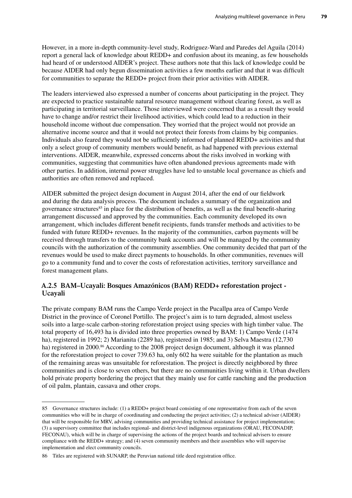However, in a more in-depth community-level study, Rodriguez-Ward and Paredes del Aguila (2014) report a general lack of knowledge about REDD+ and confusion about its meaning, as few households had heard of or understood AIDER's project. These authors note that this lack of knowledge could be because AIDER had only begun dissemination activities a few months earlier and that it was difficult for communities to separate the REDD+ project from their prior activities with AIDER.

The leaders interviewed also expressed a number of concerns about participating in the project. They are expected to practice sustainable natural resource management without clearing forest, as well as participating in territorial surveillance. Those interviewed were concerned that as a result they would have to change and/or restrict their livelihood activities, which could lead to a reduction in their household income without due compensation. They worried that the project would not provide an alternative income source and that it would not protect their forests from claims by big companies. Individuals also feared they would not be sufficiently informed of planned REDD+ activities and that only a select group of community members would benefit, as had happened with previous external interventions. AIDER, meanwhile, expressed concerns about the risks involved in working with communities, suggesting that communities have often abandoned previous agreements made with other parties. In addition, internal power struggles have led to unstable local governance as chiefs and authorities are often removed and replaced.

AIDER submitted the project design document in August 2014, after the end of our fieldwork and during the data analysis process. The document includes a summary of the organization and governance structures<sup>85</sup> in place for the distribution of benefits, as well as the final benefit-sharing arrangement discussed and approved by the communities. Each community developed its own arrangement, which includes different benefit recipients, funds transfer methods and activities to be funded with future REDD+ revenues. In the majority of the communities, carbon payments will be received through transfers to the community bank accounts and will be managed by the community councils with the authorization of the community assemblies. One community decided that part of the revenues would be used to make direct payments to households. In other communities, revenues will go to a community fund and to cover the costs of reforestation activities, territory surveillance and forest management plans.

#### **A.2.5 BAM–Ucayali: Bosques Amazónicos (BAM) REDD+ reforestation project - Ucayali**

The private company BAM runs the Campo Verde project in the Pucallpa area of Campo Verde District in the province of Coronel Portillo. The project's aim is to turn degraded, almost useless soils into a large-scale carbon-storing reforestation project using species with high timber value. The total property of 16,493 ha is divided into three properties owned by BAM: 1) Campo Verde (1474 ha), registered in 1992; 2) Marianita (2289 ha), registered in 1985; and 3) Selva Maestra (12,730 ha) registered in 2000.<sup>86</sup> According to the 2008 project design document, although it was planned for the reforestation project to cover 739.63 ha, only 602 ha were suitable for the plantation as much of the remaining areas was unsuitable for reforestation. The project is directly neighbored by three communities and is close to seven others, but there are no communities living within it. Urban dwellers hold private property bordering the project that they mainly use for cattle ranching and the production of oil palm, plantain, cassava and other crops.

<sup>85</sup> Governance structures include: (1) a REDD+ project board consisting of one representative from each of the seven communities who will be in charge of coordinating and conducting the project activities; (2) a technical adviser (AIDER) that will be responsible for MRV, advising communities and providing technical assistance for project implementation; (3) a supervisory committee that includes regional- and district-level indigenous organizations (ORAU, FECONADIP, FECONAU), which will be in charge of supervising the actions of the project boards and technical advisers to ensure compliance with the REDD+ strategy; and (4) seven community members and their assemblies who will supervise implementation and elect community councils.

<sup>86</sup> Titles are registered with SUNARP, the Peruvian national title deed registration office.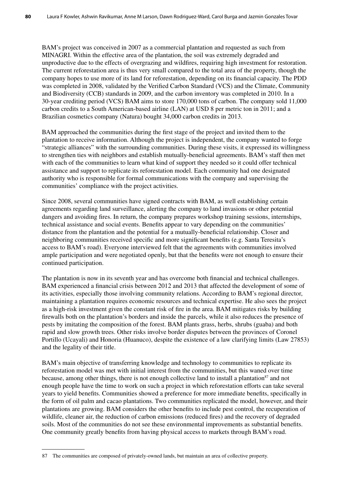BAM's project was conceived in 2007 as a commercial plantation and requested as such from MINAGRI. Within the effective area of the plantation, the soil was extremely degraded and unproductive due to the effects of overgrazing and wildfires, requiring high investment for restoration. The current reforestation area is thus very small compared to the total area of the property, though the company hopes to use more of its land for reforestation, depending on its financial capacity. The PDD was completed in 2008, validated by the Verified Carbon Standard (VCS) and the Climate, Community and Biodiversity (CCB) standards in 2009, and the carbon inventory was completed in 2010. In a 30-year crediting period (VCS) BAM aims to store 170,000 tons of carbon. The company sold 11,000 carbon credits to a South American-based airline (LAN) at USD 8 per metric ton in 2011; and a Brazilian cosmetics company (Natura) bought 34,000 carbon credits in 2013.

BAM approached the communities during the first stage of the project and invited them to the plantation to receive information. Although the project is independent, the company wanted to forge "strategic alliances" with the surrounding communities. During these visits, it expressed its willingness to strengthen ties with neighbors and establish mutually-beneficial agreements. BAM's staff then met with each of the communities to learn what kind of support they needed so it could offer technical assistance and support to replicate its reforestation model. Each community had one designated authority who is responsible for formal communications with the company and supervising the communities' compliance with the project activities.

Since 2008, several communities have signed contracts with BAM, as well establishing certain agreements regarding land surveillance, alerting the company to land invasions or other potential dangers and avoiding fires. In return, the company prepares workshop training sessions, internships, technical assistance and social events. Benefits appear to vary depending on the communities' distance from the plantation and the potential for a mutually-beneficial relationship. Closer and neighboring communities received specific and more significant benefits (e.g. Santa Teresita's access to BAM's road). Everyone interviewed felt that the agreements with communities involved ample participation and were negotiated openly, but that the benefits were not enough to ensure their continued participation.

The plantation is now in its seventh year and has overcome both financial and technical challenges. BAM experienced a financial crisis between 2012 and 2013 that affected the development of some of its activities, especially those involving community relations. According to BAM's regional director, maintaining a plantation requires economic resources and technical expertise. He also sees the project as a high-risk investment given the constant risk of fire in the area. BAM mitigates risks by building firewalls both on the plantation's borders and inside the parcels, while it also reduces the presence of pests by imitating the composition of the forest. BAM plants grass, herbs, shrubs (guaba) and both rapid and slow growth trees. Other risks involve border disputes between the provinces of Coronel Portillo (Ucayali) and Honoria (Huanuco), despite the existence of a law clarifying limits (Law 27853) and the legality of their title.

BAM's main objective of transferring knowledge and technology to communities to replicate its reforestation model was met with initial interest from the communities, but this waned over time because, among other things, there is not enough collective land to install a plantation<sup>87</sup> and not enough people have the time to work on such a project in which reforestation efforts can take several years to yield benefits. Communities showed a preference for more immediate benefits, specifically in the form of oil palm and cacao plantations. Two communities replicated the model, however, and their plantations are growing. BAM considers the other benefits to include pest control, the recuperation of wildlife, cleaner air, the reduction of carbon emissions (reduced fires) and the recovery of degraded soils. Most of the communities do not see these environmental improvements as substantial benefits. One community greatly benefits from having physical access to markets through BAM's road.

<sup>87</sup> The communities are composed of privately-owned lands, but maintain an area of collective property.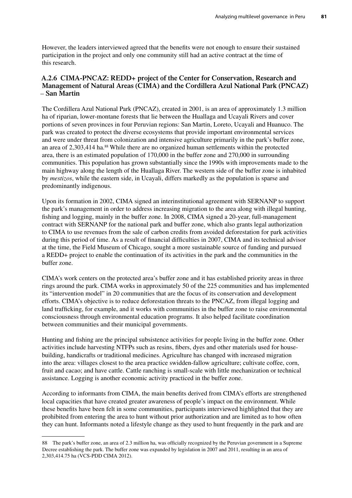However, the leaders interviewed agreed that the benefits were not enough to ensure their sustained participation in the project and only one community still had an active contract at the time of this research.

#### **A.2.6 CIMA-PNCAZ: REDD+ project of the Center for Conservation, Research and Management of Natural Areas (CIMA) and the Cordillera Azul National Park (PNCAZ)**  *–* **San Martin**

The Cordillera Azul National Park (PNCAZ), created in 2001, is an area of approximately 1.3 million ha of riparian, lower-montane forests that lie between the Huallaga and Ucayali Rivers and cover portions of seven provinces in four Peruvian regions: San Martin, Loreto, Ucayali and Huanuco. The park was created to protect the diverse ecosystems that provide important environmental services and were under threat from colonization and intensive agriculture primarily in the park's buffer zone, an area of 2,303,414 ha.<sup>88</sup> While there are no organized human settlements within the protected area, there is an estimated population of 170,000 in the buffer zone and 270,000 in surrounding communities. This population has grown substantially since the 1990s with improvements made to the main highway along the length of the Huallaga River. The western side of the buffer zone is inhabited by *mestizos*, while the eastern side, in Ucayali, differs markedly as the population is sparse and predominantly indigenous.

Upon its formation in 2002, CIMA signed an interinstitutional agreement with SERNANP to support the park's management in order to address increasing migration to the area along with illegal hunting, fishing and logging, mainly in the buffer zone. In 2008, CIMA signed a 20-year, full-management contract with SERNANP for the national park and buffer zone, which also grants legal authorization to CIMA to use revenues from the sale of carbon credits from avoided deforestation for park activities during this period of time. As a result of financial difficulties in 2007, CIMA and its technical advisor at the time, the Field Museum of Chicago, sought a more sustainable source of funding and pursued a REDD+ project to enable the continuation of its activities in the park and the communities in the buffer zone.

CIMA's work centers on the protected area's buffer zone and it has established priority areas in three rings around the park. CIMA works in approximately 50 of the 225 communities and has implemented its "intervention model" in 20 communities that are the focus of its conservation and development efforts. CIMA's objective is to reduce deforestation threats to the PNCAZ, from illegal logging and land trafficking, for example, and it works with communities in the buffer zone to raise environmental consciousness through environmental education programs. It also helped facilitate coordination between communities and their municipal governments.

Hunting and fishing are the principal subsistence activities for people living in the buffer zone. Other activities include harvesting NTFPs such as resins, fibers, dyes and other materials used for housebuilding, handicrafts or traditional medicines. Agriculture has changed with increased migration into the area: villages closest to the area practice swidden-fallow agriculture; cultivate coffee, corn, fruit and cacao; and have cattle. Cattle ranching is small-scale with little mechanization or technical assistance. Logging is another economic activity practiced in the buffer zone.

According to informants from CIMA, the main benefits derived from CIMA's efforts are strengthened local capacities that have created greater awareness of people's impact on the environment. While these benefits have been felt in some communities, participants interviewed highlighted that they are prohibited from entering the area to hunt without prior authorization and are limited as to how often they can hunt. Informants noted a lifestyle change as they used to hunt frequently in the park and are

<sup>88</sup> The park's buffer zone, an area of 2.3 million ha, was officially recognized by the Peruvian government in a Supreme Decree establishing the park. The buffer zone was expanded by legislation in 2007 and 2011, resulting in an area of 2,303,414.75 ha (VCS-PDD CIMA 2012).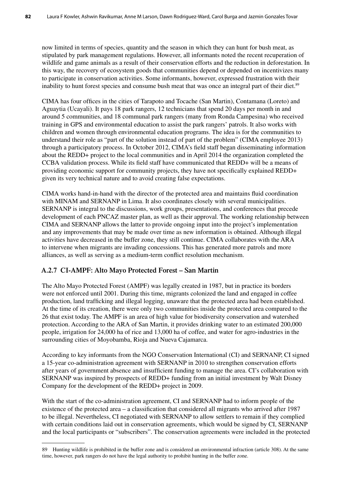now limited in terms of species, quantity and the season in which they can hunt for bush meat, as stipulated by park management regulations. However, all informants noted the recent recuperation of wildlife and game animals as a result of their conservation efforts and the reduction in deforestation. In this way, the recovery of ecosystem goods that communities depend or depended on incentivizes many to participate in conservation activities. Some informants, however, expressed frustration with their inability to hunt forest species and consume bush meat that was once an integral part of their diet.<sup>89</sup>

CIMA has four offices in the cities of Tarapoto and Tocache (San Martin), Contamana (Loreto) and Aguaytia (Ucayali). It pays 18 park rangers, 12 technicians that spend 20 days per month in and around 5 communities, and 18 communal park rangers (many from Ronda Campesina) who received training in GPS and environmental education to assist the park rangers' patrols. It also works with children and women through environmental education programs. The idea is for the communities to understand their role as "part of the solution instead of part of the problem" (CIMA employee 2013) through a participatory process. In October 2012, CIMA's field staff began disseminating information about the REDD+ project to the local communities and in April 2014 the organization completed the CCBA validation process. While its field staff have communicated that REDD+ will be a means of providing economic support for community projects, they have not specifically explained REDD+ given its very technical nature and to avoid creating false expectations.

CIMA works hand-in-hand with the director of the protected area and maintains fluid coordination with MINAM and SERNANP in Lima. It also coordinates closely with several municipalities. SERNANP is integral to the discussions, work groups, presentations, and conferences that precede development of each PNCAZ master plan, as well as their approval. The working relationship between CIMA and SERNANP allows the latter to provide ongoing input into the project's implementation and any improvements that may be made over time as new information is obtained. Although illegal activities have decreased in the buffer zone, they still continue. CIMA collaborates with the ARA to intervene when migrants are invading concessions. This has generated more patrols and more alliances, as well as serving as a medium-term conflict resolution mechanism.

#### **A.2.7 CI-AMPF: Alto Mayo Protected Forest – San Martin**

The Alto Mayo Protected Forest (AMPF) was legally created in 1987, but in practice its borders were not enforced until 2001. During this time, migrants colonized the land and engaged in coffee production, land trafficking and illegal logging, unaware that the protected area had been established. At the time of its creation, there were only two communities inside the protected area compared to the 26 that exist today. The AMPF is an area of high value for biodiversity conservation and watershed protection. According to the ARA of San Martin, it provides drinking water to an estimated 200,000 people, irrigation for 24,000 ha of rice and 13,000 ha of coffee, and water for agro-industries in the surrounding cities of Moyobamba, Rioja and Nueva Cajamarca.

According to key informants from the NGO Conservation International (CI) and SERNANP, CI signed a 15-year co-administration agreement with SERNANP in 2010 to strengthen conservation efforts after years of government absence and insufficient funding to manage the area. CI's collaboration with SERNANP was inspired by prospects of REDD+ funding from an initial investment by Walt Disney Company for the development of the REDD+ project in 2009.

With the start of the co-administration agreement, CI and SERNANP had to inform people of the existence of the protected area – a classification that considered all migrants who arrived after 1987 to be illegal. Nevertheless, CI negotiated with SERNANP to allow settlers to remain if they complied with certain conditions laid out in conservation agreements, which would be signed by CI, SERNANP and the local participants or "subscribers". The conservation agreements were included in the protected

<sup>89</sup> Hunting wildlife is prohibited in the buffer zone and is considered an environmental infraction (article 308). At the same time, however, park rangers do not have the legal authority to prohibit hunting in the buffer zone.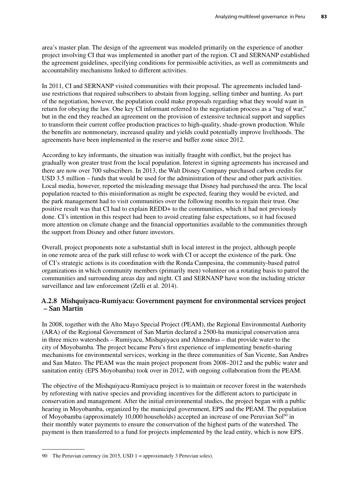area's master plan. The design of the agreement was modeled primarily on the experience of another project involving CI that was implemented in another part of the region. CI and SERNANP established the agreement guidelines, specifying conditions for permissible activities, as well as commitments and accountability mechanisms linked to different activities.

In 2011, CI and SERNANP visited communities with their proposal. The agreements included landuse restrictions that required subscribers to abstain from logging, selling timber and hunting. As part of the negotiation, however, the population could make proposals regarding what they would want in return for obeying the law. One key CI informant referred to the negotiation process as a "tug of war," but in the end they reached an agreement on the provision of extensive technical support and supplies to transform their current coffee production practices to high-quality, shade-grown production. While the benefits are nonmonetary, increased quality and yields could potentially improve livelihoods. The agreements have been implemented in the reserve and buffer zone since 2012.

According to key informants, the situation was initially fraught with conflict, but the project has gradually won greater trust from the local population. Interest in signing agreements has increased and there are now over 700 subscribers. In 2013, the Walt Disney Company purchased carbon credits for USD 3.5 million – funds that would be used for the administration of these and other park activities. Local media, however, reported the misleading message that Disney had purchased the area. The local population reacted to this misinformation as might be expected, fearing they would be evicted, and the park management had to visit communities over the following months to regain their trust. One positive result was that CI had to explain REDD+ to the communities, which it had not previously done. CI's intention in this respect had been to avoid creating false expectations, so it had focused more attention on climate change and the financial opportunities available to the communities through the support from Disney and other future investors.

Overall, project proponents note a substantial shift in local interest in the project, although people in one remote area of the park still refuse to work with CI or accept the existence of the park. One of CI's strategic actions is its coordination with the Ronda Campesina, the community-based patrol organizations in which community members (primarily men) volunteer on a rotating basis to patrol the communities and surrounding areas day and night. CI and SERNANP have won the including stricter surveillance and law enforcement (Zelli et al. 2014).

#### **A.2.8 Mishquiyacu-Rumiyacu: Government payment for environmental services project – San Martin**

In 2008, together with the Alto Mayo Special Project (PEAM), the Regional Environmental Authority (ARA) of the Regional Government of San Martin declared a 2500-ha municipal conservation area in three micro watersheds – Rumiyacu, Mishquiyacu and Almendras – that provide water to the city of Moyobamba. The project became Peru's first experience of implementing benefit-sharing mechanisms for environmental services, working in the three communities of San Vicente, San Andres and San Mateo. The PEAM was the main project proponent from 2008–2012 and the public water and sanitation entity (EPS Moyobamba) took over in 2012, with ongoing collaboration from the PEAM.

The objective of the Mishquiyacu-Rumiyacu project is to maintain or recover forest in the watersheds by reforesting with native species and providing incentives for the different actors to participate in conservation and management. After the initial environmental studies, the project began with a public hearing in Moyobamba, organized by the municipal government, EPS and the PEAM. The population of Moyobamba (approximately 10,000 households) accepted an increase of one Peruvian Sol $90$  in their monthly water payments to ensure the conservation of the highest parts of the watershed. The payment is then transferred to a fund for projects implemented by the lead entity, which is now EPS.

<sup>90</sup> The Peruvian currency (in 2015, USD 1 = approximately 3 Peruvian soles).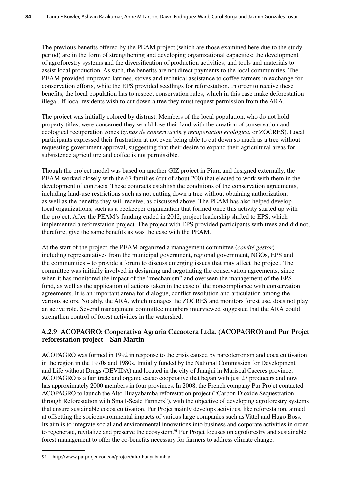The previous benefits offered by the PEAM project (which are those examined here due to the study period) are in the form of strengthening and developing organizational capacities; the development of agroforestry systems and the diversification of production activities; and tools and materials to assist local production. As such, the benefits are not direct payments to the local communities. The PEAM provided improved latrines, stoves and technical assistance to coffee farmers in exchange for conservation efforts, while the EPS provided seedlings for reforestation. In order to receive these benefits, the local population has to respect conservation rules, which in this case make deforestation illegal. If local residents wish to cut down a tree they must request permission from the ARA.

The project was initially colored by distrust. Members of the local population, who do not hold property titles, were concerned they would lose their land with the creation of conservation and ecological recuperation zones (*zonas de conservación y recuperación ecológica*, or ZOCRES). Local participants expressed their frustration at not even being able to cut down so much as a tree without requesting government approval, suggesting that their desire to expand their agricultural areas for subsistence agriculture and coffee is not permissible.

Though the project model was based on another GIZ project in Piura and designed externally, the PEAM worked closely with the 67 families (out of about 200) that elected to work with them in the development of contracts. These contracts establish the conditions of the conservation agreements, including land-use restrictions such as not cutting down a tree without obtaining authorization, as well as the benefits they will receive, as discussed above. The PEAM has also helped develop local organizations, such as a beekeeper organization that formed once this activity started up with the project. After the PEAM's funding ended in 2012, project leadership shifted to EPS, which implemented a reforestation project. The project with EPS provided participants with trees and did not, therefore, give the same benefits as was the case with the PEAM.

At the start of the project, the PEAM organized a management committee (*comité gestor*) – including representatives from the municipal government, regional government, NGOs, EPS and the communities – to provide a forum to discuss emerging issues that may affect the project. The committee was initially involved in designing and negotiating the conservation agreements, since when it has monitored the impact of the "mechanism" and overseen the management of the EPS fund, as well as the application of actions taken in the case of the noncompliance with conservation agreements. It is an important arena for dialogue, conflict resolution and articulation among the various actors. Notably, the ARA, which manages the ZOCRES and monitors forest use, does not play an active role. Several management committee members interviewed suggested that the ARA could strengthen control of forest activities in the watershed.

#### **A.2.9 ACOPAGRO: Cooperativa Agraria Cacaotera Ltda. (ACOPAGRO) and Pur Projet reforestation project – San Martin**

ACOPAGRO was formed in 1992 in response to the crisis caused by narcoterrorism and coca cultivation in the region in the 1970s and 1980s. Initially funded by the National Commission for Development and Life without Drugs (DEVIDA) and located in the city of Juanjui in Mariscal Caceres province, ACOPAGRO is a fair trade and organic cacao cooperative that began with just 27 producers and now has approximately 2000 members in four provinces. In 2008, the French company Pur Projet contacted ACOPAGRO to launch the Alto Huayabamba reforestation project ("Carbon Dioxide Sequestration through Reforestation with Small-Scale Farmers"), with the objective of developing agroforestry systems that ensure sustainable cocoa cultivation. Pur Projet mainly develops activities, like reforestation, aimed at offsetting the socioenvironmental impacts of various large companies such as Vittel and Hugo Boss. Its aim is to integrate social and environmental innovations into business and corporate activities in order to regenerate, revitalize and preserve the ecosystem.<sup>91</sup> Pur Projet focuses on agroforestry and sustainable forest management to offer the co-benefits necessary for farmers to address climate change.

<sup>91</sup> http://www.purprojet.com/en/project/alto-huayabamba/.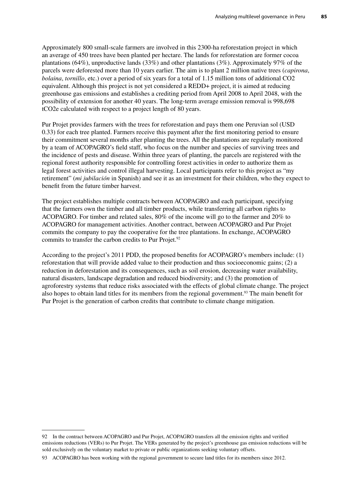Approximately 800 small-scale farmers are involved in this 2300-ha reforestation project in which an average of 450 trees have been planted per hectare. The lands for reforestation are former cocoa plantations (64%), unproductive lands (33%) and other plantations (3%). Approximately 97% of the parcels were deforested more than 10 years earlier. The aim is to plant 2 million native trees (*capirona*, *bolaina*, *tornillo*, etc.) over a period of six years for a total of 1.15 million tons of additional CO2 equivalent. Although this project is not yet considered a REDD+ project, it is aimed at reducing greenhouse gas emissions and establishes a crediting period from April 2008 to April 2048, with the possibility of extension for another 40 years. The long-term average emission removal is 998,698 tCO2e calculated with respect to a project length of 80 years.

Pur Projet provides farmers with the trees for reforestation and pays them one Peruvian sol (USD 0.33) for each tree planted. Farmers receive this payment after the first monitoring period to ensure their commitment several months after planting the trees. All the plantations are regularly monitored by a team of ACOPAGRO's field staff, who focus on the number and species of surviving trees and the incidence of pests and disease. Within three years of planting, the parcels are registered with the regional forest authority responsible for controlling forest activities in order to authorize them as legal forest activities and control illegal harvesting. Local participants refer to this project as "my retirement" (*mi jubilación* in Spanish) and see it as an investment for their children, who they expect to benefit from the future timber harvest.

The project establishes multiple contracts between ACOPAGRO and each participant, specifying that the farmers own the timber and all timber products, while transferring all carbon rights to ACOPAGRO. For timber and related sales, 80% of the income will go to the farmer and 20% to ACOPAGRO for management activities. Another contract, between ACOPAGRO and Pur Projet commits the company to pay the cooperative for the tree plantations. In exchange, ACOPAGRO commits to transfer the carbon credits to Pur Projet.<sup>92</sup>

According to the project's 2011 PDD, the proposed benefits for ACOPAGRO's members include: (1) reforestation that will provide added value to their production and thus socioeconomic gains; (2) a reduction in deforestation and its consequences, such as soil erosion, decreasing water availability, natural disasters, landscape degradation and reduced biodiversity; and (3) the promotion of agroforestry systems that reduce risks associated with the effects of global climate change. The project also hopes to obtain land titles for its members from the regional government.93 The main benefit for Pur Projet is the generation of carbon credits that contribute to climate change mitigation.

<sup>92</sup> In the contract between ACOPAGRO and Pur Projet, ACOPAGRO transfers all the emission rights and verified emissions reductions (VERs) to Pur Projet. The VERs generated by the project's greenhouse gas emission reductions will be sold exclusively on the voluntary market to private or public organizations seeking voluntary offsets.

<sup>93</sup> ACOPAGRO has been working with the regional government to secure land titles for its members since 2012.